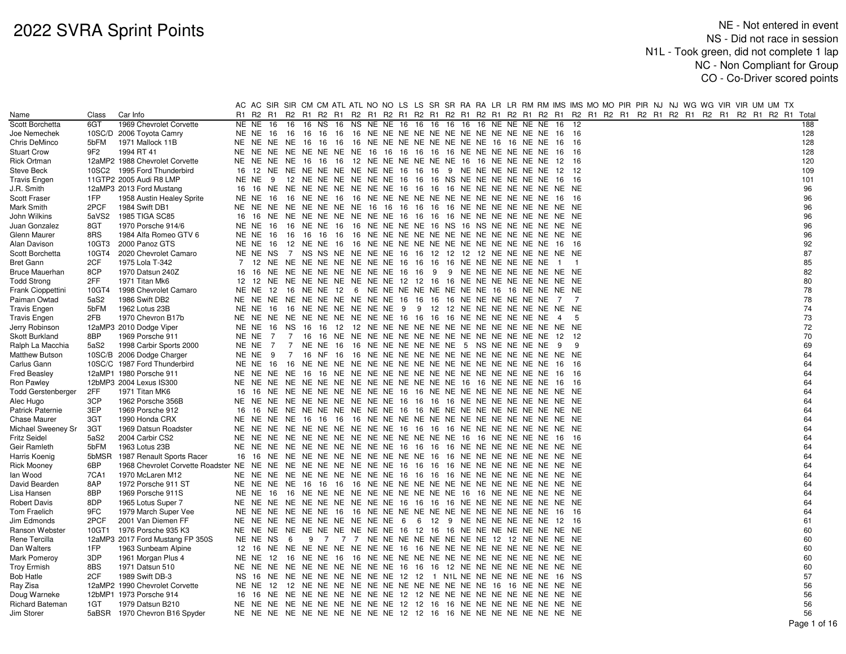|                                 |            |                                           |                |                                                                               |                                                                |       |                                                          |    |    |  |                                     |  |  |                |                   |                |  |  |  |  | AC AC SIR SIR CM CM ATL ATL NO NO LS LS SR SR RA RA LR LR RM RM IMS IMS MO MO PIR PIR NJ NJ WG WG VIR VIR UM UM TX |                                                                                                             |
|---------------------------------|------------|-------------------------------------------|----------------|-------------------------------------------------------------------------------|----------------------------------------------------------------|-------|----------------------------------------------------------|----|----|--|-------------------------------------|--|--|----------------|-------------------|----------------|--|--|--|--|--------------------------------------------------------------------------------------------------------------------|-------------------------------------------------------------------------------------------------------------|
| Name                            | Class      | Car Info                                  | R1             | R2 R1                                                                         |                                                                |       |                                                          |    |    |  |                                     |  |  |                |                   |                |  |  |  |  |                                                                                                                    | R2 R1 R2 R1 R2 R1 R2 R1 R2 R1 R2 R1 R2 R1 R2 R1 R2 R1 R2 R1 R2 R1 R2 R1 R2 R1 R2 R1 R2 R1 R2 R1 R2 R1 Total |
| Scott Borchetta                 | 6GT        | 1969 Chevrolet Corvette                   |                | NE NE<br>16                                                                   | 16                                                             | 16 NS |                                                          | 16 | NS |  | NE NE 16 16 16 16 16 16 NE NE NE NE |  |  |                | 16                | -12            |  |  |  |  |                                                                                                                    | 188                                                                                                         |
| Joe Nemechek                    |            | 10SC/D 2006 Toyota Camry                  |                | NE NE<br>- 16                                                                 | 16                                                             |       |                                                          |    |    |  |                                     |  |  |                |                   | - 16           |  |  |  |  |                                                                                                                    | 128                                                                                                         |
| Chris DeMinco                   | 5bFM       | 1971 Mallock 11B                          |                | NE NE                                                                         | NE NE 16 16 16 16 NE NE NE NE NE NE NE NE 16 16 NE NE          |       |                                                          |    |    |  |                                     |  |  | - 16           |                   | - 16           |  |  |  |  |                                                                                                                    | 128                                                                                                         |
| <b>Stuart Crow</b>              | 9F2        | 1994 RT 41                                | NE             | NE NE NE NE NE NE NE 16 16 16 16 16 16 NE NE NE NE NE NE                      |                                                                |       |                                                          |    |    |  |                                     |  |  |                | 16                | - 16           |  |  |  |  |                                                                                                                    | 128                                                                                                         |
| <b>Rick Ortman</b>              |            | 12aMP2 1988 Chevrolet Corvette            | NE NE          |                                                                               | NE NE 16 16 16 12 NE NE NE NE NE NE 16 16 NE NE NE NE          |       |                                                          |    |    |  |                                     |  |  | - 12           |                   | -16            |  |  |  |  |                                                                                                                    | 120                                                                                                         |
| Steve Beck                      |            | 10SC2 1995 Ford Thunderbird               | 16             | 12                                                                            | NE NE NE NE NE NE NE NE 16 16 16 9 NE NE NE NE NE NE           |       |                                                          |    |    |  |                                     |  |  |                | - 12              | - 12           |  |  |  |  |                                                                                                                    | 109                                                                                                         |
| Travis Engen                    |            | 11GTP2 2005 Audi R8 LMP                   |                | NE NE<br>- 9                                                                  |                                                                |       | 12 NE NE NE NE NE NE 16 16 16 NS NE NE NE NE NE NE 16    |    |    |  |                                     |  |  |                |                   | - 16           |  |  |  |  |                                                                                                                    | 101                                                                                                         |
| J.R. Smith                      |            | 12aMP3 2013 Ford Mustang                  | 16             | 16                                                                            | NE NE NE NE NE NE NE NE 16 16 16 16 NE NE NE NE NE NE NE NE    |       |                                                          |    |    |  |                                     |  |  |                |                   |                |  |  |  |  |                                                                                                                    | 96                                                                                                          |
| <b>Scott Fraser</b>             | 1FP        | 1958 Austin Healey Sprite                 |                | NE NE<br>16                                                                   |                                                                |       | 16 NE NE 16 16 NE NE NE NE NE NE NE NE NE NE NE NE NE    |    |    |  |                                     |  |  | - 16           |                   | - 16           |  |  |  |  |                                                                                                                    | 96                                                                                                          |
| Mark Smith                      | 2PCF       | 1984 Swift DB1                            |                | NE NE NE NE NE NE NE NE 16 16 16 16 16 16 NE NE NE NE NE NE NE NE NE          |                                                                |       |                                                          |    |    |  |                                     |  |  |                |                   |                |  |  |  |  |                                                                                                                    | 96                                                                                                          |
| John Wilkins                    | 5aVS2      | 1985 TIGA SC85                            | 16             | - 16                                                                          | NE NE NE NE NE NE NE NE 16 16 16 16 NE NE NE NE NE NE NE NE    |       |                                                          |    |    |  |                                     |  |  |                |                   |                |  |  |  |  |                                                                                                                    | 96                                                                                                          |
| Juan Gonzalez                   | 8GT        | 1970 Porsche 914/6                        |                | NE NE<br>16                                                                   |                                                                |       | 16 NE NE 16 16 NE NE NE NE 16 NS 16 NS NE NE NE NE NE NE |    |    |  |                                     |  |  |                |                   |                |  |  |  |  |                                                                                                                    | 96                                                                                                          |
| Glenn Maurer                    | 8RS        | 1984 Alfa Romeo GTV 6                     |                | NE NE<br>- 16                                                                 | 16                                                             |       | 16 16 16                                                 |    |    |  |                                     |  |  |                |                   |                |  |  |  |  |                                                                                                                    | 96                                                                                                          |
| Alan Davison                    | 10GT3      | 2000 Panoz GTS                            |                | NE NE<br>16                                                                   |                                                                |       |                                                          |    |    |  |                                     |  |  |                |                   |                |  |  |  |  |                                                                                                                    | 92                                                                                                          |
| Scott Borchetta                 | 10GT4      | 2020 Chevrolet Camaro                     |                | NE NE<br>NS                                                                   |                                                                |       | 7 NS NS NE NE NE NE 16 16 12 12 12 12 NE NE NE NE NE NE  |    |    |  |                                     |  |  |                |                   |                |  |  |  |  |                                                                                                                    | 87                                                                                                          |
| <b>Bret Gann</b>                | 2CF        | 1975 Lola T-342                           | $\overline{7}$ | 12                                                                            | NE NE NE NE NE NE NE NE 16 16 16 16 NE NE NE NE NE NE          |       |                                                          |    |    |  |                                     |  |  | $\overline{1}$ |                   | -1             |  |  |  |  |                                                                                                                    | 85                                                                                                          |
| <b>Bruce Mauerhan</b>           | 8CP        | 1970 Datsun 240Z                          |                | 16 16                                                                         | NE NE NE NE NE NE NE NE 16 16 9 9 NE NE NE NE NE NE NE NE NE   |       |                                                          |    |    |  |                                     |  |  |                |                   |                |  |  |  |  |                                                                                                                    | 82                                                                                                          |
| Todd Strong                     | 2FF        | 1971 Titan Mk6                            |                | 12 12 NE NE NE NE NE NE NE NE 12 12 16 16 NE NE NE NE NE NE NE NE NE          |                                                                |       |                                                          |    |    |  |                                     |  |  |                |                   |                |  |  |  |  |                                                                                                                    | 80                                                                                                          |
| Frank Cioppettini               | 10GT4      | 1998 Chevrolet Camaro                     |                | NE NE<br>12                                                                   |                                                                |       | 16 NE NE 12 6 NE NE NE NE NE NE NE NE 16 16 NE NE NE NE  |    |    |  |                                     |  |  |                |                   |                |  |  |  |  |                                                                                                                    | 78                                                                                                          |
| Paiman Owtad                    | 5aS2       | 1986 Swift DB2                            |                | NE NE                                                                         | NE NE NE NE NE NE NE NE 16 16 16 16 NE NE NE NE NE NE 7        |       |                                                          |    |    |  |                                     |  |  |                |                   | $\overline{7}$ |  |  |  |  |                                                                                                                    | 78                                                                                                          |
| <b>Travis Engen</b>             | 5bFM       | 1962 Lotus 23B                            |                | NE NE                                                                         | 16 16 NE NE NE NE NE NE 9 9 12 12 NE NE NE NE NE NE NE NE NE   |       |                                                          |    |    |  |                                     |  |  |                |                   |                |  |  |  |  |                                                                                                                    | 74                                                                                                          |
| Travis Engen                    | 2FB        | 1970 Chevron B17b                         |                | NE NE NE NE NE NE NE NE NE NE NE 16 16 16 16 NE NE NE NE NE NE                |                                                                |       |                                                          |    |    |  |                                     |  |  | $\overline{4}$ |                   | 5              |  |  |  |  |                                                                                                                    | 73                                                                                                          |
| Jerry Robinson                  |            | 12aMP3 2010 Dodge Viper                   |                | NE NE                                                                         |                                                                |       |                                                          |    |    |  |                                     |  |  |                |                   |                |  |  |  |  |                                                                                                                    | 72                                                                                                          |
| <b>Skott Burkland</b>           | 8BP        | 1969 Porsche 911                          |                | NE NE<br>7                                                                    | $\overline{7}$                                                 |       |                                                          |    |    |  |                                     |  |  |                |                   | - 12           |  |  |  |  |                                                                                                                    | 70                                                                                                          |
| Ralph La Macchia                | 5aS2       | 1998 Carbir Sports 2000                   |                | $\overline{7}$<br>NE NE                                                       |                                                                |       | 7 NE NE 16 16 NE NE NE NE NE NE 5 NS NE NE NE NE         |    |    |  |                                     |  |  | - 9            |                   | 9              |  |  |  |  |                                                                                                                    | 69                                                                                                          |
| <b>Matthew Butson</b>           |            | 10SC/B 2006 Dodge Charger                 |                | NE NE<br>- 9                                                                  | 7                                                              |       |                                                          |    |    |  |                                     |  |  |                |                   |                |  |  |  |  |                                                                                                                    | 64                                                                                                          |
| Carlus Gann                     |            | 10SC/C 1987 Ford Thunderbird              |                | NE NE                                                                         |                                                                |       |                                                          |    |    |  |                                     |  |  |                | - 16              | - 16           |  |  |  |  |                                                                                                                    | 64                                                                                                          |
| <b>Fred Beasley</b>             |            | 12aMP1 1980 Porsche 911                   | NE             | NE.                                                                           |                                                                |       |                                                          |    |    |  |                                     |  |  |                | -16               | 16             |  |  |  |  |                                                                                                                    | 64                                                                                                          |
| Ron Pawley                      |            | 12bMP3 2004 Lexus IS300                   |                |                                                                               |                                                                |       |                                                          |    |    |  |                                     |  |  |                |                   | - 16           |  |  |  |  |                                                                                                                    | 64                                                                                                          |
| Todd Gerstenberger              | 2FF        | 1971 Titan MK6                            | 16             | - 16                                                                          | NE NE NE NE NE NE NE NE 16 16 NE NE NE NE NE NE NE NE NE NE    |       |                                                          |    |    |  |                                     |  |  |                |                   |                |  |  |  |  |                                                                                                                    | 64                                                                                                          |
| Alec Hugo                       | 3CP        | 1962 Porsche 356B                         |                | NE NE                                                                         | NE NE NE NE NE NE NE NE 16 16 16 16 NE NE NE NE NE NE NE NE    |       |                                                          |    |    |  |                                     |  |  |                |                   |                |  |  |  |  |                                                                                                                    | 64                                                                                                          |
| Patrick Paternie                | 3EP        | 1969 Porsche 912                          | 16             | 16                                                                            | NE NE NE NE NE NE NE NE 16 16 NE NE NE NE NE NE NE NE NE NE    |       |                                                          |    |    |  |                                     |  |  |                |                   |                |  |  |  |  |                                                                                                                    | 64                                                                                                          |
| <b>Chase Maurer</b>             | 3GT        | 1990 Honda CRX                            |                |                                                                               |                                                                |       |                                                          |    |    |  |                                     |  |  |                |                   |                |  |  |  |  |                                                                                                                    | 64                                                                                                          |
| Michael Sweeney Sr              | 3GT        | 1969 Datsun Roadster                      |                | NE NE                                                                         | NE NE NE NE NE NE NE NE 16 16 16 16 NE NE NE NE NE NE NE NE    |       |                                                          |    |    |  |                                     |  |  |                |                   |                |  |  |  |  |                                                                                                                    | 64                                                                                                          |
| <b>Fritz Seidel</b>             | 5aS2       | 2004 Carbir CS2                           | NE.            | NE.                                                                           | NE NE NE NE NE NE NE NE NE NE NE NE 16 16 NE NE NE NE NE       |       |                                                          |    |    |  |                                     |  |  | 16             |                   | - 16           |  |  |  |  |                                                                                                                    | 64                                                                                                          |
| Geir Ramleth                    | 5bFM       | 1963 Lotus 23B                            | NE NE          |                                                                               | NE NE NE NE NE NE NE NE 16 16 16 16 NE NE NE NE NE NE NE NE    |       |                                                          |    |    |  |                                     |  |  |                |                   |                |  |  |  |  |                                                                                                                    | 64                                                                                                          |
| Harris Koenig                   | 5bMSR      | 1987 Renault Sports Racer                 |                | 16 16                                                                         | NE NE NE NE NE NE NE NE NE NE 16 16 NE NE NE NE NE NE NE NE NE |       |                                                          |    |    |  |                                     |  |  |                |                   |                |  |  |  |  |                                                                                                                    | 64                                                                                                          |
| <b>Rick Mooney</b>              | 6BP        | 1968 Chevrolet Corvette Roadster NE NE    |                |                                                                               | NE NE NE NE NE NE NE NE 16 16 16 16 NE NE NE NE NE NE NE NE    |       |                                                          |    |    |  |                                     |  |  |                |                   |                |  |  |  |  |                                                                                                                    | 64                                                                                                          |
| lan Wood                        | 7CA1       | 1970 McLaren M12                          |                | NE NE                                                                         | NE NE NE NE NE NE NE NE 16 16 16 16 NE NE NE NE NE NE NE NE    |       |                                                          |    |    |  |                                     |  |  |                |                   |                |  |  |  |  |                                                                                                                    | 64                                                                                                          |
| David Bearden                   | 8AP        | 1972 Porsche 911 ST                       |                |                                                                               |                                                                |       |                                                          |    |    |  |                                     |  |  |                |                   |                |  |  |  |  |                                                                                                                    | 64                                                                                                          |
| Lisa Hansen                     | 8BP        | 1969 Porsche 911S                         |                | <b>NE NE 16</b>                                                               |                                                                |       | 16 NE NE NE NE NE NE NE NE NE NE 16 16 NE NE NE NE NE NE |    |    |  |                                     |  |  |                |                   |                |  |  |  |  |                                                                                                                    | 64                                                                                                          |
| <b>Robert Davis</b>             | 8DP<br>9FC | 1965 Lotus Super 7                        |                | NE NE NE NE NE NE NE NE NE NE 16 16 16 16 NE NE NE NE NE NE NE NE NE          |                                                                |       |                                                          |    |    |  |                                     |  |  |                |                   |                |  |  |  |  |                                                                                                                    | 64                                                                                                          |
| <b>Tom Fraelich</b>             | 2PCF       | 1979 March Super Vee                      |                | NE NE                                                                         |                                                                |       |                                                          |    |    |  |                                     |  |  |                |                   | - 16           |  |  |  |  |                                                                                                                    | 64<br>61                                                                                                    |
| Jim Edmonds                     | 10GT1      | 2001 Van Diemen FF<br>1976 Porsche 935 K3 |                | NE NE<br>NE NE NE NE NE NE NE NE NE NE NE 16 12 16 16 NE NE NE NE NE NE NE NE | NE NE NE NE NE NE NE NE 6 6 12 9 NE NE NE NE NE NE 12          |       |                                                          |    |    |  |                                     |  |  |                |                   | - 16           |  |  |  |  |                                                                                                                    | 60                                                                                                          |
| Ranson Webster<br>Rene Tercilla |            | 12aMP3 2017 Ford Mustang FP 350S          |                | NE NE<br>NS.                                                                  | - 6                                                            |       | 9 7 7 7 NE NE NE NE NE NE NE NE 12 12 NE NE NE NE        |    |    |  |                                     |  |  |                |                   |                |  |  |  |  |                                                                                                                    | 60                                                                                                          |
| Dan Walters                     | 1FP        | 1963 Sunbeam Alpine                       | 12             | - 16                                                                          | NE NE NE NE NE NE NE NE 16 16 NE NE NE NE NE NE NE NE NE NE    |       |                                                          |    |    |  |                                     |  |  |                |                   |                |  |  |  |  |                                                                                                                    | 60                                                                                                          |
| Mark Pomeroy                    | 3DP        | 1961 Morgan Plus 4                        |                | NENE 12                                                                       |                                                                |       |                                                          |    |    |  |                                     |  |  |                |                   |                |  |  |  |  |                                                                                                                    | 60                                                                                                          |
| <b>Troy Ermish</b>              | 8BS        | 1971 Datsun 510                           |                | NE NE NE NE NE NE NE NE NE NE NE 16 16 16 12 NE NE NE NE NE NE NE NE          |                                                                |       |                                                          |    |    |  |                                     |  |  |                |                   |                |  |  |  |  |                                                                                                                    | 60                                                                                                          |
| Bob Hatle                       | 2CF        | 1989 Swift DB-3                           |                | NS 16                                                                         | NE NE NE NE NE NE NE NE 12 12 1 N1L NE NE NE NE NE NE          |       |                                                          |    |    |  |                                     |  |  |                | <b>NS</b><br>- 16 |                |  |  |  |  |                                                                                                                    | 57                                                                                                          |
| Ray Zisa                        |            | 12aMP2 1990 Chevrolet Corvette            |                | NENE 12                                                                       |                                                                |       | 12 NE NE NE NE NE NE NE NE NE NE NE NE 16 16 NE NE NE NE |    |    |  |                                     |  |  |                |                   |                |  |  |  |  |                                                                                                                    | 56                                                                                                          |
| Doug Warneke                    |            | 12bMP1 1973 Porsche 914                   | 16             | 16 NE NE NE NE NE NE NE NE 12 12 NE NE NE NE NE NE NE NE NE NE NE             |                                                                |       |                                                          |    |    |  |                                     |  |  |                |                   |                |  |  |  |  |                                                                                                                    | 56                                                                                                          |
| Richard Bateman                 | 1GT        | 1979 Datsun B210                          |                | NE NE                                                                         | NE NE NE NE NE NE NE NE 12 12 16 16 NE NE NE NE NE NE NE NE NE |       |                                                          |    |    |  |                                     |  |  |                |                   |                |  |  |  |  |                                                                                                                    | 56                                                                                                          |
| Jim Storer                      |            | 5aBSR 1970 Chevron B16 Spyder             |                | NE NE NE NE NE NE NE NE NE NE NE 12 12 16 16 NE NE NE NE NE NE NE NE          |                                                                |       |                                                          |    |    |  |                                     |  |  |                |                   |                |  |  |  |  |                                                                                                                    | 56                                                                                                          |
|                                 |            |                                           |                |                                                                               |                                                                |       |                                                          |    |    |  |                                     |  |  |                |                   |                |  |  |  |  |                                                                                                                    | Page 1 of 16                                                                                                |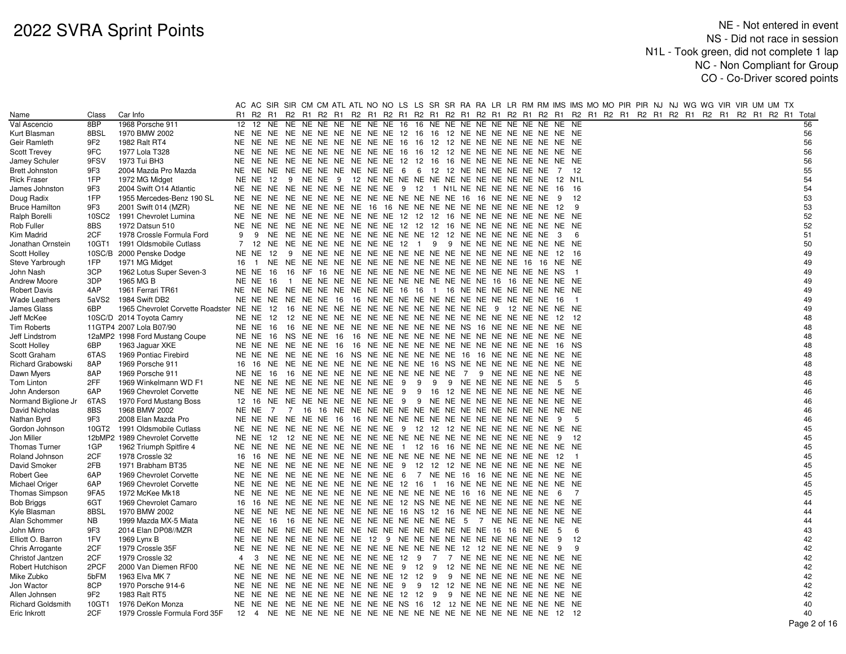|                                      |                   |                                        |                 | AC AC SIR SIR CM CM ATL ATL NO NO LS LS SR SR RA RA LR LR RM RM IMS IMS MO MO PIR PIR NJ NJ WG WG VIR VIR UM UM TX |                |                                                             |  |  |                                    |  |  |  |     |                |  |  |  |                                                                                                 |  |              |
|--------------------------------------|-------------------|----------------------------------------|-----------------|--------------------------------------------------------------------------------------------------------------------|----------------|-------------------------------------------------------------|--|--|------------------------------------|--|--|--|-----|----------------|--|--|--|-------------------------------------------------------------------------------------------------|--|--------------|
| Name                                 | Class             | Car Info                               | R1              | R2 R1 R2 R1 R2 R1                                                                                                  |                |                                                             |  |  |                                    |  |  |  |     |                |  |  |  | R2 R1 R2 R1 R2 R1 R2 R1 R2 R1 R2 R1 R2 R1 R2 R1 R2 R1 R2 R1 R2 R1 R2 R1 R2 R1 R2 R1 R2 R1 Total |  |              |
| Val Ascencio                         | 8BP               | 1968 Porsche 911                       | 12 <sup>°</sup> | 12 NE NE NE NE NE NE NE NE 16 16 NE NE NE NE NE NE NE NE NE NE NE                                                  |                |                                                             |  |  |                                    |  |  |  |     |                |  |  |  |                                                                                                 |  | 56           |
| Kurt Blasman                         | 8BSL              | 1970 BMW 2002                          |                 | NE NE NE NE NE NE NE NE NE NE 12 16 16 12 NE NE NE NE NE NE NE NE NE                                               |                |                                                             |  |  |                                    |  |  |  |     |                |  |  |  |                                                                                                 |  | 56           |
| Geir Ramleth                         | 9F <sub>2</sub>   | 1982 Ralt RT4                          |                 | NE NE NE NE NE NE NE NE NE NE 16 16 12 12 NE NE NE NE NE NE NE NE                                                  |                |                                                             |  |  |                                    |  |  |  |     |                |  |  |  |                                                                                                 |  | 56           |
| <b>Scott Trevey</b>                  | 9FC               | 1977 Lola T328                         |                 | NE NE NE NE NE NE NE NE NE NE 16 16 12 12 NE NE NE NE NE NE NE NE                                                  |                |                                                             |  |  |                                    |  |  |  |     |                |  |  |  |                                                                                                 |  | 56           |
| Jamey Schuler                        | 9FSV              | 1973 Tui BH3                           |                 | NE NE NE NE NE NE NE NE NE NE 12 12 16 16 NE NE NE NE NE NE NE NE NE                                               |                |                                                             |  |  |                                    |  |  |  |     |                |  |  |  |                                                                                                 |  | 56           |
| <b>Brett Johnston</b>                | 9F3               | 2004 Mazda Pro Mazda                   |                 | NE NE NE NE NE NE NE NE NE NE 6 6 12 12 NE NE NE NE NE NE                                                          |                |                                                             |  |  |                                    |  |  |  | 7   | 12             |  |  |  |                                                                                                 |  | 55           |
| <b>Rick Fraser</b>                   | 1FP               | 1972 MG Midget                         |                 | NE NE 12                                                                                                           | 9              | NE NE 9 12 NE NE NE NE NE NE NE NE NE NE NE NE 12 N1L       |  |  |                                    |  |  |  |     |                |  |  |  |                                                                                                 |  | 54           |
| James Johnston                       | 9F3               | 2004 Swift O14 Atlantic                |                 | NE NE NE NE NE NE NE NE NE NE NE 9 12 1 N1L NE NE NE NE NE NE 16                                                   |                |                                                             |  |  |                                    |  |  |  |     | - 16           |  |  |  |                                                                                                 |  | 54           |
| Doug Radix                           | 1FP               | 1955 Mercedes-Benz 190 SL              |                 |                                                                                                                    |                |                                                             |  |  |                                    |  |  |  |     | 12             |  |  |  |                                                                                                 |  | 53           |
| <b>Bruce Hamilton</b>                | 9F3               | 2001 Swift 014 (MZR)                   |                 | NE NE NE NE NE NE NE NE 16 16 NE NE NE NE NE NE NE NE NE NE 12                                                     |                |                                                             |  |  |                                    |  |  |  |     | -9             |  |  |  |                                                                                                 |  | 53           |
| Ralph Borelli                        | 10SC <sub>2</sub> | 1991 Chevrolet Lumina                  |                 | NE NE NE NE NE NE NE NE NE NE 12 12 12 16 NE NE NE NE NE NE NE NE NE                                               |                |                                                             |  |  |                                    |  |  |  |     |                |  |  |  |                                                                                                 |  | 52           |
| Rob Fuller                           | 8BS               | 1972 Datsun 510                        |                 | NE NE NE NE NE NE NE NE NE NE 12 12 12 16 NE NE NE NE NE NE NE NE NE                                               |                |                                                             |  |  |                                    |  |  |  |     |                |  |  |  |                                                                                                 |  | 52           |
| Kim Madrid                           | 2CF               | 1978 Crossle Formula Ford              | 9               | -9                                                                                                                 |                | NE NE NE NE NE NE NE NE NE NE 12 12 NE NE NE NE NE NE NE    |  |  |                                    |  |  |  | - 3 | 6              |  |  |  |                                                                                                 |  | 51           |
| Jonathan Ornstein                    | 10GT1             | 1991 Oldsmobile Cutlass                |                 | 7 12 NE NE NE NE NE NE NE NE 12 1 9 9 NE NE NE NE NE NE NE NE NE                                                   |                |                                                             |  |  |                                    |  |  |  |     |                |  |  |  |                                                                                                 |  | 50           |
|                                      |                   | 10SC/B 2000 Penske Dodge               |                 | NE NE<br>12                                                                                                        |                |                                                             |  |  |                                    |  |  |  |     |                |  |  |  |                                                                                                 |  | 49           |
| Scott Holley<br>Steve Yarbrough      | 1FP               |                                        |                 |                                                                                                                    |                |                                                             |  |  |                                    |  |  |  |     |                |  |  |  |                                                                                                 |  | 49           |
|                                      | 3CP               | 1971 MG Midget                         |                 | 16 1                                                                                                               |                |                                                             |  |  |                                    |  |  |  |     |                |  |  |  |                                                                                                 |  |              |
| John Nash                            |                   | 1962 Lotus Super Seven-3               |                 | NE NE<br>- 16                                                                                                      |                |                                                             |  |  |                                    |  |  |  |     | $\mathbf{1}$   |  |  |  |                                                                                                 |  | 49           |
| Andrew Moore                         | 3DP               | 1965 MG B                              |                 | <b>NE NE 16</b>                                                                                                    | $\overline{1}$ | NE NE NE NE NE NE NE NE NE NE NE NE 16 16 NE NE NE NE       |  |  |                                    |  |  |  |     |                |  |  |  |                                                                                                 |  | 49           |
| <b>Robert Davis</b>                  | 4AP               | 1961 Ferrari TR61                      |                 | NE NE NE NE NE NE NE NE NE NE 16 16 16 16 NE NE NE NE NE NE NE NE NE                                               |                |                                                             |  |  |                                    |  |  |  |     |                |  |  |  |                                                                                                 |  | 49           |
| <b>Wade Leathers</b>                 | 5aVS2             | 1984 Swift DB2                         |                 |                                                                                                                    |                |                                                             |  |  |                                    |  |  |  |     | $\overline{1}$ |  |  |  |                                                                                                 |  | 49           |
| <b>James Glass</b>                   | 6BP               | 1965 Chevrolet Corvette Roadster NE NE |                 |                                                                                                                    |                |                                                             |  |  |                                    |  |  |  |     |                |  |  |  |                                                                                                 |  | 49           |
| Jeff McKee                           |                   | 10SC/D 2014 Toyota Camry               |                 | NE NE<br>12                                                                                                        |                |                                                             |  |  |                                    |  |  |  |     | - 12           |  |  |  |                                                                                                 |  | 48           |
| <b>Tim Roberts</b>                   |                   | 11GTP4 2007 Lola B07/90                |                 | <b>NE NE 16</b>                                                                                                    |                | 16 NE NE NE NE NE NE NE NE NE NE NE NS 16 NE NE NE NE NE NE |  |  |                                    |  |  |  |     |                |  |  |  |                                                                                                 |  | 48           |
| Jeff Lindstrom                       |                   | 12aMP2 1998 Ford Mustang Coupe         |                 | NE NE 16                                                                                                           |                |                                                             |  |  |                                    |  |  |  |     |                |  |  |  |                                                                                                 |  | 48           |
| Scott Holley                         | 6BP               | 1963 Jaguar XKE                        |                 | NE NE NE NE NE NE 16                                                                                               |                |                                                             |  |  |                                    |  |  |  |     | NS.            |  |  |  |                                                                                                 |  | 48           |
| Scott Graham                         | 6TAS              | 1969 Pontiac Firebird                  |                 | NE NE NE NE NE NE 16 NS NE NE NE NE NE NE 16 16 NE NE NE NE NE NE                                                  |                |                                                             |  |  |                                    |  |  |  |     |                |  |  |  |                                                                                                 |  | 48           |
| Richard Grabowski                    | 8AP               | 1969 Porsche 911                       |                 | 16 16 NE NE NE NE NE NE NE NE NE NE NE 16 NS NE NE NE NE NE NE NE NE NE                                            |                |                                                             |  |  |                                    |  |  |  |     |                |  |  |  |                                                                                                 |  | 48           |
| Dawn Myers                           | 8AP               | 1969 Porsche 911                       |                 | NE NE<br>16                                                                                                        |                | 16 NE NE NE NE NE NE NE NE NE NE 7 9 NE NE NE NE NE NE      |  |  |                                    |  |  |  |     |                |  |  |  |                                                                                                 |  | 48           |
| Tom Linton                           | 2FF               | 1969 Winkelmann WD F1                  |                 | NE NE NE NE NE NE NE NE NE NE 9                                                                                    |                |                                                             |  |  | 9 9 9 NE NE NE NE NE NE 5          |  |  |  |     | -5             |  |  |  |                                                                                                 |  | 46           |
| John Anderson                        | 6AP               | 1969 Chevrolet Corvette                |                 | NE NE NE NE NE NE NE NE NE NE 9 9 16 12 NE NE NE NE NE NE NE NE NE                                                 |                |                                                             |  |  |                                    |  |  |  |     |                |  |  |  |                                                                                                 |  | 46           |
| Normand Biglione Jr                  | 6TAS              | 1970 Ford Mustang Boss                 |                 | 12 16 NE NE NE NE NE NE NE NE 9 9 NE NE NE NE NE NE NE NE NE NE NE                                                 |                |                                                             |  |  |                                    |  |  |  |     |                |  |  |  |                                                                                                 |  | 46           |
| David Nicholas                       | 8BS               | 1968 BMW 2002                          |                 | NE NE<br><sup>7</sup>                                                                                              |                |                                                             |  |  |                                    |  |  |  |     |                |  |  |  |                                                                                                 |  | 46           |
| Nathan Byrd                          | 9F3               | 2008 Elan Mazda Pro                    |                 | NE NE NE NE NE NE 16 16 NE NE NE NE NE NE NE NE NE NE NE NE NE                                                     |                |                                                             |  |  |                                    |  |  |  | - 9 | 5              |  |  |  |                                                                                                 |  | 46           |
| Gordon Johnson                       | 10GT2             | 1991 Oldsmobile Cutlass                |                 | NE NE NE NE NE NE NE NE NE NE 9 12 12 12 NE NE NE NE NE NE NE NE                                                   |                |                                                             |  |  |                                    |  |  |  |     |                |  |  |  |                                                                                                 |  | 45           |
| Jon Miller                           |                   | 12bMP2 1989 Chevrolet Corvette         |                 |                                                                                                                    |                |                                                             |  |  |                                    |  |  |  |     | 12             |  |  |  |                                                                                                 |  | 45           |
| <b>Thomas Turner</b>                 | 1GP               | 1962 Triumph Spitfire 4                |                 | NE NE NE NE NE NE NE NE NE NE 1 12 16 16 NE NE NE NE NE NE NE NE NE                                                |                |                                                             |  |  |                                    |  |  |  |     |                |  |  |  |                                                                                                 |  | 45           |
| Roland Johnson                       | 2CF               | 1978 Crossle 32                        |                 | 16 16                                                                                                              |                |                                                             |  |  |                                    |  |  |  |     | $\overline{1}$ |  |  |  |                                                                                                 |  | 45           |
| David Smoker                         | 2FB               | 1971 Brabham BT35                      |                 | NE NE NE NE NE NE NE NE NE NE 9 12 12 12 NE NE NE NE NE NE NE NE                                                   |                |                                                             |  |  |                                    |  |  |  |     |                |  |  |  |                                                                                                 |  | 45           |
| Robert Gee                           | 6AP               | 1969 Chevrolet Corvette                |                 | NE NE NE NE NE NE NE NE NE NE 6 7 NE NE 16 16 NE NE NE NE NE NE NE                                                 |                |                                                             |  |  |                                    |  |  |  |     |                |  |  |  |                                                                                                 |  | 45           |
| Michael Origer                       | 6AP               | 1969 Chevrolet Corvette                |                 | NE NE NE NE NE NE NE NE NE NE 12 16 1 16 NE NE NE NE NE NE NE NE NE                                                |                |                                                             |  |  |                                    |  |  |  |     |                |  |  |  |                                                                                                 |  | 45           |
| <b>Thomas Simpson</b>                | 9FA5              | 1972 McKee Mk18                        |                 |                                                                                                                    |                |                                                             |  |  |                                    |  |  |  | - 6 | 7              |  |  |  |                                                                                                 |  | 45           |
| <b>Bob Briggs</b>                    | 6GT               | 1969 Chevrolet Camaro                  | 16              | 16 NE NE NE NE NE NE NE NE 12 NS NE NE NE NE NE NE NE NE NE NE NE                                                  |                |                                                             |  |  |                                    |  |  |  |     |                |  |  |  |                                                                                                 |  | 44           |
| Kyle Blasman                         | 8BSL              | 1970 BMW 2002                          |                 | NE NE NE NE NE NE NE NE NE NE 16 NS 12 16 NE NE NE NE NE NE NE NE NE                                               |                |                                                             |  |  |                                    |  |  |  |     |                |  |  |  |                                                                                                 |  | 44           |
| Alan Schommer                        | <b>NB</b>         | 1999 Mazda MX-5 Miata                  | NE NE           | 16                                                                                                                 |                | 16 NE NE NE NE NE NE NE NE NE NE 5 7 NE NE NE NE NE NE      |  |  |                                    |  |  |  |     |                |  |  |  |                                                                                                 |  | 44           |
| John Mirro                           | 9F3               | 2014 Elan DP08//MZR                    |                 |                                                                                                                    |                |                                                             |  |  |                                    |  |  |  |     | 6              |  |  |  |                                                                                                 |  | 43           |
| Elliott O. Barron                    | 1FV               | 1969 Lynx B                            |                 | NE NE NE NE NE NE NE NE 12 9 NE NE NE NE NE NE NE NE NE NE NE                                                      |                |                                                             |  |  |                                    |  |  |  | -9  | 12             |  |  |  |                                                                                                 |  | 42           |
|                                      | 2CF               | 1979 Crossle 35F                       |                 |                                                                                                                    |                |                                                             |  |  |                                    |  |  |  | - 9 | 9              |  |  |  |                                                                                                 |  | 42           |
| Chris Arrogante                      | 2CF               | 1979 Crossle 32                        | $\overline{4}$  | 3                                                                                                                  |                | NE NE NE NE NE NE NE NE 12 9 7 7 NE NE NE NE NE NE NE NE    |  |  |                                    |  |  |  |     |                |  |  |  |                                                                                                 |  | 42           |
| Christof Jantzen<br>Robert Hutchison | 2PCF              |                                        |                 |                                                                                                                    |                |                                                             |  |  |                                    |  |  |  |     |                |  |  |  |                                                                                                 |  | 42           |
|                                      |                   | 2000 Van Diemen RF00                   |                 | NE NE NE NE NE NE NE NE NE NE 9 12 9 12 NE NE NE NE NE NE NE NE                                                    |                |                                                             |  |  |                                    |  |  |  |     |                |  |  |  |                                                                                                 |  |              |
| Mike Zubko                           | 5bFM              | 1963 Elva MK 7                         |                 | NE NE NE NE NE NE NE NE NE NE 12 12 9 9 NE NE NE NE NE NE NE NE NE                                                 |                |                                                             |  |  |                                    |  |  |  |     |                |  |  |  |                                                                                                 |  | 42           |
| Jon Wactor                           | 8CP               | 1970 Porsche 914-6                     |                 | NE NE NE NE NE NE NE NE NE NE 9                                                                                    |                |                                                             |  |  | 9 12 12 NE NE NE NE NE NE NE NE NE |  |  |  |     |                |  |  |  |                                                                                                 |  | 42           |
| Allen Johnsen                        | 9F <sub>2</sub>   | 1983 Ralt RT5                          |                 | NE NE NE NE NE NE NE NE NE NE 12 12 9 9 NE NE NE NE NE NE NE NE NE                                                 |                |                                                             |  |  |                                    |  |  |  |     |                |  |  |  |                                                                                                 |  | 42           |
| <b>Richard Goldsmith</b>             | 10GT1             | 1976 DeKon Monza                       |                 | NE NE NE NE NE NE NE NE NE NE NE NS 16 12 12 NE NE NE NE NE NE NE NE NE                                            |                |                                                             |  |  |                                    |  |  |  |     |                |  |  |  |                                                                                                 |  | 40           |
| Eric Inkrott                         | 2CF               | 1979 Crossle Formula Ford 35F          |                 |                                                                                                                    |                |                                                             |  |  |                                    |  |  |  |     |                |  |  |  |                                                                                                 |  | 40           |
|                                      |                   |                                        |                 |                                                                                                                    |                |                                                             |  |  |                                    |  |  |  |     |                |  |  |  |                                                                                                 |  | Page 2 of 16 |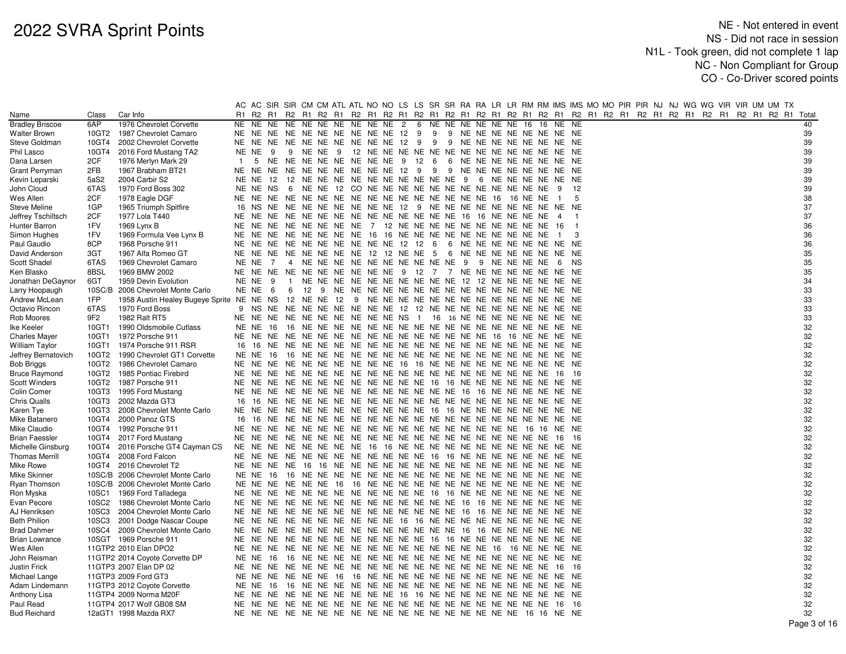|                           |       |                                           | AC             |     |                 |              |                                    |  |  |                                       |   |                                                                         |  |  |                | AC SIR SIR CM CM ATL ATL NO NO LS LS SR SR RA RA LR LR RM RM IMS IMS MO MO PIR PIR NJ NJ WG WG VIR VIR UM UM TX   |  |  |  |  |              |
|---------------------------|-------|-------------------------------------------|----------------|-----|-----------------|--------------|------------------------------------|--|--|---------------------------------------|---|-------------------------------------------------------------------------|--|--|----------------|-------------------------------------------------------------------------------------------------------------------|--|--|--|--|--------------|
| Name                      | Class | Car Info                                  | R1             |     |                 |              |                                    |  |  |                                       |   |                                                                         |  |  |                | R2 R1 R2 R1 R2 R1 R2 R1 R2 R1 R2 R1 R2 R1 R2 R1 R2 R1 R2 R1 R2 R1 R2 R1 R2 R1 R2 R1 R2 R1 R2 R1 R2 R1 R2 R1 Total |  |  |  |  |              |
| <b>Bradley Briscoe</b>    | 6AP   | 1976 Chevrolet Corvette                   |                |     |                 |              | NE NE NE NE NE NE NE NE NE NE 2    |  |  | 6                                     |   | NE NE NE NE NE NE 16 16 NE NE                                           |  |  |                |                                                                                                                   |  |  |  |  | 40           |
| Walter Brown              | 10GT2 | 1987 Chevrolet Camaro                     |                |     |                 |              | NE NE NE NE NE NE NE NE NE NE 12 9 |  |  |                                       |   | 9 9 NE NE NE NE NE NE NE NE                                             |  |  |                |                                                                                                                   |  |  |  |  | 39           |
| Steve Goldman             | 10GT4 | 2002 Chevrolet Corvette                   | NE.            | NE. |                 |              | NE NE NE NE NE NE NE NE 12 9       |  |  |                                       | 9 | 9 NE NE NE NE NE NE NE NE                                               |  |  |                |                                                                                                                   |  |  |  |  | 39           |
| Phil Lasco                | 10GT4 | 2016 Ford Mustang TA2                     | NE NE          |     | - 9             | 9            |                                    |  |  |                                       |   |                                                                         |  |  |                |                                                                                                                   |  |  |  |  | 39           |
| Dana Larsen               | 2CF   | 1976 Merlyn Mark 29                       | $\overline{1}$ |     |                 |              |                                    |  |  | 5 NE NE NE NE NE NE NE NE 9 12 6      |   | 6 NE NE NE NE NE NE NE NE                                               |  |  |                |                                                                                                                   |  |  |  |  | 39           |
| <b>Grant Perryman</b>     | 2FB   | 1967 Brabham BT21                         |                |     |                 |              |                                    |  |  |                                       |   | NE NE NE NE NE NE NE NE NE NE 12 9 9 9 NE NE NE NE NE NE NE NE NE       |  |  |                |                                                                                                                   |  |  |  |  | 39           |
| Kevin Leparski            | 5aS2  | 2004 Carbir S2                            | NE NE          |     | 12              |              |                                    |  |  |                                       |   | 12 NE NE NE NE NE NE NE NE NE NE 9 6 NE NE NE NE NE NE                  |  |  |                |                                                                                                                   |  |  |  |  | 39           |
| John Cloud                | 6TAS  | 1970 Ford Boss 302                        | NE NE          |     | NS.             |              |                                    |  |  |                                       |   | 6 NE NE 12 CO NE NE NE NE NE NE NE NE NE NE NE NE NE                    |  |  | -9             | -12                                                                                                               |  |  |  |  | 39           |
| Wes Allen                 | 2CF   | 1978 Eagle DGF                            |                |     |                 |              |                                    |  |  |                                       |   |                                                                         |  |  | $\overline{1}$ | 5                                                                                                                 |  |  |  |  | 38           |
| <b>Steve Meline</b>       | 1GP   | 1965 Triumph Spitfire                     | 16             | NS. |                 |              |                                    |  |  |                                       |   | NE NE NE NE NE NE NE NE 12 9 NE NE NE NE NE NE NE NE NE NE              |  |  |                |                                                                                                                   |  |  |  |  | 37           |
| Jeffrey Tschiltsch        | 2CF   | 1977 Lola T440                            |                |     |                 |              |                                    |  |  |                                       |   |                                                                         |  |  | $\overline{4}$ |                                                                                                                   |  |  |  |  | 37           |
| Hunter Barron             | 1FV   | 1969 Lynx B                               |                |     |                 |              |                                    |  |  |                                       |   | NE NE NE NE NE NE NE NE 7 12 NE NE NE NE NE NE NE NE NE NE              |  |  | 16             | $\overline{\phantom{1}}$                                                                                          |  |  |  |  | 36           |
| Simon Hughes              | 1FV   | 1969 Formula Vee Lynx B                   |                |     |                 |              |                                    |  |  |                                       |   | NE NE NE NE NE NE NE NE 16 16 NE NE NE NE NE NE NE NE NE NE NE          |  |  | $\overline{1}$ | -3                                                                                                                |  |  |  |  | 36           |
| Paul Gaudio               | 8CP   | 1968 Porsche 911                          |                |     |                 |              |                                    |  |  | NE NE NE NE NE NE NE NE NE NE 12 12 6 |   | 6 NE NE NE NE NE NE NE NE                                               |  |  |                |                                                                                                                   |  |  |  |  | 36           |
| David Anderson            | 3GT   | 1967 Alfa Romeo GT                        |                |     |                 |              |                                    |  |  |                                       |   | NE NE NE NE NE NE NE NE 12 12 NE NE 5 6 NE NE NE NE NE NE NE NE NE      |  |  |                |                                                                                                                   |  |  |  |  | 35           |
| Scott Shadel              | 6TAS  | 1969 Chevrolet Camaro                     | NE NE          |     | $7\overline{ }$ |              |                                    |  |  |                                       |   | 4 NE NE NE NE NE NE NE NE NE NE 9 9 NE NE NE NE                         |  |  | - 6            | <b>NS</b>                                                                                                         |  |  |  |  | 35           |
| Ken Blasko                | 8BSL  | 1969 BMW 2002                             |                |     |                 |              |                                    |  |  |                                       |   | NE NE NE NE NE NE NE NE NE NE 9 12 7 7 NE NE NE NE NE NE NE NE          |  |  |                |                                                                                                                   |  |  |  |  | 35           |
| Jonathan DeGaynor         | 6GT   | 1959 Devin Evolution                      | NE NE          |     | - 9             | $\mathbf{1}$ |                                    |  |  |                                       |   | NE NE NE NE NE NE NE NE NE NE 12 12 NE NE NE NE NE NE                   |  |  |                |                                                                                                                   |  |  |  |  | 34           |
| Larry Hoopaugh            |       | 10SC/B 2006 Chevrolet Monte Carlo         | NE NE          |     | 6               | 6<br>12      |                                    |  |  |                                       |   |                                                                         |  |  |                |                                                                                                                   |  |  |  |  | 33           |
| Andrew McLean             | 1FP   | 1958 Austin Healey Bugeye Sprite NE NE NS |                |     |                 |              | 12 NE NE 12                        |  |  |                                       |   |                                                                         |  |  |                |                                                                                                                   |  |  |  |  | 33           |
| Octavio Rincon            | 6TAS  | 1970 Ford Boss                            |                |     |                 |              |                                    |  |  |                                       |   | 9 NS NE NE NE NE NE NE NE NE 12 12 NE NE NE NE NE NE NE NE NE NE NE     |  |  |                |                                                                                                                   |  |  |  |  | 33           |
| Rob Moores                | 9F2   | 1982 Ralt RT5                             | NE NE          |     |                 |              |                                    |  |  |                                       |   | NE NE NE NE NE NE NE NE NS 1 16 16 NE NE NE NE NE NE NE NE              |  |  |                |                                                                                                                   |  |  |  |  | 33           |
| Ike Keeler                | 10GT1 | 1990 Oldsmobile Cutlass                   | NE NE          |     | 16              |              |                                    |  |  |                                       |   |                                                                         |  |  |                |                                                                                                                   |  |  |  |  | 32           |
| <b>Charles Mayer</b>      | 10GT1 | 1972 Porsche 911                          |                |     |                 |              |                                    |  |  |                                       |   |                                                                         |  |  |                |                                                                                                                   |  |  |  |  | 32           |
| William Taylor            | 10GT1 | 1974 Porsche 911 RSR                      | 16 16          |     |                 |              |                                    |  |  |                                       |   |                                                                         |  |  |                |                                                                                                                   |  |  |  |  | 32           |
| Jeffrey Bernatovich       | 10GT2 | 1990 Chevrolet GT1 Corvette               | NE NE          |     | 16              |              |                                    |  |  |                                       |   |                                                                         |  |  |                |                                                                                                                   |  |  |  |  | 32           |
| Bob Briggs                | 10GT2 | 1986 Chevrolet Camaro                     | NE NE          |     |                 |              |                                    |  |  |                                       |   | NE NE NE NE NE NE NE NE 16 16 NE NE NE NE NE NE NE NE NE NE             |  |  |                |                                                                                                                   |  |  |  |  | 32           |
| <b>Bruce Raymond</b>      | 10GT2 | 1985 Pontiac Firebird                     |                |     |                 |              |                                    |  |  |                                       |   |                                                                         |  |  | - 16           | - 16                                                                                                              |  |  |  |  | 32           |
| Scott Winders             | 10GT2 | 1987 Porsche 911                          | NE.            |     |                 |              |                                    |  |  |                                       |   | NE NE NE NE NE NE NE NE NE NE NE NE 16 16 NE NE NE NE NE NE NE NE NE    |  |  |                |                                                                                                                   |  |  |  |  | 32           |
| Colin Comer               | 10GT3 | 1995 Ford Mustang                         | NE.            |     |                 |              |                                    |  |  |                                       |   | NE NE NE NE NE NE NE NE NE NE NE NE NE 16 16 NE NE NE NE NE NE NE       |  |  |                |                                                                                                                   |  |  |  |  | 32           |
| <b>Chris Qualls</b>       | 10GT3 | 2002 Mazda GT3                            | 16             | -16 |                 |              |                                    |  |  |                                       |   |                                                                         |  |  |                |                                                                                                                   |  |  |  |  | 32           |
| Karen Tye                 | 10GT3 | 2008 Chevrolet Monte Carlo                | NE NE          |     |                 |              |                                    |  |  |                                       |   | NE NE NE NE NE NE NE NE NE NE 16 16 NE NE NE NE NE NE NE NE             |  |  |                |                                                                                                                   |  |  |  |  | 32           |
| Mike Batanero             | 10GT4 | 2000 Panoz GTS                            | 16             |     |                 |              |                                    |  |  |                                       |   |                                                                         |  |  |                |                                                                                                                   |  |  |  |  | 32           |
| Mike Claudio              |       | 10GT4 1992 Porsche 911                    |                |     |                 |              |                                    |  |  |                                       |   |                                                                         |  |  |                |                                                                                                                   |  |  |  |  | 32           |
| Brian Faessler            | 10GT4 | 2017 Ford Mustang                         | NE NE          |     |                 |              |                                    |  |  |                                       |   |                                                                         |  |  | - 16           | - 16                                                                                                              |  |  |  |  | 32           |
| Michelle Ginsburg         | 10GT4 | 2016 Porsche GT4 Cayman CS                |                |     |                 |              |                                    |  |  |                                       |   | NE NE NE NE NE NE NE NE 16 16 NE NE NE NE NE NE NE NE NE NE NE NE       |  |  |                |                                                                                                                   |  |  |  |  | 32           |
| <b>Thomas Merrill</b>     | 10GT4 | 2008 Ford Falcon                          |                |     |                 |              |                                    |  |  |                                       |   | NE NE NE NE NE NE NE NE NE NE NE NE NE 16 16 NE NE NE NE NE NE NE NE NE |  |  |                |                                                                                                                   |  |  |  |  | 32           |
| Mike Rowe                 |       | 10GT4 2016 Chevrolet T2                   | NE NE          |     | NE NE           |              |                                    |  |  |                                       |   |                                                                         |  |  |                |                                                                                                                   |  |  |  |  | 32           |
| Mike Skinner              |       | 10SC/B 2006 Chevrolet Monte Carlo         | NE NE          |     | - 16            |              |                                    |  |  |                                       |   |                                                                         |  |  |                |                                                                                                                   |  |  |  |  | 32           |
| Ryan Thomson              |       | 10SC/B 2006 Chevrolet Monte Carlo         |                |     |                 |              |                                    |  |  |                                       |   |                                                                         |  |  |                |                                                                                                                   |  |  |  |  | 32           |
| Ron Myska                 | 10SC1 | 1969 Ford Talladega                       | NE NE          |     |                 |              |                                    |  |  |                                       |   | NE NE NE NE NE NE NE NE NE NE 16 16 NE NE NE NE NE NE NE NE             |  |  |                |                                                                                                                   |  |  |  |  | 32           |
| Evan Pecore               | 10SC2 | 1986 Chevrolet Monte Carlo                | NE.            | NE  |                 |              |                                    |  |  |                                       |   | NE NE NE NE NE NE NE NE NE NE NE NE 16 16 NE NE NE NE NE NE             |  |  |                |                                                                                                                   |  |  |  |  | 32           |
| AJ Henriksen              | 10SC3 | 2004 Chevrolet Monte Carlo                |                |     |                 |              |                                    |  |  |                                       |   |                                                                         |  |  |                |                                                                                                                   |  |  |  |  | 32           |
| <b>Beth Philion</b>       | 10SC3 | 2001 Dodge Nascar Coupe                   |                |     |                 |              |                                    |  |  |                                       |   | NE NE NE NE NE NE NE NE NE NE NE 16 16 NE NE NE NE NE NE NE NE NE NE    |  |  |                |                                                                                                                   |  |  |  |  | 32           |
| <b>Brad Dahmer</b>        | 10SC4 | 2009 Chevrolet Monte Carlo                | NE.            | NE  |                 |              |                                    |  |  |                                       |   | NE NE NE NE NE NE NE NE NE NE NE NE 16 16 NE NE NE NE NE NE             |  |  |                |                                                                                                                   |  |  |  |  | 32           |
| Brian Lowrance            |       | 10SGT 1969 Porsche 911                    | NE             |     |                 |              |                                    |  |  |                                       |   | NE NE NE NE NE NE NE NE NE NE NE 16 16 NE NE NE NE NE NE NE NE NE       |  |  |                |                                                                                                                   |  |  |  |  | 32           |
| Wes Allen                 |       | 11GTP2 2010 Elan DPO2                     |                |     |                 |              |                                    |  |  |                                       |   |                                                                         |  |  |                |                                                                                                                   |  |  |  |  | 32           |
| John Reisman              |       | 11GTP2 2014 Coyote Corvette DP            | NE NE          |     | 16              |              |                                    |  |  |                                       |   |                                                                         |  |  |                |                                                                                                                   |  |  |  |  | 32           |
| Justin Frick              |       | 11GTP3 2007 Elan DP 02                    |                |     |                 |              |                                    |  |  |                                       |   |                                                                         |  |  | 16             | 16                                                                                                                |  |  |  |  | 32           |
| Michael Lange             |       | 11GTP3 2009 Ford GT3                      | NE NE          |     |                 |              | NE NE NE NE 16                     |  |  |                                       |   |                                                                         |  |  |                |                                                                                                                   |  |  |  |  | 32           |
| Adam Lindemann            |       | 11GTP3 2012 Coyote Corvette               | NE NE          |     | 16              |              |                                    |  |  |                                       |   |                                                                         |  |  |                |                                                                                                                   |  |  |  |  | 32           |
|                           |       | 11GTP4 2009 Norma M20F                    |                |     |                 |              |                                    |  |  |                                       |   | NE NE NE NE NE NE NE NE NE NE 16 16 NE NE NE NE NE NE NE NE NE NE NE    |  |  |                |                                                                                                                   |  |  |  |  | 32           |
| Anthony Lisa<br>Paul Read |       | 11GTP4 2017 Wolf GB08 SM                  |                |     |                 |              |                                    |  |  |                                       |   |                                                                         |  |  | 16 16          |                                                                                                                   |  |  |  |  | 32           |
| <b>Bud Reichard</b>       |       | 12aGT1 1998 Mazda RX7                     |                |     |                 |              |                                    |  |  |                                       |   |                                                                         |  |  |                |                                                                                                                   |  |  |  |  | 32           |
|                           |       |                                           |                |     |                 |              |                                    |  |  |                                       |   |                                                                         |  |  |                |                                                                                                                   |  |  |  |  |              |
|                           |       |                                           |                |     |                 |              |                                    |  |  |                                       |   |                                                                         |  |  |                |                                                                                                                   |  |  |  |  | Page 3 of 16 |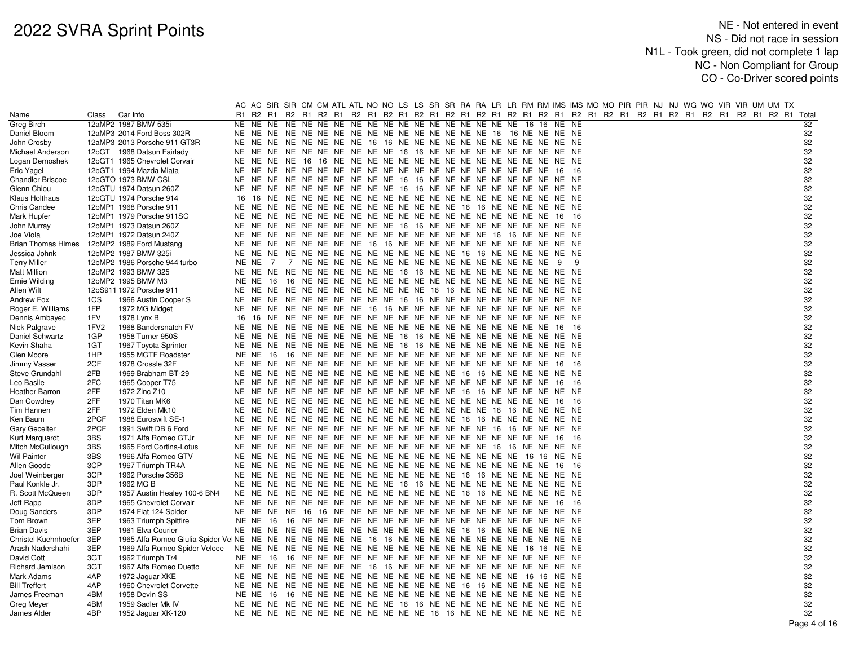|                                  |                  |                                                                                                        |     | AC AC SIR SIR CM CM ATL ATL NO NO LS LS SR SR RA RA LR LR RM RM IMS IMS MO MO PIR PIR NJ NJ WG WG VIR VIR UM UM TX   |  |  |  |  |  |  |  |      |       |  |  |  |  |  |              |
|----------------------------------|------------------|--------------------------------------------------------------------------------------------------------|-----|----------------------------------------------------------------------------------------------------------------------|--|--|--|--|--|--|--|------|-------|--|--|--|--|--|--------------|
| Name                             | Class            | Car Info                                                                                               |     | R1 R2 R1 R2 R1 R2 R1 R2 R1 R2 R1 R2 R1 R2 R1 R2 R1 R2 R1 R2 R1 R2 R1 R2 R1 R2 R1 R2 R1 R2 R1 R2 R1 R2 R1 R2 R1 Total |  |  |  |  |  |  |  |      |       |  |  |  |  |  |              |
| Greg Birch                       |                  | 12aMP2 1987 BMW 535i                                                                                   |     | NE NE NE                                                                                                             |  |  |  |  |  |  |  |      |       |  |  |  |  |  | 32           |
| Daniel Bloom                     |                  | 12aMP3 2014 Ford Boss 302R                                                                             |     |                                                                                                                      |  |  |  |  |  |  |  |      |       |  |  |  |  |  | 32           |
| John Crosby                      |                  | 12aMP3 2013 Porsche 911 GT3R                                                                           |     | NE NE NE NE NE NE NE NE 16 16 NE NE NE NE NE NE NE NE NE NE NE NE NE                                                 |  |  |  |  |  |  |  |      |       |  |  |  |  |  | 32           |
| Michael Anderson                 |                  | 12bGT 1968 Datsun Fairlady                                                                             |     | NE NE NE NE NE NE NE NE NE NE 16 16 NE NE NE NE NE NE NE NE NE NE NE                                                 |  |  |  |  |  |  |  |      |       |  |  |  |  |  | 32           |
| Logan Dernoshek                  |                  | 12bGT1 1965 Chevrolet Corvair                                                                          |     |                                                                                                                      |  |  |  |  |  |  |  |      |       |  |  |  |  |  | 32           |
| Eric Yagel                       |                  | 12bGT1 1994 Mazda Miata                                                                                | NE. | NE                                                                                                                   |  |  |  |  |  |  |  | -16  | 16    |  |  |  |  |  | 32           |
| <b>Chandler Briscoe</b>          |                  | 12bGTO 1973 BMW CSL                                                                                    |     | NE NE NE NE NE NE NE NE NE NE 16 16 NE NE NE NE NE NE NE NE NE NE NE                                                 |  |  |  |  |  |  |  |      |       |  |  |  |  |  | 32           |
| Glenn Chiou                      |                  | 12bGTU 1974 Datsun 260Z                                                                                |     | NE NE NE NE NE NE NE NE NE NE 16 16 NE NE NE NE NE NE NE NE NE NE                                                    |  |  |  |  |  |  |  |      |       |  |  |  |  |  | 32           |
| Klaus Holthaus                   |                  | 12bGTU 1974 Porsche 914                                                                                | 16  | 16                                                                                                                   |  |  |  |  |  |  |  |      |       |  |  |  |  |  | 32           |
| Chris Candee                     |                  | 12bMP1 1968 Porsche 911                                                                                | NE. |                                                                                                                      |  |  |  |  |  |  |  |      |       |  |  |  |  |  | 32           |
| Mark Hupfer                      |                  | 12bMP1 1979 Porsche 911SC                                                                              |     |                                                                                                                      |  |  |  |  |  |  |  |      | - 16  |  |  |  |  |  | 32           |
| John Murray                      |                  | 12bMP1 1973 Datsun 260Z                                                                                |     | NE NE NE NE NE NE NE NE NE NE 16 16 NE NE NE NE NE NE NE NE NE NE                                                    |  |  |  |  |  |  |  |      |       |  |  |  |  |  | 32           |
| Joe Viola                        |                  | 12bMP1 1972 Datsun 240Z                                                                                | NE. |                                                                                                                      |  |  |  |  |  |  |  |      |       |  |  |  |  |  | 32           |
| Brian Thomas Himes               |                  | 12bMP2 1989 Ford Mustang                                                                               |     | NE NE NE NE NE NE NE NE 16 16 NE NE NE NE NE NE NE NE NE NE NE NE NE                                                 |  |  |  |  |  |  |  |      |       |  |  |  |  |  | 32           |
| Jessica Johnk                    |                  | 12bMP2 1987 BMW 325i                                                                                   |     |                                                                                                                      |  |  |  |  |  |  |  |      |       |  |  |  |  |  | 32           |
| <b>Terry Miller</b>              |                  | 12bMP2 1986 Porsche 944 turbo                                                                          |     | NE NE<br>$\overline{7}$                                                                                              |  |  |  |  |  |  |  | - 9  | 9     |  |  |  |  |  | 32           |
| <b>Matt Million</b>              |                  | 12bMP2 1993 BMW 325                                                                                    |     | NE NE NE NE NE NE NE NE NE NE 16 16 NE NE NE NE NE NE NE NE NE NE NE                                                 |  |  |  |  |  |  |  |      |       |  |  |  |  |  | 32           |
| Ernie Wilding                    |                  | 12bMP2 1995 BMW M3                                                                                     |     | NE NE 16                                                                                                             |  |  |  |  |  |  |  |      |       |  |  |  |  |  | 32           |
| Allen Wilt                       |                  | 12bS911 1972 Porsche 911                                                                               |     | NE NE NE NE NE NE NE NE NE NE NE NE NE 16 16 NE NE NE NE NE NE NE NE NE                                              |  |  |  |  |  |  |  |      |       |  |  |  |  |  | 32           |
| Andrew Fox                       | 1CS              | 1966 Austin Cooper S                                                                                   |     | NE NE NE NE NE NE NE NE NE NE 16 16 NE NE NE NE NE NE NE NE NE NE NE                                                 |  |  |  |  |  |  |  |      |       |  |  |  |  |  | 32           |
| Roger E. Williams                | 1FP              | 1972 MG Midget                                                                                         |     | NE NE NE NE NE NE NE NE 16 16 NE NE NE NE NE NE NE NE NE NE NE NE NE                                                 |  |  |  |  |  |  |  |      |       |  |  |  |  |  | 32           |
| Dennis Ambayec                   | 1FV              | 1978 Lynx B                                                                                            | 16  |                                                                                                                      |  |  |  |  |  |  |  |      |       |  |  |  |  |  | 32           |
| Nick Palgrave                    | 1FV <sub>2</sub> | 1968 Bandersnatch FV                                                                                   |     |                                                                                                                      |  |  |  |  |  |  |  |      | 16    |  |  |  |  |  | 32           |
| Daniel Schwartz                  | 1GP              | 1958 Turner 950S                                                                                       |     | NE NE NE NE NE NE NE NE NE NE NE 16 16 NE NE NE NE NE NE NE NE NE NE                                                 |  |  |  |  |  |  |  |      |       |  |  |  |  |  | 32           |
| Kevin Shaha                      | 1GT              | 1967 Toyota Sprinter                                                                                   |     | NE NE NE NE NE NE NE NE NE NE NE 16 16 NE NE NE NE NE NE NE NE NE NE                                                 |  |  |  |  |  |  |  |      |       |  |  |  |  |  | 32           |
| Glen Moore                       | 1HP              | 1955 MGTF Roadster                                                                                     |     | NE NE 16                                                                                                             |  |  |  |  |  |  |  |      |       |  |  |  |  |  | 32           |
| Jimmy Vasser                     | 2CF              | 1978 Crossle 32F                                                                                       |     |                                                                                                                      |  |  |  |  |  |  |  | - 16 | - 16  |  |  |  |  |  | 32           |
| Steve Grundahl                   | 2FB              | 1969 Brabham BT-29                                                                                     |     |                                                                                                                      |  |  |  |  |  |  |  |      |       |  |  |  |  |  | 32           |
| Leo Basile                       | 2FC              | 1965 Cooper T75                                                                                        | NE. |                                                                                                                      |  |  |  |  |  |  |  | 16   | -16   |  |  |  |  |  | 32           |
| <b>Heather Barron</b>            | 2FF<br>2FF       | 1972 Zinc Z10                                                                                          |     |                                                                                                                      |  |  |  |  |  |  |  |      |       |  |  |  |  |  | 32<br>32     |
| Dan Cowdrey                      | 2FF              | 1970 Titan MK6<br>1972 Elden Mk10                                                                      |     |                                                                                                                      |  |  |  |  |  |  |  | 16   | - 16  |  |  |  |  |  | 32           |
| Tim Hannen                       | 2PCF             |                                                                                                        | NE. |                                                                                                                      |  |  |  |  |  |  |  |      |       |  |  |  |  |  | 32           |
| Ken Baum<br><b>Gary Gecelter</b> | 2PCF             | 1988 Euroswift SE-1<br>1991 Swift DB 6 Ford                                                            |     |                                                                                                                      |  |  |  |  |  |  |  |      |       |  |  |  |  |  | 32           |
| Kurt Marquardt                   | 3BS              | 1971 Alfa Romeo GTJr                                                                                   |     |                                                                                                                      |  |  |  |  |  |  |  |      | - 16  |  |  |  |  |  | 32           |
| Mitch McCullough                 | 3BS              | 1965 Ford Cortina-Lotus                                                                                |     |                                                                                                                      |  |  |  |  |  |  |  |      |       |  |  |  |  |  | 32           |
| <b>Wil Painter</b>               | 3BS              | 1966 Alfa Romeo GTV                                                                                    |     |                                                                                                                      |  |  |  |  |  |  |  |      |       |  |  |  |  |  | 32           |
| Allen Goode                      | 3CP              | 1967 Triumph TR4A                                                                                      |     |                                                                                                                      |  |  |  |  |  |  |  | - 16 | - 16  |  |  |  |  |  | 32           |
| Joel Weinberger                  | 3CP              | 1962 Porsche 356B                                                                                      | NE  |                                                                                                                      |  |  |  |  |  |  |  |      |       |  |  |  |  |  | 32           |
| Paul Konkle Jr.                  | 3DP              | 1962 MG B                                                                                              |     | NE NE NE NE NE NE NE NE NE NE 16 16 NE NE NE NE NE NE NE NE NE NE NE                                                 |  |  |  |  |  |  |  |      |       |  |  |  |  |  | 32           |
| R. Scott McQueen                 | 3DP              | 1957 Austin Healey 100-6 BN4                                                                           |     |                                                                                                                      |  |  |  |  |  |  |  |      |       |  |  |  |  |  | 32           |
| Jeff Rapp                        | 3DP              | 1965 Chevrolet Corvair                                                                                 |     |                                                                                                                      |  |  |  |  |  |  |  | - 16 | - 16  |  |  |  |  |  | 32           |
| Doug Sanders                     | 3DP              | 1974 Fiat 124 Spider                                                                                   |     |                                                                                                                      |  |  |  |  |  |  |  |      |       |  |  |  |  |  | 32           |
| Tom Brown                        | 3EP              | 1963 Triumph Spitfire                                                                                  |     | NE NE<br>- 16                                                                                                        |  |  |  |  |  |  |  |      |       |  |  |  |  |  | 32           |
| <b>Brian Davis</b>               | 3EP              | 1961 Elva Courier                                                                                      |     |                                                                                                                      |  |  |  |  |  |  |  |      |       |  |  |  |  |  | 32           |
| Christel Kuehnhoefer             | 3EP              | 1965 Alfa Romeo Giulia Spider Vel NE NE NE NE NE NE NE NE 16 16 NE NE NE NE NE NE NE NE NE NE NE NE NE |     |                                                                                                                      |  |  |  |  |  |  |  |      |       |  |  |  |  |  | 32           |
| Arash Nadershahi                 | 3EP              | 1969 Alfa Romeo Spider Veloce                                                                          |     |                                                                                                                      |  |  |  |  |  |  |  |      | NE NE |  |  |  |  |  | 32           |
| David Gott                       | 3GT              | 1962 Triumph Tr4                                                                                       |     | <b>NE NE 16</b>                                                                                                      |  |  |  |  |  |  |  |      |       |  |  |  |  |  | 32           |
| Richard Jemison                  | 3GT              | 1967 Alfa Romeo Duetto                                                                                 |     | NE NE NE NE NE NE NE NE 16 16 NE NE NE NE NE NE NE NE NE NE NE NE NE                                                 |  |  |  |  |  |  |  |      |       |  |  |  |  |  | 32           |
| Mark Adams                       | 4AP              | 1972 Jaguar XKE                                                                                        |     |                                                                                                                      |  |  |  |  |  |  |  |      |       |  |  |  |  |  | 32           |
| <b>Bill Treffert</b>             | 4AP              | 1960 Chevrolet Corvette                                                                                |     |                                                                                                                      |  |  |  |  |  |  |  |      |       |  |  |  |  |  | 32           |
| James Freeman                    | 4BM              | 1958 Devin SS                                                                                          |     | NE NE 16                                                                                                             |  |  |  |  |  |  |  |      |       |  |  |  |  |  | 32           |
| Greg Meyer                       | 4BM              | 1959 Sadler Mk IV                                                                                      |     | NE NE NE NE NE NE NE NE NE NE NE 16 16 NE NE NE NE NE NE NE NE NE NE                                                 |  |  |  |  |  |  |  |      |       |  |  |  |  |  | 32           |
| James Alder                      | 4BP              | 1952 Jaguar XK-120                                                                                     |     | NE NE NE NE NE NE NE NE NE NE NE NE NE 16 16 NE NE NE NE NE NE NE NE NE                                              |  |  |  |  |  |  |  |      |       |  |  |  |  |  | 32           |
|                                  |                  |                                                                                                        |     |                                                                                                                      |  |  |  |  |  |  |  |      |       |  |  |  |  |  | Page 4 of 16 |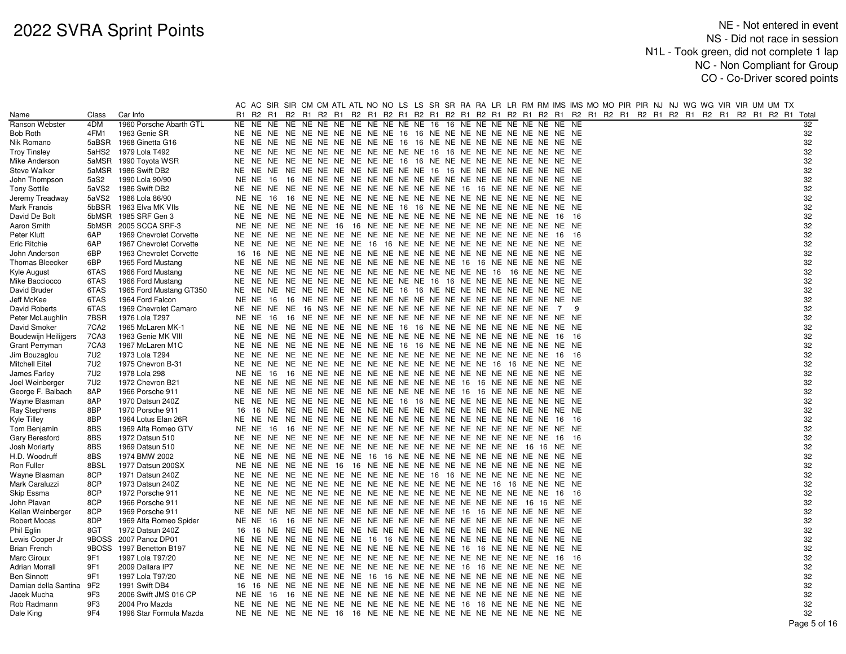| R1 R2 R1 R2 R1 R2 R1 R2 R1 R2 R1 R2 R1 R2 R1 R2 R1 R2 R1 R2 R1 R2 R1 R2 R1 R2 R1 R2 R1 R2 R1 R2 R1 R2 R1 R2 R1 Total<br>Class<br>Car Info<br>Name<br>1960 Porsche Abarth GTL<br>32<br>Ranson Webster<br>4DM<br>NE NE NE NE NE NE NE NE NE NE NE NE NE 16 16 NE NE NE NE NE NE NE NE NE<br>32<br>4FM1<br>1963 Genie SR<br>NE NE NE NE NE NE NE NE NE NE 16 16 NE NE NE NE NE NE NE NE NE NE NE<br>Bob Roth<br>32<br>5aBSR<br>1968 Ginetta G16<br>NE NE NE NE NE NE NE NE NE NE 16 16 NE NE NE NE NE NE NE NE NE NE<br>Nik Romano<br>NE.<br>32<br>5aHS2<br>1979 Lola T492<br>NE NE NE NE NE NE NE NE NE NE NE NE 16 16 NE NE NE NE NE NE NE NE NE<br><b>Troy Tinsley</b><br>32<br>5aMSR<br>1990 Toyota WSR<br>NE NE NE NE NE NE NE NE NE NE 16 16 NE NE NE NE NE NE NE NE NE NE NE<br>Mike Anderson<br>32<br>NE NE NE NE NE NE NE NE NE NE NE NE 16 16 NE NE NE NE NE NE NE NE NE<br><b>Steve Walker</b><br>5aMSR<br>1986 Swift DB2<br>32<br>John Thompson<br>5aS2<br>1990 Lola 90/90<br>NE NE 16<br>32<br>5aVS2<br>1986 Swift DB2<br><b>Tony Sottile</b><br>32<br>5aVS2<br>Jeremy Treadway<br>1986 Lola 86/90<br>NE NE<br>16<br>32<br>5bBSR<br>Mark Francis<br>1963 Elva MK VIIs<br>NE NE NE NE NE NE NE NE NE NE 16 16 NE NE NE NE NE NE NE NE NE NE<br>NE.<br>32<br>David De Bolt<br>5bMSR<br>1985 SRF Gen 3<br>- 16<br>32<br>Aaron Smith<br>5bMSR<br>2005 SCCA SRF-3<br>32<br>Peter Klutt<br>6AP<br>1969 Chevrolet Corvette<br>NE.<br>-16<br>32<br>6AP<br>Eric Ritchie<br>1967 Chevrolet Corvette<br>NE NE NE NE NE NE NE NE 16 16 NE NE NE NE NE NE NE NE NE NE NE NE NE<br>32<br>6BP<br>1963 Chevrolet Corvette<br>John Anderson<br>16 16<br>32<br><b>Thomas Bleecker</b><br>6BP<br>1965 Ford Mustang<br>NE NE NE NE NE NE NE NE NE NE NE NE NE 16 16 NE NE NE NE NE NE NE<br>NE.<br>32<br>6TAS<br>1966 Ford Mustang<br>Kyle August<br>32<br>Mike Bacciocco<br>6TAS<br>1966 Ford Mustang<br>NE NE NE NE NE NE NE NE NE NE NE NE NE 16 16 NE NE NE NE NE NE NE NE NE<br>32<br>David Bruder<br>6TAS<br>1965 Ford Mustang GT350<br>NE NE NE NE NE NE NE NE NE NE NE 16 16 NE NE NE NE NE NE NE NE NE NE<br>32<br>Jeff McKee<br>6TAS<br>1964 Ford Falcon<br>NE NE 16<br>32<br>David Roberts<br>6TAS<br>1969 Chevrolet Camaro<br>9<br>32<br>Peter McLaughlin<br>7BSR<br>1976 Lola T297<br>NE NE 16<br>32<br>David Smoker<br>7CA2<br>1965 McLaren MK-1<br>NE NE NE NE NE NE NE NE NE NE NE 16 16 NE NE NE NE NE NE NE NE NE NE<br>32<br><b>Boudewijn Heilijgers</b><br>7CA3<br>1963 Genie MK VIII<br>- 16<br>32<br>7CA3<br>1967 McLaren M1C<br>NE NE NE NE NE NE NE NE NE 16 16 NE NE NE NE NE NE NE NE NE NE NE<br>Grant Perryman<br>NE.<br>32<br>Jim Bouzaglou<br>7U2<br>1973 Lola T294<br>- 16<br>32<br>Mitchell Eitel<br>7U2<br>1975 Chevron B-31<br>32<br>James Farley<br>7U2<br>1978 Lola 298<br>NE NE<br>16<br>32<br>Joel Weinberger<br>7U2<br>1972 Chevron B21<br>NE NE NE NE NE NE NE NE NE NE NE NE NE 16 16 NE NE NE NE NE NE NE<br>NE.<br>32<br>George F. Balbach<br>8AP<br>1966 Porsche 911<br>32<br>Wayne Blasman<br>8AP<br>1970 Datsun 240Z<br>NE NE NE NE NE NE NE NE NE NE 16 16 NE NE NE NE NE NE NE NE NE NE NE<br>32<br>Ray Stephens<br>8BP<br>1970 Porsche 911<br>16<br>16<br>8BP<br>32<br>Kyle Tilley<br>1964 Lotus Elan 26R<br>- 16<br>32<br>8BS<br>1969 Alfa Romeo GTV<br>Tom Benjamin<br>32<br>Gary Beresford<br>8BS<br>1972 Datsun 510<br>NE<br>- 16<br>32<br>8BS<br>1969 Datsun 510<br>Josh Moriarty<br>32<br>H.D. Woodruff<br>8BS<br>1974 BMW 2002<br>NE NE NE NE NE NE NE NE 16 16 NE NE NE NE NE NE NE NE NE NE NE NE NE<br>32<br>Ron Fuller<br>8BSL<br>1977 Datsun 200SX<br>32<br>8CP<br>NE NE NE NE NE NE NE NE NE NE NE NE 16 16 NE NE NE NE NE NE NE NE NE<br>Wayne Blasman<br>1971 Datsun 240Z<br>32<br>Mark Caraluzzi<br>8CP<br>1973 Datsun 240Z<br>32<br>8CP<br>Skip Essma<br>1972 Porsche 911<br>- 16<br>32<br>John Plavan<br>8CP<br>1966 Porsche 911<br>NE.<br>32<br>Kellan Weinberger<br>8CP<br>1969 Porsche 911<br>8DP<br>32<br><b>Robert Mocas</b><br>1969 Alfa Romeo Spider<br>NE NE<br>16<br>32<br>8GT<br>Phil Eglin<br>1972 Datsun 240Z<br>16<br>9BOSS<br>2007 Panoz DP01<br>NE NE NE NE NE NE NE NE 16 16 NE NE NE NE NE NE NE NE NE NE NE NE NE<br>32<br>Lewis Cooper Jr<br>32<br><b>Brian French</b><br>9BOSS<br>1997 Benetton B197<br>NE NE NE NE NE NE NE NE NE NE NE NE NE 16 16 NE NE NE NE NE NE NE<br>NE<br>32<br>Marc Giroux<br>9F1<br>1997 Lola T97/20<br>- 16<br>9F1<br>32<br><b>Adrian Morrall</b><br>2009 Dallara IP7<br>32<br>9F1<br><b>Ben Sinnott</b><br>1997 Lola T97/20<br>NE NE NE NE NE NE NE NE 16 16 NE NE NE NE NE NE NE NE NE NE NE NE NE<br>32<br>Damian della Santina 9F2<br>1991 Swift DB4<br>16<br>16<br>32<br>Jacek Mucha<br>9F3<br>2006 Swift JMS 016 CP<br>NE NE 16<br>9F3<br>32<br>Rob Radmann<br>2004 Pro Mazda<br>32<br>9F4<br>1996 Star Formula Mazda<br>Dale King<br>Page 5 of 16 |  |  | AC AC SIR SIR CM CM ATL ATL NO NO LS LS SR SR RA RA LR LR RM RM IMS IMS MO MO PIR PIR NJ NJ WG WG VIR VIR UM UM TX |  |  |  |  |  |  |  |  |  |  |  |  |  |  |
|-------------------------------------------------------------------------------------------------------------------------------------------------------------------------------------------------------------------------------------------------------------------------------------------------------------------------------------------------------------------------------------------------------------------------------------------------------------------------------------------------------------------------------------------------------------------------------------------------------------------------------------------------------------------------------------------------------------------------------------------------------------------------------------------------------------------------------------------------------------------------------------------------------------------------------------------------------------------------------------------------------------------------------------------------------------------------------------------------------------------------------------------------------------------------------------------------------------------------------------------------------------------------------------------------------------------------------------------------------------------------------------------------------------------------------------------------------------------------------------------------------------------------------------------------------------------------------------------------------------------------------------------------------------------------------------------------------------------------------------------------------------------------------------------------------------------------------------------------------------------------------------------------------------------------------------------------------------------------------------------------------------------------------------------------------------------------------------------------------------------------------------------------------------------------------------------------------------------------------------------------------------------------------------------------------------------------------------------------------------------------------------------------------------------------------------------------------------------------------------------------------------------------------------------------------------------------------------------------------------------------------------------------------------------------------------------------------------------------------------------------------------------------------------------------------------------------------------------------------------------------------------------------------------------------------------------------------------------------------------------------------------------------------------------------------------------------------------------------------------------------------------------------------------------------------------------------------------------------------------------------------------------------------------------------------------------------------------------------------------------------------------------------------------------------------------------------------------------------------------------------------------------------------------------------------------------------------------------------------------------------------------------------------------------------------------------------------------------------------------------------------------------------------------------------------------------------------------------------------------------------------------------------------------------------------------------------------------------------------------------------------------------------------------------------------------------------------------------------------------------------------------------------------------------------------------------------------------------------------------------------------------------------------------------------------------------------------------------------------------------------------------------------------------------------------------------------------------------------------------------------------------------------------------------------------------------------------------------------------------------------------------------------------------------------------------------------------------------------------------------------------------------------------------------------------------------------------------------------------------------|--|--|--------------------------------------------------------------------------------------------------------------------|--|--|--|--|--|--|--|--|--|--|--|--|--|--|
|                                                                                                                                                                                                                                                                                                                                                                                                                                                                                                                                                                                                                                                                                                                                                                                                                                                                                                                                                                                                                                                                                                                                                                                                                                                                                                                                                                                                                                                                                                                                                                                                                                                                                                                                                                                                                                                                                                                                                                                                                                                                                                                                                                                                                                                                                                                                                                                                                                                                                                                                                                                                                                                                                                                                                                                                                                                                                                                                                                                                                                                                                                                                                                                                                                                                                                                                                                                                                                                                                                                                                                                                                                                                                                                                                                                                                                                                                                                                                                                                                                                                                                                                                                                                                                                                                                                                                                                                                                                                                                                                                                                                                                                                                                                                                                                                                                                                   |  |  |                                                                                                                    |  |  |  |  |  |  |  |  |  |  |  |  |  |  |
|                                                                                                                                                                                                                                                                                                                                                                                                                                                                                                                                                                                                                                                                                                                                                                                                                                                                                                                                                                                                                                                                                                                                                                                                                                                                                                                                                                                                                                                                                                                                                                                                                                                                                                                                                                                                                                                                                                                                                                                                                                                                                                                                                                                                                                                                                                                                                                                                                                                                                                                                                                                                                                                                                                                                                                                                                                                                                                                                                                                                                                                                                                                                                                                                                                                                                                                                                                                                                                                                                                                                                                                                                                                                                                                                                                                                                                                                                                                                                                                                                                                                                                                                                                                                                                                                                                                                                                                                                                                                                                                                                                                                                                                                                                                                                                                                                                                                   |  |  |                                                                                                                    |  |  |  |  |  |  |  |  |  |  |  |  |  |  |
|                                                                                                                                                                                                                                                                                                                                                                                                                                                                                                                                                                                                                                                                                                                                                                                                                                                                                                                                                                                                                                                                                                                                                                                                                                                                                                                                                                                                                                                                                                                                                                                                                                                                                                                                                                                                                                                                                                                                                                                                                                                                                                                                                                                                                                                                                                                                                                                                                                                                                                                                                                                                                                                                                                                                                                                                                                                                                                                                                                                                                                                                                                                                                                                                                                                                                                                                                                                                                                                                                                                                                                                                                                                                                                                                                                                                                                                                                                                                                                                                                                                                                                                                                                                                                                                                                                                                                                                                                                                                                                                                                                                                                                                                                                                                                                                                                                                                   |  |  |                                                                                                                    |  |  |  |  |  |  |  |  |  |  |  |  |  |  |
|                                                                                                                                                                                                                                                                                                                                                                                                                                                                                                                                                                                                                                                                                                                                                                                                                                                                                                                                                                                                                                                                                                                                                                                                                                                                                                                                                                                                                                                                                                                                                                                                                                                                                                                                                                                                                                                                                                                                                                                                                                                                                                                                                                                                                                                                                                                                                                                                                                                                                                                                                                                                                                                                                                                                                                                                                                                                                                                                                                                                                                                                                                                                                                                                                                                                                                                                                                                                                                                                                                                                                                                                                                                                                                                                                                                                                                                                                                                                                                                                                                                                                                                                                                                                                                                                                                                                                                                                                                                                                                                                                                                                                                                                                                                                                                                                                                                                   |  |  |                                                                                                                    |  |  |  |  |  |  |  |  |  |  |  |  |  |  |
|                                                                                                                                                                                                                                                                                                                                                                                                                                                                                                                                                                                                                                                                                                                                                                                                                                                                                                                                                                                                                                                                                                                                                                                                                                                                                                                                                                                                                                                                                                                                                                                                                                                                                                                                                                                                                                                                                                                                                                                                                                                                                                                                                                                                                                                                                                                                                                                                                                                                                                                                                                                                                                                                                                                                                                                                                                                                                                                                                                                                                                                                                                                                                                                                                                                                                                                                                                                                                                                                                                                                                                                                                                                                                                                                                                                                                                                                                                                                                                                                                                                                                                                                                                                                                                                                                                                                                                                                                                                                                                                                                                                                                                                                                                                                                                                                                                                                   |  |  |                                                                                                                    |  |  |  |  |  |  |  |  |  |  |  |  |  |  |
|                                                                                                                                                                                                                                                                                                                                                                                                                                                                                                                                                                                                                                                                                                                                                                                                                                                                                                                                                                                                                                                                                                                                                                                                                                                                                                                                                                                                                                                                                                                                                                                                                                                                                                                                                                                                                                                                                                                                                                                                                                                                                                                                                                                                                                                                                                                                                                                                                                                                                                                                                                                                                                                                                                                                                                                                                                                                                                                                                                                                                                                                                                                                                                                                                                                                                                                                                                                                                                                                                                                                                                                                                                                                                                                                                                                                                                                                                                                                                                                                                                                                                                                                                                                                                                                                                                                                                                                                                                                                                                                                                                                                                                                                                                                                                                                                                                                                   |  |  |                                                                                                                    |  |  |  |  |  |  |  |  |  |  |  |  |  |  |
|                                                                                                                                                                                                                                                                                                                                                                                                                                                                                                                                                                                                                                                                                                                                                                                                                                                                                                                                                                                                                                                                                                                                                                                                                                                                                                                                                                                                                                                                                                                                                                                                                                                                                                                                                                                                                                                                                                                                                                                                                                                                                                                                                                                                                                                                                                                                                                                                                                                                                                                                                                                                                                                                                                                                                                                                                                                                                                                                                                                                                                                                                                                                                                                                                                                                                                                                                                                                                                                                                                                                                                                                                                                                                                                                                                                                                                                                                                                                                                                                                                                                                                                                                                                                                                                                                                                                                                                                                                                                                                                                                                                                                                                                                                                                                                                                                                                                   |  |  |                                                                                                                    |  |  |  |  |  |  |  |  |  |  |  |  |  |  |
|                                                                                                                                                                                                                                                                                                                                                                                                                                                                                                                                                                                                                                                                                                                                                                                                                                                                                                                                                                                                                                                                                                                                                                                                                                                                                                                                                                                                                                                                                                                                                                                                                                                                                                                                                                                                                                                                                                                                                                                                                                                                                                                                                                                                                                                                                                                                                                                                                                                                                                                                                                                                                                                                                                                                                                                                                                                                                                                                                                                                                                                                                                                                                                                                                                                                                                                                                                                                                                                                                                                                                                                                                                                                                                                                                                                                                                                                                                                                                                                                                                                                                                                                                                                                                                                                                                                                                                                                                                                                                                                                                                                                                                                                                                                                                                                                                                                                   |  |  |                                                                                                                    |  |  |  |  |  |  |  |  |  |  |  |  |  |  |
|                                                                                                                                                                                                                                                                                                                                                                                                                                                                                                                                                                                                                                                                                                                                                                                                                                                                                                                                                                                                                                                                                                                                                                                                                                                                                                                                                                                                                                                                                                                                                                                                                                                                                                                                                                                                                                                                                                                                                                                                                                                                                                                                                                                                                                                                                                                                                                                                                                                                                                                                                                                                                                                                                                                                                                                                                                                                                                                                                                                                                                                                                                                                                                                                                                                                                                                                                                                                                                                                                                                                                                                                                                                                                                                                                                                                                                                                                                                                                                                                                                                                                                                                                                                                                                                                                                                                                                                                                                                                                                                                                                                                                                                                                                                                                                                                                                                                   |  |  |                                                                                                                    |  |  |  |  |  |  |  |  |  |  |  |  |  |  |
|                                                                                                                                                                                                                                                                                                                                                                                                                                                                                                                                                                                                                                                                                                                                                                                                                                                                                                                                                                                                                                                                                                                                                                                                                                                                                                                                                                                                                                                                                                                                                                                                                                                                                                                                                                                                                                                                                                                                                                                                                                                                                                                                                                                                                                                                                                                                                                                                                                                                                                                                                                                                                                                                                                                                                                                                                                                                                                                                                                                                                                                                                                                                                                                                                                                                                                                                                                                                                                                                                                                                                                                                                                                                                                                                                                                                                                                                                                                                                                                                                                                                                                                                                                                                                                                                                                                                                                                                                                                                                                                                                                                                                                                                                                                                                                                                                                                                   |  |  |                                                                                                                    |  |  |  |  |  |  |  |  |  |  |  |  |  |  |
|                                                                                                                                                                                                                                                                                                                                                                                                                                                                                                                                                                                                                                                                                                                                                                                                                                                                                                                                                                                                                                                                                                                                                                                                                                                                                                                                                                                                                                                                                                                                                                                                                                                                                                                                                                                                                                                                                                                                                                                                                                                                                                                                                                                                                                                                                                                                                                                                                                                                                                                                                                                                                                                                                                                                                                                                                                                                                                                                                                                                                                                                                                                                                                                                                                                                                                                                                                                                                                                                                                                                                                                                                                                                                                                                                                                                                                                                                                                                                                                                                                                                                                                                                                                                                                                                                                                                                                                                                                                                                                                                                                                                                                                                                                                                                                                                                                                                   |  |  |                                                                                                                    |  |  |  |  |  |  |  |  |  |  |  |  |  |  |
|                                                                                                                                                                                                                                                                                                                                                                                                                                                                                                                                                                                                                                                                                                                                                                                                                                                                                                                                                                                                                                                                                                                                                                                                                                                                                                                                                                                                                                                                                                                                                                                                                                                                                                                                                                                                                                                                                                                                                                                                                                                                                                                                                                                                                                                                                                                                                                                                                                                                                                                                                                                                                                                                                                                                                                                                                                                                                                                                                                                                                                                                                                                                                                                                                                                                                                                                                                                                                                                                                                                                                                                                                                                                                                                                                                                                                                                                                                                                                                                                                                                                                                                                                                                                                                                                                                                                                                                                                                                                                                                                                                                                                                                                                                                                                                                                                                                                   |  |  |                                                                                                                    |  |  |  |  |  |  |  |  |  |  |  |  |  |  |
|                                                                                                                                                                                                                                                                                                                                                                                                                                                                                                                                                                                                                                                                                                                                                                                                                                                                                                                                                                                                                                                                                                                                                                                                                                                                                                                                                                                                                                                                                                                                                                                                                                                                                                                                                                                                                                                                                                                                                                                                                                                                                                                                                                                                                                                                                                                                                                                                                                                                                                                                                                                                                                                                                                                                                                                                                                                                                                                                                                                                                                                                                                                                                                                                                                                                                                                                                                                                                                                                                                                                                                                                                                                                                                                                                                                                                                                                                                                                                                                                                                                                                                                                                                                                                                                                                                                                                                                                                                                                                                                                                                                                                                                                                                                                                                                                                                                                   |  |  |                                                                                                                    |  |  |  |  |  |  |  |  |  |  |  |  |  |  |
|                                                                                                                                                                                                                                                                                                                                                                                                                                                                                                                                                                                                                                                                                                                                                                                                                                                                                                                                                                                                                                                                                                                                                                                                                                                                                                                                                                                                                                                                                                                                                                                                                                                                                                                                                                                                                                                                                                                                                                                                                                                                                                                                                                                                                                                                                                                                                                                                                                                                                                                                                                                                                                                                                                                                                                                                                                                                                                                                                                                                                                                                                                                                                                                                                                                                                                                                                                                                                                                                                                                                                                                                                                                                                                                                                                                                                                                                                                                                                                                                                                                                                                                                                                                                                                                                                                                                                                                                                                                                                                                                                                                                                                                                                                                                                                                                                                                                   |  |  |                                                                                                                    |  |  |  |  |  |  |  |  |  |  |  |  |  |  |
|                                                                                                                                                                                                                                                                                                                                                                                                                                                                                                                                                                                                                                                                                                                                                                                                                                                                                                                                                                                                                                                                                                                                                                                                                                                                                                                                                                                                                                                                                                                                                                                                                                                                                                                                                                                                                                                                                                                                                                                                                                                                                                                                                                                                                                                                                                                                                                                                                                                                                                                                                                                                                                                                                                                                                                                                                                                                                                                                                                                                                                                                                                                                                                                                                                                                                                                                                                                                                                                                                                                                                                                                                                                                                                                                                                                                                                                                                                                                                                                                                                                                                                                                                                                                                                                                                                                                                                                                                                                                                                                                                                                                                                                                                                                                                                                                                                                                   |  |  |                                                                                                                    |  |  |  |  |  |  |  |  |  |  |  |  |  |  |
|                                                                                                                                                                                                                                                                                                                                                                                                                                                                                                                                                                                                                                                                                                                                                                                                                                                                                                                                                                                                                                                                                                                                                                                                                                                                                                                                                                                                                                                                                                                                                                                                                                                                                                                                                                                                                                                                                                                                                                                                                                                                                                                                                                                                                                                                                                                                                                                                                                                                                                                                                                                                                                                                                                                                                                                                                                                                                                                                                                                                                                                                                                                                                                                                                                                                                                                                                                                                                                                                                                                                                                                                                                                                                                                                                                                                                                                                                                                                                                                                                                                                                                                                                                                                                                                                                                                                                                                                                                                                                                                                                                                                                                                                                                                                                                                                                                                                   |  |  |                                                                                                                    |  |  |  |  |  |  |  |  |  |  |  |  |  |  |
|                                                                                                                                                                                                                                                                                                                                                                                                                                                                                                                                                                                                                                                                                                                                                                                                                                                                                                                                                                                                                                                                                                                                                                                                                                                                                                                                                                                                                                                                                                                                                                                                                                                                                                                                                                                                                                                                                                                                                                                                                                                                                                                                                                                                                                                                                                                                                                                                                                                                                                                                                                                                                                                                                                                                                                                                                                                                                                                                                                                                                                                                                                                                                                                                                                                                                                                                                                                                                                                                                                                                                                                                                                                                                                                                                                                                                                                                                                                                                                                                                                                                                                                                                                                                                                                                                                                                                                                                                                                                                                                                                                                                                                                                                                                                                                                                                                                                   |  |  |                                                                                                                    |  |  |  |  |  |  |  |  |  |  |  |  |  |  |
|                                                                                                                                                                                                                                                                                                                                                                                                                                                                                                                                                                                                                                                                                                                                                                                                                                                                                                                                                                                                                                                                                                                                                                                                                                                                                                                                                                                                                                                                                                                                                                                                                                                                                                                                                                                                                                                                                                                                                                                                                                                                                                                                                                                                                                                                                                                                                                                                                                                                                                                                                                                                                                                                                                                                                                                                                                                                                                                                                                                                                                                                                                                                                                                                                                                                                                                                                                                                                                                                                                                                                                                                                                                                                                                                                                                                                                                                                                                                                                                                                                                                                                                                                                                                                                                                                                                                                                                                                                                                                                                                                                                                                                                                                                                                                                                                                                                                   |  |  |                                                                                                                    |  |  |  |  |  |  |  |  |  |  |  |  |  |  |
|                                                                                                                                                                                                                                                                                                                                                                                                                                                                                                                                                                                                                                                                                                                                                                                                                                                                                                                                                                                                                                                                                                                                                                                                                                                                                                                                                                                                                                                                                                                                                                                                                                                                                                                                                                                                                                                                                                                                                                                                                                                                                                                                                                                                                                                                                                                                                                                                                                                                                                                                                                                                                                                                                                                                                                                                                                                                                                                                                                                                                                                                                                                                                                                                                                                                                                                                                                                                                                                                                                                                                                                                                                                                                                                                                                                                                                                                                                                                                                                                                                                                                                                                                                                                                                                                                                                                                                                                                                                                                                                                                                                                                                                                                                                                                                                                                                                                   |  |  |                                                                                                                    |  |  |  |  |  |  |  |  |  |  |  |  |  |  |
|                                                                                                                                                                                                                                                                                                                                                                                                                                                                                                                                                                                                                                                                                                                                                                                                                                                                                                                                                                                                                                                                                                                                                                                                                                                                                                                                                                                                                                                                                                                                                                                                                                                                                                                                                                                                                                                                                                                                                                                                                                                                                                                                                                                                                                                                                                                                                                                                                                                                                                                                                                                                                                                                                                                                                                                                                                                                                                                                                                                                                                                                                                                                                                                                                                                                                                                                                                                                                                                                                                                                                                                                                                                                                                                                                                                                                                                                                                                                                                                                                                                                                                                                                                                                                                                                                                                                                                                                                                                                                                                                                                                                                                                                                                                                                                                                                                                                   |  |  |                                                                                                                    |  |  |  |  |  |  |  |  |  |  |  |  |  |  |
|                                                                                                                                                                                                                                                                                                                                                                                                                                                                                                                                                                                                                                                                                                                                                                                                                                                                                                                                                                                                                                                                                                                                                                                                                                                                                                                                                                                                                                                                                                                                                                                                                                                                                                                                                                                                                                                                                                                                                                                                                                                                                                                                                                                                                                                                                                                                                                                                                                                                                                                                                                                                                                                                                                                                                                                                                                                                                                                                                                                                                                                                                                                                                                                                                                                                                                                                                                                                                                                                                                                                                                                                                                                                                                                                                                                                                                                                                                                                                                                                                                                                                                                                                                                                                                                                                                                                                                                                                                                                                                                                                                                                                                                                                                                                                                                                                                                                   |  |  |                                                                                                                    |  |  |  |  |  |  |  |  |  |  |  |  |  |  |
|                                                                                                                                                                                                                                                                                                                                                                                                                                                                                                                                                                                                                                                                                                                                                                                                                                                                                                                                                                                                                                                                                                                                                                                                                                                                                                                                                                                                                                                                                                                                                                                                                                                                                                                                                                                                                                                                                                                                                                                                                                                                                                                                                                                                                                                                                                                                                                                                                                                                                                                                                                                                                                                                                                                                                                                                                                                                                                                                                                                                                                                                                                                                                                                                                                                                                                                                                                                                                                                                                                                                                                                                                                                                                                                                                                                                                                                                                                                                                                                                                                                                                                                                                                                                                                                                                                                                                                                                                                                                                                                                                                                                                                                                                                                                                                                                                                                                   |  |  |                                                                                                                    |  |  |  |  |  |  |  |  |  |  |  |  |  |  |
|                                                                                                                                                                                                                                                                                                                                                                                                                                                                                                                                                                                                                                                                                                                                                                                                                                                                                                                                                                                                                                                                                                                                                                                                                                                                                                                                                                                                                                                                                                                                                                                                                                                                                                                                                                                                                                                                                                                                                                                                                                                                                                                                                                                                                                                                                                                                                                                                                                                                                                                                                                                                                                                                                                                                                                                                                                                                                                                                                                                                                                                                                                                                                                                                                                                                                                                                                                                                                                                                                                                                                                                                                                                                                                                                                                                                                                                                                                                                                                                                                                                                                                                                                                                                                                                                                                                                                                                                                                                                                                                                                                                                                                                                                                                                                                                                                                                                   |  |  |                                                                                                                    |  |  |  |  |  |  |  |  |  |  |  |  |  |  |
|                                                                                                                                                                                                                                                                                                                                                                                                                                                                                                                                                                                                                                                                                                                                                                                                                                                                                                                                                                                                                                                                                                                                                                                                                                                                                                                                                                                                                                                                                                                                                                                                                                                                                                                                                                                                                                                                                                                                                                                                                                                                                                                                                                                                                                                                                                                                                                                                                                                                                                                                                                                                                                                                                                                                                                                                                                                                                                                                                                                                                                                                                                                                                                                                                                                                                                                                                                                                                                                                                                                                                                                                                                                                                                                                                                                                                                                                                                                                                                                                                                                                                                                                                                                                                                                                                                                                                                                                                                                                                                                                                                                                                                                                                                                                                                                                                                                                   |  |  |                                                                                                                    |  |  |  |  |  |  |  |  |  |  |  |  |  |  |
|                                                                                                                                                                                                                                                                                                                                                                                                                                                                                                                                                                                                                                                                                                                                                                                                                                                                                                                                                                                                                                                                                                                                                                                                                                                                                                                                                                                                                                                                                                                                                                                                                                                                                                                                                                                                                                                                                                                                                                                                                                                                                                                                                                                                                                                                                                                                                                                                                                                                                                                                                                                                                                                                                                                                                                                                                                                                                                                                                                                                                                                                                                                                                                                                                                                                                                                                                                                                                                                                                                                                                                                                                                                                                                                                                                                                                                                                                                                                                                                                                                                                                                                                                                                                                                                                                                                                                                                                                                                                                                                                                                                                                                                                                                                                                                                                                                                                   |  |  |                                                                                                                    |  |  |  |  |  |  |  |  |  |  |  |  |  |  |
|                                                                                                                                                                                                                                                                                                                                                                                                                                                                                                                                                                                                                                                                                                                                                                                                                                                                                                                                                                                                                                                                                                                                                                                                                                                                                                                                                                                                                                                                                                                                                                                                                                                                                                                                                                                                                                                                                                                                                                                                                                                                                                                                                                                                                                                                                                                                                                                                                                                                                                                                                                                                                                                                                                                                                                                                                                                                                                                                                                                                                                                                                                                                                                                                                                                                                                                                                                                                                                                                                                                                                                                                                                                                                                                                                                                                                                                                                                                                                                                                                                                                                                                                                                                                                                                                                                                                                                                                                                                                                                                                                                                                                                                                                                                                                                                                                                                                   |  |  |                                                                                                                    |  |  |  |  |  |  |  |  |  |  |  |  |  |  |
|                                                                                                                                                                                                                                                                                                                                                                                                                                                                                                                                                                                                                                                                                                                                                                                                                                                                                                                                                                                                                                                                                                                                                                                                                                                                                                                                                                                                                                                                                                                                                                                                                                                                                                                                                                                                                                                                                                                                                                                                                                                                                                                                                                                                                                                                                                                                                                                                                                                                                                                                                                                                                                                                                                                                                                                                                                                                                                                                                                                                                                                                                                                                                                                                                                                                                                                                                                                                                                                                                                                                                                                                                                                                                                                                                                                                                                                                                                                                                                                                                                                                                                                                                                                                                                                                                                                                                                                                                                                                                                                                                                                                                                                                                                                                                                                                                                                                   |  |  |                                                                                                                    |  |  |  |  |  |  |  |  |  |  |  |  |  |  |
|                                                                                                                                                                                                                                                                                                                                                                                                                                                                                                                                                                                                                                                                                                                                                                                                                                                                                                                                                                                                                                                                                                                                                                                                                                                                                                                                                                                                                                                                                                                                                                                                                                                                                                                                                                                                                                                                                                                                                                                                                                                                                                                                                                                                                                                                                                                                                                                                                                                                                                                                                                                                                                                                                                                                                                                                                                                                                                                                                                                                                                                                                                                                                                                                                                                                                                                                                                                                                                                                                                                                                                                                                                                                                                                                                                                                                                                                                                                                                                                                                                                                                                                                                                                                                                                                                                                                                                                                                                                                                                                                                                                                                                                                                                                                                                                                                                                                   |  |  |                                                                                                                    |  |  |  |  |  |  |  |  |  |  |  |  |  |  |
|                                                                                                                                                                                                                                                                                                                                                                                                                                                                                                                                                                                                                                                                                                                                                                                                                                                                                                                                                                                                                                                                                                                                                                                                                                                                                                                                                                                                                                                                                                                                                                                                                                                                                                                                                                                                                                                                                                                                                                                                                                                                                                                                                                                                                                                                                                                                                                                                                                                                                                                                                                                                                                                                                                                                                                                                                                                                                                                                                                                                                                                                                                                                                                                                                                                                                                                                                                                                                                                                                                                                                                                                                                                                                                                                                                                                                                                                                                                                                                                                                                                                                                                                                                                                                                                                                                                                                                                                                                                                                                                                                                                                                                                                                                                                                                                                                                                                   |  |  |                                                                                                                    |  |  |  |  |  |  |  |  |  |  |  |  |  |  |
|                                                                                                                                                                                                                                                                                                                                                                                                                                                                                                                                                                                                                                                                                                                                                                                                                                                                                                                                                                                                                                                                                                                                                                                                                                                                                                                                                                                                                                                                                                                                                                                                                                                                                                                                                                                                                                                                                                                                                                                                                                                                                                                                                                                                                                                                                                                                                                                                                                                                                                                                                                                                                                                                                                                                                                                                                                                                                                                                                                                                                                                                                                                                                                                                                                                                                                                                                                                                                                                                                                                                                                                                                                                                                                                                                                                                                                                                                                                                                                                                                                                                                                                                                                                                                                                                                                                                                                                                                                                                                                                                                                                                                                                                                                                                                                                                                                                                   |  |  |                                                                                                                    |  |  |  |  |  |  |  |  |  |  |  |  |  |  |
|                                                                                                                                                                                                                                                                                                                                                                                                                                                                                                                                                                                                                                                                                                                                                                                                                                                                                                                                                                                                                                                                                                                                                                                                                                                                                                                                                                                                                                                                                                                                                                                                                                                                                                                                                                                                                                                                                                                                                                                                                                                                                                                                                                                                                                                                                                                                                                                                                                                                                                                                                                                                                                                                                                                                                                                                                                                                                                                                                                                                                                                                                                                                                                                                                                                                                                                                                                                                                                                                                                                                                                                                                                                                                                                                                                                                                                                                                                                                                                                                                                                                                                                                                                                                                                                                                                                                                                                                                                                                                                                                                                                                                                                                                                                                                                                                                                                                   |  |  |                                                                                                                    |  |  |  |  |  |  |  |  |  |  |  |  |  |  |
|                                                                                                                                                                                                                                                                                                                                                                                                                                                                                                                                                                                                                                                                                                                                                                                                                                                                                                                                                                                                                                                                                                                                                                                                                                                                                                                                                                                                                                                                                                                                                                                                                                                                                                                                                                                                                                                                                                                                                                                                                                                                                                                                                                                                                                                                                                                                                                                                                                                                                                                                                                                                                                                                                                                                                                                                                                                                                                                                                                                                                                                                                                                                                                                                                                                                                                                                                                                                                                                                                                                                                                                                                                                                                                                                                                                                                                                                                                                                                                                                                                                                                                                                                                                                                                                                                                                                                                                                                                                                                                                                                                                                                                                                                                                                                                                                                                                                   |  |  |                                                                                                                    |  |  |  |  |  |  |  |  |  |  |  |  |  |  |
|                                                                                                                                                                                                                                                                                                                                                                                                                                                                                                                                                                                                                                                                                                                                                                                                                                                                                                                                                                                                                                                                                                                                                                                                                                                                                                                                                                                                                                                                                                                                                                                                                                                                                                                                                                                                                                                                                                                                                                                                                                                                                                                                                                                                                                                                                                                                                                                                                                                                                                                                                                                                                                                                                                                                                                                                                                                                                                                                                                                                                                                                                                                                                                                                                                                                                                                                                                                                                                                                                                                                                                                                                                                                                                                                                                                                                                                                                                                                                                                                                                                                                                                                                                                                                                                                                                                                                                                                                                                                                                                                                                                                                                                                                                                                                                                                                                                                   |  |  |                                                                                                                    |  |  |  |  |  |  |  |  |  |  |  |  |  |  |
|                                                                                                                                                                                                                                                                                                                                                                                                                                                                                                                                                                                                                                                                                                                                                                                                                                                                                                                                                                                                                                                                                                                                                                                                                                                                                                                                                                                                                                                                                                                                                                                                                                                                                                                                                                                                                                                                                                                                                                                                                                                                                                                                                                                                                                                                                                                                                                                                                                                                                                                                                                                                                                                                                                                                                                                                                                                                                                                                                                                                                                                                                                                                                                                                                                                                                                                                                                                                                                                                                                                                                                                                                                                                                                                                                                                                                                                                                                                                                                                                                                                                                                                                                                                                                                                                                                                                                                                                                                                                                                                                                                                                                                                                                                                                                                                                                                                                   |  |  |                                                                                                                    |  |  |  |  |  |  |  |  |  |  |  |  |  |  |
|                                                                                                                                                                                                                                                                                                                                                                                                                                                                                                                                                                                                                                                                                                                                                                                                                                                                                                                                                                                                                                                                                                                                                                                                                                                                                                                                                                                                                                                                                                                                                                                                                                                                                                                                                                                                                                                                                                                                                                                                                                                                                                                                                                                                                                                                                                                                                                                                                                                                                                                                                                                                                                                                                                                                                                                                                                                                                                                                                                                                                                                                                                                                                                                                                                                                                                                                                                                                                                                                                                                                                                                                                                                                                                                                                                                                                                                                                                                                                                                                                                                                                                                                                                                                                                                                                                                                                                                                                                                                                                                                                                                                                                                                                                                                                                                                                                                                   |  |  |                                                                                                                    |  |  |  |  |  |  |  |  |  |  |  |  |  |  |
|                                                                                                                                                                                                                                                                                                                                                                                                                                                                                                                                                                                                                                                                                                                                                                                                                                                                                                                                                                                                                                                                                                                                                                                                                                                                                                                                                                                                                                                                                                                                                                                                                                                                                                                                                                                                                                                                                                                                                                                                                                                                                                                                                                                                                                                                                                                                                                                                                                                                                                                                                                                                                                                                                                                                                                                                                                                                                                                                                                                                                                                                                                                                                                                                                                                                                                                                                                                                                                                                                                                                                                                                                                                                                                                                                                                                                                                                                                                                                                                                                                                                                                                                                                                                                                                                                                                                                                                                                                                                                                                                                                                                                                                                                                                                                                                                                                                                   |  |  |                                                                                                                    |  |  |  |  |  |  |  |  |  |  |  |  |  |  |
|                                                                                                                                                                                                                                                                                                                                                                                                                                                                                                                                                                                                                                                                                                                                                                                                                                                                                                                                                                                                                                                                                                                                                                                                                                                                                                                                                                                                                                                                                                                                                                                                                                                                                                                                                                                                                                                                                                                                                                                                                                                                                                                                                                                                                                                                                                                                                                                                                                                                                                                                                                                                                                                                                                                                                                                                                                                                                                                                                                                                                                                                                                                                                                                                                                                                                                                                                                                                                                                                                                                                                                                                                                                                                                                                                                                                                                                                                                                                                                                                                                                                                                                                                                                                                                                                                                                                                                                                                                                                                                                                                                                                                                                                                                                                                                                                                                                                   |  |  |                                                                                                                    |  |  |  |  |  |  |  |  |  |  |  |  |  |  |
|                                                                                                                                                                                                                                                                                                                                                                                                                                                                                                                                                                                                                                                                                                                                                                                                                                                                                                                                                                                                                                                                                                                                                                                                                                                                                                                                                                                                                                                                                                                                                                                                                                                                                                                                                                                                                                                                                                                                                                                                                                                                                                                                                                                                                                                                                                                                                                                                                                                                                                                                                                                                                                                                                                                                                                                                                                                                                                                                                                                                                                                                                                                                                                                                                                                                                                                                                                                                                                                                                                                                                                                                                                                                                                                                                                                                                                                                                                                                                                                                                                                                                                                                                                                                                                                                                                                                                                                                                                                                                                                                                                                                                                                                                                                                                                                                                                                                   |  |  |                                                                                                                    |  |  |  |  |  |  |  |  |  |  |  |  |  |  |
|                                                                                                                                                                                                                                                                                                                                                                                                                                                                                                                                                                                                                                                                                                                                                                                                                                                                                                                                                                                                                                                                                                                                                                                                                                                                                                                                                                                                                                                                                                                                                                                                                                                                                                                                                                                                                                                                                                                                                                                                                                                                                                                                                                                                                                                                                                                                                                                                                                                                                                                                                                                                                                                                                                                                                                                                                                                                                                                                                                                                                                                                                                                                                                                                                                                                                                                                                                                                                                                                                                                                                                                                                                                                                                                                                                                                                                                                                                                                                                                                                                                                                                                                                                                                                                                                                                                                                                                                                                                                                                                                                                                                                                                                                                                                                                                                                                                                   |  |  |                                                                                                                    |  |  |  |  |  |  |  |  |  |  |  |  |  |  |
|                                                                                                                                                                                                                                                                                                                                                                                                                                                                                                                                                                                                                                                                                                                                                                                                                                                                                                                                                                                                                                                                                                                                                                                                                                                                                                                                                                                                                                                                                                                                                                                                                                                                                                                                                                                                                                                                                                                                                                                                                                                                                                                                                                                                                                                                                                                                                                                                                                                                                                                                                                                                                                                                                                                                                                                                                                                                                                                                                                                                                                                                                                                                                                                                                                                                                                                                                                                                                                                                                                                                                                                                                                                                                                                                                                                                                                                                                                                                                                                                                                                                                                                                                                                                                                                                                                                                                                                                                                                                                                                                                                                                                                                                                                                                                                                                                                                                   |  |  |                                                                                                                    |  |  |  |  |  |  |  |  |  |  |  |  |  |  |
|                                                                                                                                                                                                                                                                                                                                                                                                                                                                                                                                                                                                                                                                                                                                                                                                                                                                                                                                                                                                                                                                                                                                                                                                                                                                                                                                                                                                                                                                                                                                                                                                                                                                                                                                                                                                                                                                                                                                                                                                                                                                                                                                                                                                                                                                                                                                                                                                                                                                                                                                                                                                                                                                                                                                                                                                                                                                                                                                                                                                                                                                                                                                                                                                                                                                                                                                                                                                                                                                                                                                                                                                                                                                                                                                                                                                                                                                                                                                                                                                                                                                                                                                                                                                                                                                                                                                                                                                                                                                                                                                                                                                                                                                                                                                                                                                                                                                   |  |  |                                                                                                                    |  |  |  |  |  |  |  |  |  |  |  |  |  |  |
|                                                                                                                                                                                                                                                                                                                                                                                                                                                                                                                                                                                                                                                                                                                                                                                                                                                                                                                                                                                                                                                                                                                                                                                                                                                                                                                                                                                                                                                                                                                                                                                                                                                                                                                                                                                                                                                                                                                                                                                                                                                                                                                                                                                                                                                                                                                                                                                                                                                                                                                                                                                                                                                                                                                                                                                                                                                                                                                                                                                                                                                                                                                                                                                                                                                                                                                                                                                                                                                                                                                                                                                                                                                                                                                                                                                                                                                                                                                                                                                                                                                                                                                                                                                                                                                                                                                                                                                                                                                                                                                                                                                                                                                                                                                                                                                                                                                                   |  |  |                                                                                                                    |  |  |  |  |  |  |  |  |  |  |  |  |  |  |
|                                                                                                                                                                                                                                                                                                                                                                                                                                                                                                                                                                                                                                                                                                                                                                                                                                                                                                                                                                                                                                                                                                                                                                                                                                                                                                                                                                                                                                                                                                                                                                                                                                                                                                                                                                                                                                                                                                                                                                                                                                                                                                                                                                                                                                                                                                                                                                                                                                                                                                                                                                                                                                                                                                                                                                                                                                                                                                                                                                                                                                                                                                                                                                                                                                                                                                                                                                                                                                                                                                                                                                                                                                                                                                                                                                                                                                                                                                                                                                                                                                                                                                                                                                                                                                                                                                                                                                                                                                                                                                                                                                                                                                                                                                                                                                                                                                                                   |  |  |                                                                                                                    |  |  |  |  |  |  |  |  |  |  |  |  |  |  |
|                                                                                                                                                                                                                                                                                                                                                                                                                                                                                                                                                                                                                                                                                                                                                                                                                                                                                                                                                                                                                                                                                                                                                                                                                                                                                                                                                                                                                                                                                                                                                                                                                                                                                                                                                                                                                                                                                                                                                                                                                                                                                                                                                                                                                                                                                                                                                                                                                                                                                                                                                                                                                                                                                                                                                                                                                                                                                                                                                                                                                                                                                                                                                                                                                                                                                                                                                                                                                                                                                                                                                                                                                                                                                                                                                                                                                                                                                                                                                                                                                                                                                                                                                                                                                                                                                                                                                                                                                                                                                                                                                                                                                                                                                                                                                                                                                                                                   |  |  |                                                                                                                    |  |  |  |  |  |  |  |  |  |  |  |  |  |  |
|                                                                                                                                                                                                                                                                                                                                                                                                                                                                                                                                                                                                                                                                                                                                                                                                                                                                                                                                                                                                                                                                                                                                                                                                                                                                                                                                                                                                                                                                                                                                                                                                                                                                                                                                                                                                                                                                                                                                                                                                                                                                                                                                                                                                                                                                                                                                                                                                                                                                                                                                                                                                                                                                                                                                                                                                                                                                                                                                                                                                                                                                                                                                                                                                                                                                                                                                                                                                                                                                                                                                                                                                                                                                                                                                                                                                                                                                                                                                                                                                                                                                                                                                                                                                                                                                                                                                                                                                                                                                                                                                                                                                                                                                                                                                                                                                                                                                   |  |  |                                                                                                                    |  |  |  |  |  |  |  |  |  |  |  |  |  |  |
|                                                                                                                                                                                                                                                                                                                                                                                                                                                                                                                                                                                                                                                                                                                                                                                                                                                                                                                                                                                                                                                                                                                                                                                                                                                                                                                                                                                                                                                                                                                                                                                                                                                                                                                                                                                                                                                                                                                                                                                                                                                                                                                                                                                                                                                                                                                                                                                                                                                                                                                                                                                                                                                                                                                                                                                                                                                                                                                                                                                                                                                                                                                                                                                                                                                                                                                                                                                                                                                                                                                                                                                                                                                                                                                                                                                                                                                                                                                                                                                                                                                                                                                                                                                                                                                                                                                                                                                                                                                                                                                                                                                                                                                                                                                                                                                                                                                                   |  |  |                                                                                                                    |  |  |  |  |  |  |  |  |  |  |  |  |  |  |
|                                                                                                                                                                                                                                                                                                                                                                                                                                                                                                                                                                                                                                                                                                                                                                                                                                                                                                                                                                                                                                                                                                                                                                                                                                                                                                                                                                                                                                                                                                                                                                                                                                                                                                                                                                                                                                                                                                                                                                                                                                                                                                                                                                                                                                                                                                                                                                                                                                                                                                                                                                                                                                                                                                                                                                                                                                                                                                                                                                                                                                                                                                                                                                                                                                                                                                                                                                                                                                                                                                                                                                                                                                                                                                                                                                                                                                                                                                                                                                                                                                                                                                                                                                                                                                                                                                                                                                                                                                                                                                                                                                                                                                                                                                                                                                                                                                                                   |  |  |                                                                                                                    |  |  |  |  |  |  |  |  |  |  |  |  |  |  |
|                                                                                                                                                                                                                                                                                                                                                                                                                                                                                                                                                                                                                                                                                                                                                                                                                                                                                                                                                                                                                                                                                                                                                                                                                                                                                                                                                                                                                                                                                                                                                                                                                                                                                                                                                                                                                                                                                                                                                                                                                                                                                                                                                                                                                                                                                                                                                                                                                                                                                                                                                                                                                                                                                                                                                                                                                                                                                                                                                                                                                                                                                                                                                                                                                                                                                                                                                                                                                                                                                                                                                                                                                                                                                                                                                                                                                                                                                                                                                                                                                                                                                                                                                                                                                                                                                                                                                                                                                                                                                                                                                                                                                                                                                                                                                                                                                                                                   |  |  |                                                                                                                    |  |  |  |  |  |  |  |  |  |  |  |  |  |  |
|                                                                                                                                                                                                                                                                                                                                                                                                                                                                                                                                                                                                                                                                                                                                                                                                                                                                                                                                                                                                                                                                                                                                                                                                                                                                                                                                                                                                                                                                                                                                                                                                                                                                                                                                                                                                                                                                                                                                                                                                                                                                                                                                                                                                                                                                                                                                                                                                                                                                                                                                                                                                                                                                                                                                                                                                                                                                                                                                                                                                                                                                                                                                                                                                                                                                                                                                                                                                                                                                                                                                                                                                                                                                                                                                                                                                                                                                                                                                                                                                                                                                                                                                                                                                                                                                                                                                                                                                                                                                                                                                                                                                                                                                                                                                                                                                                                                                   |  |  |                                                                                                                    |  |  |  |  |  |  |  |  |  |  |  |  |  |  |
|                                                                                                                                                                                                                                                                                                                                                                                                                                                                                                                                                                                                                                                                                                                                                                                                                                                                                                                                                                                                                                                                                                                                                                                                                                                                                                                                                                                                                                                                                                                                                                                                                                                                                                                                                                                                                                                                                                                                                                                                                                                                                                                                                                                                                                                                                                                                                                                                                                                                                                                                                                                                                                                                                                                                                                                                                                                                                                                                                                                                                                                                                                                                                                                                                                                                                                                                                                                                                                                                                                                                                                                                                                                                                                                                                                                                                                                                                                                                                                                                                                                                                                                                                                                                                                                                                                                                                                                                                                                                                                                                                                                                                                                                                                                                                                                                                                                                   |  |  |                                                                                                                    |  |  |  |  |  |  |  |  |  |  |  |  |  |  |
|                                                                                                                                                                                                                                                                                                                                                                                                                                                                                                                                                                                                                                                                                                                                                                                                                                                                                                                                                                                                                                                                                                                                                                                                                                                                                                                                                                                                                                                                                                                                                                                                                                                                                                                                                                                                                                                                                                                                                                                                                                                                                                                                                                                                                                                                                                                                                                                                                                                                                                                                                                                                                                                                                                                                                                                                                                                                                                                                                                                                                                                                                                                                                                                                                                                                                                                                                                                                                                                                                                                                                                                                                                                                                                                                                                                                                                                                                                                                                                                                                                                                                                                                                                                                                                                                                                                                                                                                                                                                                                                                                                                                                                                                                                                                                                                                                                                                   |  |  |                                                                                                                    |  |  |  |  |  |  |  |  |  |  |  |  |  |  |
|                                                                                                                                                                                                                                                                                                                                                                                                                                                                                                                                                                                                                                                                                                                                                                                                                                                                                                                                                                                                                                                                                                                                                                                                                                                                                                                                                                                                                                                                                                                                                                                                                                                                                                                                                                                                                                                                                                                                                                                                                                                                                                                                                                                                                                                                                                                                                                                                                                                                                                                                                                                                                                                                                                                                                                                                                                                                                                                                                                                                                                                                                                                                                                                                                                                                                                                                                                                                                                                                                                                                                                                                                                                                                                                                                                                                                                                                                                                                                                                                                                                                                                                                                                                                                                                                                                                                                                                                                                                                                                                                                                                                                                                                                                                                                                                                                                                                   |  |  |                                                                                                                    |  |  |  |  |  |  |  |  |  |  |  |  |  |  |
|                                                                                                                                                                                                                                                                                                                                                                                                                                                                                                                                                                                                                                                                                                                                                                                                                                                                                                                                                                                                                                                                                                                                                                                                                                                                                                                                                                                                                                                                                                                                                                                                                                                                                                                                                                                                                                                                                                                                                                                                                                                                                                                                                                                                                                                                                                                                                                                                                                                                                                                                                                                                                                                                                                                                                                                                                                                                                                                                                                                                                                                                                                                                                                                                                                                                                                                                                                                                                                                                                                                                                                                                                                                                                                                                                                                                                                                                                                                                                                                                                                                                                                                                                                                                                                                                                                                                                                                                                                                                                                                                                                                                                                                                                                                                                                                                                                                                   |  |  |                                                                                                                    |  |  |  |  |  |  |  |  |  |  |  |  |  |  |
|                                                                                                                                                                                                                                                                                                                                                                                                                                                                                                                                                                                                                                                                                                                                                                                                                                                                                                                                                                                                                                                                                                                                                                                                                                                                                                                                                                                                                                                                                                                                                                                                                                                                                                                                                                                                                                                                                                                                                                                                                                                                                                                                                                                                                                                                                                                                                                                                                                                                                                                                                                                                                                                                                                                                                                                                                                                                                                                                                                                                                                                                                                                                                                                                                                                                                                                                                                                                                                                                                                                                                                                                                                                                                                                                                                                                                                                                                                                                                                                                                                                                                                                                                                                                                                                                                                                                                                                                                                                                                                                                                                                                                                                                                                                                                                                                                                                                   |  |  |                                                                                                                    |  |  |  |  |  |  |  |  |  |  |  |  |  |  |
|                                                                                                                                                                                                                                                                                                                                                                                                                                                                                                                                                                                                                                                                                                                                                                                                                                                                                                                                                                                                                                                                                                                                                                                                                                                                                                                                                                                                                                                                                                                                                                                                                                                                                                                                                                                                                                                                                                                                                                                                                                                                                                                                                                                                                                                                                                                                                                                                                                                                                                                                                                                                                                                                                                                                                                                                                                                                                                                                                                                                                                                                                                                                                                                                                                                                                                                                                                                                                                                                                                                                                                                                                                                                                                                                                                                                                                                                                                                                                                                                                                                                                                                                                                                                                                                                                                                                                                                                                                                                                                                                                                                                                                                                                                                                                                                                                                                                   |  |  |                                                                                                                    |  |  |  |  |  |  |  |  |  |  |  |  |  |  |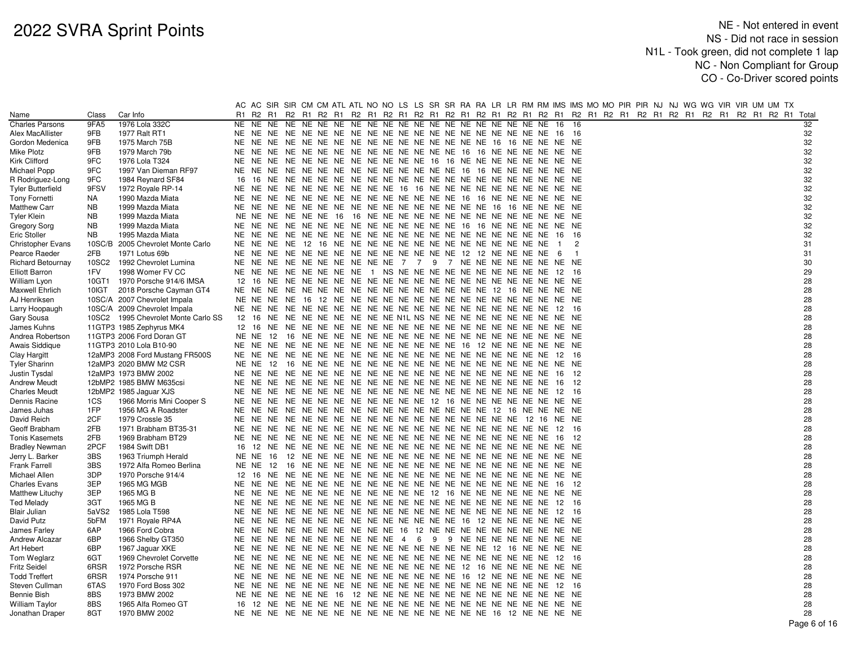|                          |           |                                     |     | AC AC SIR SIR CM CM ATL ATL NO NO LS LS SR SR RA RA LR LR RM RM IMS IMS MO MO PIR PIR NJ NJ WG WG VIR VIR UM UM TX |  |  |  |                                                                   |  |  |  |                |                |  |  |  |  |  |              |
|--------------------------|-----------|-------------------------------------|-----|--------------------------------------------------------------------------------------------------------------------|--|--|--|-------------------------------------------------------------------|--|--|--|----------------|----------------|--|--|--|--|--|--------------|
| Name                     | Class     | Car Info                            | R1  | R2 R1 R2 R1 R2 R1 R2 R1 R2 R1 R2 R1 R2 R1 R2 R1 R2 R1 R2 R1 R2 R1 R2 R1 R2 R1 R2 R1 R2 R1 R2 R1 R2 R1 R2 R1 Total  |  |  |  |                                                                   |  |  |  |                |                |  |  |  |  |  |              |
| <b>Charles Parsons</b>   | 9FA5      | 1976 Lola 332C                      | NE  |                                                                                                                    |  |  |  |                                                                   |  |  |  |                | 16<br>16       |  |  |  |  |  | 32           |
| Alex MacAllister         | 9FB       | 1977 Ralt RT1                       |     |                                                                                                                    |  |  |  |                                                                   |  |  |  |                |                |  |  |  |  |  | 32           |
| Gordon Medenica          | 9FB       | 1975 March 75B                      | NE  | NE.                                                                                                                |  |  |  |                                                                   |  |  |  |                |                |  |  |  |  |  | 32           |
| Mike Plotz               | 9FB       | 1979 March 79b                      | NE  | NE NE NE NE NE NE NE NE NE NE NE NE NE 16 16 NE NE NE NE NE NE NE                                                  |  |  |  |                                                                   |  |  |  |                |                |  |  |  |  |  | 32           |
| Kirk Clifford            | 9FC       | 1976 Lola T324                      |     | NE NE                                                                                                              |  |  |  | NE NE NE NE NE NE NE NE NE NE 16 16 NE NE NE NE NE NE NE NE NE    |  |  |  |                |                |  |  |  |  |  | 32           |
| Michael Popp             | 9FC       | 1997 Van Dieman RF97                |     | NE NE                                                                                                              |  |  |  | NE NE NE NE NE NE NE NE NE NE NE NE 16 16 NE NE NE NE NE NE       |  |  |  |                |                |  |  |  |  |  | 32           |
| R Rodriguez-Long         | 9FC       | 1984 Reynard SF84                   | 16  | 16                                                                                                                 |  |  |  |                                                                   |  |  |  |                |                |  |  |  |  |  | 32           |
| <b>Tyler Butterfield</b> | 9FSV      | 1972 Royale RP-14                   |     | NE NE NE NE NE NE NE NE NE NE 16 16 NE NE NE NE NE NE NE NE NE NE NE                                               |  |  |  |                                                                   |  |  |  |                |                |  |  |  |  |  | 32           |
| Tony Fornetti            | <b>NA</b> | 1990 Mazda Miata                    | NE  | NE                                                                                                                 |  |  |  | NE NE NE NE NE NE NE NE NE NE NE NE 16 16 NE NE NE NE NE NE NE    |  |  |  |                |                |  |  |  |  |  | 32           |
| Matthew Carr             | <b>NB</b> | 1999 Mazda Miata                    |     |                                                                                                                    |  |  |  |                                                                   |  |  |  |                |                |  |  |  |  |  | 32           |
| Tyler Klein              | <b>NB</b> | 1999 Mazda Miata                    |     |                                                                                                                    |  |  |  |                                                                   |  |  |  |                |                |  |  |  |  |  | 32           |
| Gregory Sorg             | <b>NB</b> | 1999 Mazda Miata                    |     | NE NE                                                                                                              |  |  |  | NE NE NE NE NE NE NE NE NE NE NE NE 16 16 NE NE NE NE NE NE NE    |  |  |  |                |                |  |  |  |  |  | 32           |
| Eric Stoller             | <b>NB</b> | 1995 Mazda Miata                    | NE  | NE                                                                                                                 |  |  |  |                                                                   |  |  |  | - 16           | - 16           |  |  |  |  |  | 32           |
| <b>Christopher Evans</b> |           | 10SC/B 2005 Chevrolet Monte Carlo   |     | NE NE                                                                                                              |  |  |  |                                                                   |  |  |  | $\overline{1}$ | $\overline{c}$ |  |  |  |  |  | 31           |
| Pearce Raeder            | 2FB       | 1971 Lotus 69b                      |     | NE NE                                                                                                              |  |  |  | NE NE NE NE NE NE NE NE NE NE NE NE 12 12 NE NE NE NE 6           |  |  |  |                | $\overline{1}$ |  |  |  |  |  | 31           |
| <b>Richard Betournay</b> | 10SC2     | 1992 Chevrolet Lumina               | NE  | NE NE NE NE NE NE NE NE NE 7 7 9 7 NE NE NE NE NE NE NE NE NE                                                      |  |  |  |                                                                   |  |  |  |                |                |  |  |  |  |  | 30           |
| <b>Elliott Barron</b>    | 1FV       | 1998 Womer FV CC                    | NE  | NE                                                                                                                 |  |  |  | NE NE NE NE NE NE 1 NS NE NE NE NE NE NE NE NE NE NE 12           |  |  |  |                | 16             |  |  |  |  |  | 29           |
| William Lyon             | 10GT1     | 1970 Porsche 914/6 IMSA             |     | 12 16                                                                                                              |  |  |  |                                                                   |  |  |  |                |                |  |  |  |  |  | 28           |
| <b>Maxwell Ehrlich</b>   | 10IGT     | 2018 Porsche Cayman GT4             |     | NE NE                                                                                                              |  |  |  |                                                                   |  |  |  |                |                |  |  |  |  |  | 28           |
| AJ Henriksen             |           | 10SC/A 2007 Chevrolet Impala        |     | NE NE                                                                                                              |  |  |  |                                                                   |  |  |  |                |                |  |  |  |  |  | 28           |
| Larry Hoopaugh           |           | 10SC/A 2009 Chevrolet Impala        |     | NE NE                                                                                                              |  |  |  |                                                                   |  |  |  |                | - 16           |  |  |  |  |  | 28           |
| Gary Sousa               |           | 10SC2 1995 Chevrolet Monte Carlo SS |     | 12 16                                                                                                              |  |  |  | NE NE NE NE NE NE NE NE NE N1L NS NE NE NE NE NE NE NE NE NE NE   |  |  |  |                |                |  |  |  |  |  | 28           |
| James Kuhns              |           | 11GTP3 1985 Zephyrus MK4            |     | 12 16                                                                                                              |  |  |  |                                                                   |  |  |  |                |                |  |  |  |  |  | 28           |
| Andrea Robertson         |           | 11GTP3 2006 Ford Doran GT           |     | NE NE                                                                                                              |  |  |  |                                                                   |  |  |  |                |                |  |  |  |  |  | 28           |
| Awais Siddique           |           | 11GTP3 2010 Lola B10-90             |     | NE NE                                                                                                              |  |  |  | NE NE NE NE NE NE NE NE NE NE NE NE 16 12 NE NE NE NE NE NE       |  |  |  |                |                |  |  |  |  |  | 28           |
| Clay Hargitt             |           | 12aMP3 2008 Ford Mustang FR500S     |     |                                                                                                                    |  |  |  |                                                                   |  |  |  |                | - 16           |  |  |  |  |  | 28           |
| <b>Tyler Sharinn</b>     |           | 12aMP3 2020 BMW M2 CSR              |     |                                                                                                                    |  |  |  |                                                                   |  |  |  |                |                |  |  |  |  |  | 28           |
| Justin Tysdal            |           | 12aMP3 1973 BMW 2002                | NE  | NE.                                                                                                                |  |  |  |                                                                   |  |  |  |                | 12<br>-16      |  |  |  |  |  | 28           |
| <b>Andrew Meudt</b>      |           | 12bMP2 1985 BMW M635csi             | NE  |                                                                                                                    |  |  |  |                                                                   |  |  |  |                | 16<br>-12      |  |  |  |  |  | 28           |
| <b>Charles Meudt</b>     |           | 12bMP2 1985 Jaguar XJS              |     |                                                                                                                    |  |  |  |                                                                   |  |  |  |                | - 16           |  |  |  |  |  | 28           |
| Dennis Racine            | 1CS       | 1966 Morris Mini Cooper S           |     | NE NE                                                                                                              |  |  |  | NE NE NE NE NE NE NE NE NE NE NE 12 16 NE NE NE NE NE NE NE NE NE |  |  |  |                |                |  |  |  |  |  | 28           |
| James Juhas              | 1FP       | 1956 MG A Roadster                  | NE. | NE                                                                                                                 |  |  |  |                                                                   |  |  |  |                |                |  |  |  |  |  | 28           |
| David Reich              | 2CF       | 1979 Crossle 35                     |     |                                                                                                                    |  |  |  |                                                                   |  |  |  |                |                |  |  |  |  |  | 28           |
| Geoff Brabham            | 2FB       | 1971 Brabham BT35-31                |     | NE NE                                                                                                              |  |  |  |                                                                   |  |  |  |                | 16             |  |  |  |  |  | 28           |
| <b>Tonis Kasemets</b>    | 2FB       | 1969 Brabham BT29                   | NE  | NE                                                                                                                 |  |  |  |                                                                   |  |  |  | - 16           | 12             |  |  |  |  |  | 28           |
| <b>Bradley Newman</b>    | 2PCF      | 1984 Swift DB1                      | 16  |                                                                                                                    |  |  |  |                                                                   |  |  |  |                |                |  |  |  |  |  | 28           |
| Jerry L. Barker          | 3BS       | 1963 Triumph Herald                 |     | NE NE<br>- 16                                                                                                      |  |  |  |                                                                   |  |  |  |                |                |  |  |  |  |  | 28           |
| Frank Farrell            | 3BS       | 1972 Alfa Romeo Berlina             |     | NE NE<br>12                                                                                                        |  |  |  |                                                                   |  |  |  |                |                |  |  |  |  |  | 28           |
| Michael Allen            | 3DP       | 1970 Porsche 914/4                  | 12  | 16                                                                                                                 |  |  |  |                                                                   |  |  |  |                |                |  |  |  |  |  | 28           |
| <b>Charles Evans</b>     | 3EP       | 1965 MG MGB                         |     | NE NE                                                                                                              |  |  |  |                                                                   |  |  |  |                | 12             |  |  |  |  |  | 28           |
| <b>Matthew Lituchy</b>   | 3EP       | 1965 MG B                           | NE  | NE                                                                                                                 |  |  |  | NE NE NE NE NE NE NE NE NE NE 12 16 NE NE NE NE NE NE NE NE NE    |  |  |  |                |                |  |  |  |  |  | 28           |
| Ted Melady               | 3GT       | 1965 MG B                           | NE  |                                                                                                                    |  |  |  |                                                                   |  |  |  |                | 16             |  |  |  |  |  | 28           |
| Blair Julian             | 5aVS2     | 1985 Lola T598                      | NE  | NE                                                                                                                 |  |  |  |                                                                   |  |  |  |                | - 16           |  |  |  |  |  | 28           |
| David Putz               | 5bFM      | 1971 Royale RP4A                    | NE  | NE.                                                                                                                |  |  |  | NE NE NE NE NE NE NE NE NE NE NE NE 16 12 NE NE NE NE NE NE       |  |  |  |                |                |  |  |  |  |  | 28           |
| James Farley             | 6AP       | 1966 Ford Cobra                     | NE  | NE NE NE NE NE NE NE NE NE 16 12 NE NE NE NE NE NE NE NE NE NE NE                                                  |  |  |  |                                                                   |  |  |  |                |                |  |  |  |  |  | 28           |
| Andrew Alcazar           | 6BP       | 1966 Shelby GT350                   |     | NE NE                                                                                                              |  |  |  | NE NE NE NE NE NE NE NE 4 6 9 9 NE NE NE NE NE NE NE NE NE        |  |  |  |                |                |  |  |  |  |  | 28           |
| Art Hebert               | 6BP       | 1967 Jaquar XKE                     | NE  | NE.                                                                                                                |  |  |  |                                                                   |  |  |  |                |                |  |  |  |  |  | 28           |
| Tom Weglarz              | 6GT       | 1969 Chevrolet Corvette             |     |                                                                                                                    |  |  |  |                                                                   |  |  |  |                | - 16           |  |  |  |  |  | 28           |
| <b>Fritz Seidel</b>      | 6RSR      | 1972 Porsche RSR                    |     |                                                                                                                    |  |  |  |                                                                   |  |  |  |                |                |  |  |  |  |  | 28           |
| <b>Todd Treffert</b>     | 6RSR      | 1974 Porsche 911                    | NE  | NE                                                                                                                 |  |  |  | NE NE NE NE NE NE NE NE NE NE NE NE 16 12 NE NE NE NE NE NE       |  |  |  |                |                |  |  |  |  |  | 28           |
| Steven Cullman           | 6TAS      | 1970 Ford Boss 302                  |     | NE NE                                                                                                              |  |  |  |                                                                   |  |  |  |                | - 16           |  |  |  |  |  | 28           |
| Bennie Bish              | 8BS       | 1973 BMW 2002                       |     | NE NE                                                                                                              |  |  |  |                                                                   |  |  |  |                |                |  |  |  |  |  | 28           |
| William Taylor           | 8BS       | 1965 Alfa Romeo GT                  | 16  | - 12                                                                                                               |  |  |  |                                                                   |  |  |  |                |                |  |  |  |  |  | 28           |
| Jonathan Draper          | 8GT       | 1970 BMW 2002                       |     |                                                                                                                    |  |  |  |                                                                   |  |  |  |                |                |  |  |  |  |  | 28           |
|                          |           |                                     |     |                                                                                                                    |  |  |  |                                                                   |  |  |  |                |                |  |  |  |  |  | Page 6 of 16 |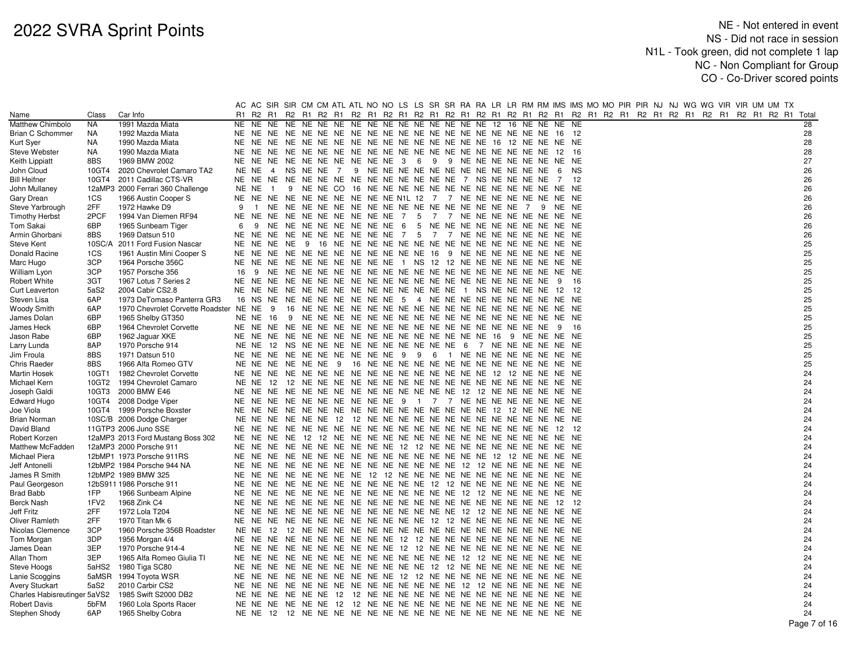|                              |                  |                                        |       |                |                |     |            |  |                                                                      |  |  |  |  |                |           |  |  |  | AC AC SIR SIR CM CM ATL ATL NO NO LS LS SR SR RA RA LR LR RM RM IMS IMS MO MO PIR PIR NJ NJ WG WG VIR VIR UM UM TX |  |  |                 |
|------------------------------|------------------|----------------------------------------|-------|----------------|----------------|-----|------------|--|----------------------------------------------------------------------|--|--|--|--|----------------|-----------|--|--|--|--------------------------------------------------------------------------------------------------------------------|--|--|-----------------|
| Name                         | Class            | Car Info                               | R1    |                |                |     |            |  |                                                                      |  |  |  |  |                |           |  |  |  | R2 R1 R2 R1 R2 R1 R2 R1 R2 R1 R2 R1 R2 R1 R2 R1 R2 R1 R2 R1 R2 R1 R2 R1 R2 R1 R2 R1 R2 R1 R2 R1 R2 R1 R2 R1 Total  |  |  |                 |
| Matthew Chimbolo             | NA               | 1991 Mazda Miata                       | NE    | NE NE          |                |     |            |  | NE NE NE NE NE NE NE NE NE NE NE NE NE 12 16 NE NE NE NE             |  |  |  |  |                |           |  |  |  |                                                                                                                    |  |  | $\overline{28}$ |
| <b>Brian C Schommer</b>      | <b>NA</b>        | 1992 Mazda Miata                       |       |                |                |     |            |  |                                                                      |  |  |  |  |                |           |  |  |  |                                                                                                                    |  |  | 28              |
| Kurt Syer                    | <b>NA</b>        | 1990 Mazda Miata                       | NE.   | NE.            |                |     |            |  |                                                                      |  |  |  |  |                |           |  |  |  |                                                                                                                    |  |  | 28              |
| Steve Webster                | NA               | 1990 Mazda Miata                       | NE    |                |                |     |            |  |                                                                      |  |  |  |  |                | - 16      |  |  |  |                                                                                                                    |  |  | 28              |
| Keith Lippiatt               | 8BS              | 1969 BMW 2002                          |       |                |                |     |            |  | NE NE NE NE NE NE NE NE NE NE 3 6 9 9 NE NE NE NE NE NE NE NE NE     |  |  |  |  |                |           |  |  |  |                                                                                                                    |  |  | 27              |
| John Cloud                   | 10GT4            | 2020 Chevrolet Camaro TA2              | NE NE |                | $\overline{4}$ |     | NS NE NE 7 |  | 9 NE NE NE NE NE NE NE NE NE NE NE NE NE                             |  |  |  |  | - 6            | <b>NS</b> |  |  |  |                                                                                                                    |  |  | 26              |
| <b>Bill Heifner</b>          | 10GT4            | 2011 Cadillac CTS-VR                   |       |                |                |     |            |  |                                                                      |  |  |  |  | $\overline{7}$ | 12        |  |  |  |                                                                                                                    |  |  | 26              |
| John Mullaney                |                  | 12aMP3 2000 Ferrari 360 Challenge      | NE NE |                | $\overline{1}$ |     |            |  |                                                                      |  |  |  |  |                |           |  |  |  |                                                                                                                    |  |  | 26              |
| Gary Drean                   | 1CS              | 1966 Austin Cooper S                   |       |                |                |     |            |  | NE NE NE NE NE NE NE NE NE NE NE N1L 12 7 7 NE NE NE NE NE NE NE NE  |  |  |  |  |                |           |  |  |  |                                                                                                                    |  |  | 26              |
| Steve Yarbrough              | 2FF              | 1972 Hawke D9                          | 9     | $\overline{1}$ |                |     |            |  |                                                                      |  |  |  |  |                |           |  |  |  |                                                                                                                    |  |  | 26              |
| <b>Timothy Herbst</b>        | 2PCF             | 1994 Van Diemen RF94                   |       |                |                |     |            |  | NE NE NE NE NE NE NE NE NE NE 7 5 7 7 NE NE NE NE NE NE NE NE NE     |  |  |  |  |                |           |  |  |  |                                                                                                                    |  |  | 26              |
| Tom Sakai                    | 6BP              | 1965 Sunbeam Tiger                     | 6     | -9             |                |     |            |  | NE NE NE NE NE NE NE NE 6 5 NE NE NE NE NE NE NE NE NE NE            |  |  |  |  |                |           |  |  |  |                                                                                                                    |  |  | 26              |
| Armin Ghorbani               | 8BS              | 1969 Datsun 510                        | NE.   | NE             |                |     |            |  | NE NE NE NE NE NE NE NE 7 5 7 7 NE NE NE NE NE NE NE NE NE           |  |  |  |  |                |           |  |  |  |                                                                                                                    |  |  | 26              |
| <b>Steve Kent</b>            | 10SC/A           | 2011 Ford Fusion Nascar                |       |                |                |     |            |  |                                                                      |  |  |  |  |                |           |  |  |  |                                                                                                                    |  |  | 25              |
| Donald Racine                | 1CS              | 1961 Austin Mini Cooper S              | NE NE |                |                |     |            |  | NE NE NE NE NE NE NE NE NE NE 16 9 NE NE NE NE NE NE NE NE NE        |  |  |  |  |                |           |  |  |  |                                                                                                                    |  |  | 25              |
| Marc Hugo                    | 3CP              | 1964 Porsche 356C                      | NE.   |                |                |     |            |  | NE NE NE NE NE NE NE NE NE 1 NS 12 12 NE NE NE NE NE NE NE NE        |  |  |  |  |                |           |  |  |  |                                                                                                                    |  |  | 25              |
| William Lyon                 | 3CP              | 1957 Porsche 356                       | 16    | -9             |                |     |            |  |                                                                      |  |  |  |  |                |           |  |  |  |                                                                                                                    |  |  | 25              |
| Robert White                 | 3GT              | 1967 Lotus 7 Series 2                  |       |                |                |     |            |  |                                                                      |  |  |  |  | - 9            | 16        |  |  |  |                                                                                                                    |  |  | 25              |
| <b>Curt Leaverton</b>        | 5aS2             | 2004 Cabir CS2.8                       |       |                |                |     |            |  |                                                                      |  |  |  |  | - 12           | -12       |  |  |  |                                                                                                                    |  |  | 25              |
| Steven Lisa                  | 6AP              | 1973 DeTomaso Panterra GR3             |       |                |                |     |            |  | 16 NS NE NE NE NE NE NE NE NE 5 4 NE NE NE NE NE NE NE NE NE NE NE   |  |  |  |  |                |           |  |  |  |                                                                                                                    |  |  | 25              |
| <b>Woody Smith</b>           | 6AP              | 1970 Chevrolet Corvette Roadster NE NE |       |                | - 9            |     |            |  |                                                                      |  |  |  |  |                |           |  |  |  |                                                                                                                    |  |  | 25              |
| James Dolan                  | 6BP              | 1965 Shelby GT350                      | NE NE |                | - 16           | - 9 |            |  |                                                                      |  |  |  |  |                |           |  |  |  |                                                                                                                    |  |  | 25              |
| James Heck                   | 6BP              | 1964 Chevrolet Corvette                |       |                |                |     |            |  |                                                                      |  |  |  |  | - 9            | - 16      |  |  |  |                                                                                                                    |  |  | 25              |
| Jason Rabe                   | 6BP              | 1962 Jaguar XKE                        |       |                |                |     |            |  |                                                                      |  |  |  |  |                |           |  |  |  |                                                                                                                    |  |  | 25              |
| Larry Lunda                  | 8AP              | 1970 Porsche 914                       | NE NE |                |                |     |            |  | 12 NS NE NE NE NE NE NE NE NE NE NE 6 7 NE NE NE NE NE NE            |  |  |  |  |                |           |  |  |  |                                                                                                                    |  |  | 25              |
| Jim Froula                   | 8BS              | 1971 Datsun 510                        |       |                |                |     |            |  | NE NE NE NE NE NE NE NE NE NE 9 9 6 1 NE NE NE NE NE NE NE NE        |  |  |  |  |                |           |  |  |  |                                                                                                                    |  |  | 25              |
| Chris Raeder                 | 8BS              | 1966 Alfa Romeo GTV                    |       |                |                |     |            |  |                                                                      |  |  |  |  |                |           |  |  |  |                                                                                                                    |  |  | 25              |
| <b>Martin Hosek</b>          | 10GT1            | 1982 Chevrolet Corvette                |       |                |                |     |            |  |                                                                      |  |  |  |  |                |           |  |  |  |                                                                                                                    |  |  | 24              |
| Michael Kern                 | 10GT2            | 1994 Chevrolet Camaro                  | NE NE |                |                |     |            |  |                                                                      |  |  |  |  |                |           |  |  |  |                                                                                                                    |  |  | 24              |
| Joseph Galdi                 | 10GT3            | 2000 BMW E46                           |       |                |                |     |            |  |                                                                      |  |  |  |  |                |           |  |  |  |                                                                                                                    |  |  | 24              |
| Edward Hugo                  |                  | 10GT4 2008 Dodge Viper                 |       |                |                |     |            |  | NE NE NE NE NE NE NE NE NE NE 9 1 7 7 NE NE NE NE NE NE NE NE NE     |  |  |  |  |                |           |  |  |  |                                                                                                                    |  |  | 24              |
| Joe Viola                    |                  | 10GT4 1999 Porsche Boxster             | NE.   | NE.            |                |     |            |  |                                                                      |  |  |  |  |                |           |  |  |  |                                                                                                                    |  |  | 24              |
| Brian Norman                 |                  | 10SC/B 2006 Dodge Charger              |       |                |                |     |            |  |                                                                      |  |  |  |  |                |           |  |  |  |                                                                                                                    |  |  | 24              |
| David Bland                  |                  | 11GTP3 2006 Juno SSE                   |       |                |                |     |            |  |                                                                      |  |  |  |  |                | - 12      |  |  |  |                                                                                                                    |  |  | 24              |
| Robert Korzen                |                  | 12aMP3 2013 Ford Mustang Boss 302      | NE    | NE             |                |     |            |  |                                                                      |  |  |  |  |                |           |  |  |  |                                                                                                                    |  |  | 24              |
| Matthew McFadden             |                  | 12aMP3 2000 Porsche 911                | NE    | NE             |                |     |            |  | NE NE NE NE NE NE NE NE 12 12 NE NE NE NE NE NE NE NE NE NE NE       |  |  |  |  |                |           |  |  |  |                                                                                                                    |  |  | 24              |
| Michael Piera                |                  | 12bMP1 1973 Porsche 911RS              |       |                |                |     |            |  |                                                                      |  |  |  |  |                |           |  |  |  |                                                                                                                    |  |  | 24              |
| Jeff Antonelli               |                  | 12bMP2 1984 Porsche 944 NA             | NE    |                |                |     |            |  | NE NE NE NE NE NE NE NE NE NE NE NE NE 12 12 NE NE NE NE NE NE       |  |  |  |  |                |           |  |  |  |                                                                                                                    |  |  | 24              |
| James R Smith                |                  | 12bMP2 1989 BMW 325                    | NE    |                |                |     |            |  | NE NE NE NE NE NE NE NE 12 12 NE NE NE NE NE NE NE NE NE NE NE NE    |  |  |  |  |                |           |  |  |  |                                                                                                                    |  |  | 24              |
| Paul Georgeson               |                  | 12bS911 1986 Porsche 911               |       |                |                |     |            |  | NE NE NE NE NE NE NE NE NE NE NE NE 12 12 NE NE NE NE NE NE NE NE    |  |  |  |  |                |           |  |  |  |                                                                                                                    |  |  | 24              |
| <b>Brad Babb</b>             | 1FP              | 1966 Sunbeam Alpine                    | NE    | NE             |                |     |            |  | NE NE NE NE NE NE NE NE NE NE NE NE 12 12 NE NE NE NE NE NE          |  |  |  |  |                |           |  |  |  |                                                                                                                    |  |  | 24              |
| <b>Berck Nash</b>            | 1FV <sub>2</sub> | 1968 Zink C4                           | NE.   |                |                |     |            |  |                                                                      |  |  |  |  | - 12           | 12        |  |  |  |                                                                                                                    |  |  | 24              |
| Jeff Fritz                   | 2FF              | 1972 Lola T204                         | NE.   | NE             |                |     |            |  | NE NE NE NE NE NE NE NE NE NE NE NE 12 12 NE NE NE NE NE NE          |  |  |  |  |                |           |  |  |  |                                                                                                                    |  |  | 24              |
| <b>Oliver Ramleth</b>        | 2FF              | 1970 Titan Mk 6                        | NE NE |                |                |     |            |  | NE NE NE NE NE NE NE NE NE NE 12 12 NE NE NE NE NE NE NE NE          |  |  |  |  |                |           |  |  |  |                                                                                                                    |  |  | 24              |
| Nicolas Clemence             | 3CP              | 1960 Porsche 356B Roadster             |       |                |                |     |            |  |                                                                      |  |  |  |  |                |           |  |  |  |                                                                                                                    |  |  | 24              |
| Tom Morgan                   | 3DP              | 1956 Morgan 4/4                        |       |                |                |     |            |  | NE NE NE NE NE NE NE NE NE NE NE 12 12 NE NE NE NE NE NE NE NE NE NE |  |  |  |  |                |           |  |  |  |                                                                                                                    |  |  | 24              |
| James Dean                   | 3EP              | 1970 Porsche 914-4                     | NE    | NE             |                |     |            |  | NE NE NE NE NE NE NE NE 12 12 NE NE NE NE NE NE NE NE NE NE          |  |  |  |  |                |           |  |  |  |                                                                                                                    |  |  | 24              |
| Allan Thom                   | 3EP              | 1965 Alfa Romeo Giulia TI              |       |                |                |     |            |  |                                                                      |  |  |  |  |                |           |  |  |  |                                                                                                                    |  |  | 24              |
| Steve Hoogs                  | 5aHS2            | 1980 Tiga SC80                         |       |                |                |     |            |  | NE NE NE NE NE NE NE NE NE NE NE NE NE 12 12 NE NE NE NE NE NE NE NE |  |  |  |  |                |           |  |  |  |                                                                                                                    |  |  | 24              |
| Lanie Scoggins               | 5aMSR            | 1994 Toyota WSR                        | NE NE |                |                |     |            |  | NE NE NE NE NE NE NE NE 12 12 NE NE NE NE NE NE NE NE NE NE          |  |  |  |  |                |           |  |  |  |                                                                                                                    |  |  | 24              |
| <b>Avery Stuckart</b>        | 5aS2             | 2010 Carbir CS2                        | NE.   | NE             |                |     |            |  | NE NE NE NE NE NE NE NE NE NE NE NE 12 12 NE NE NE NE NE NE          |  |  |  |  |                |           |  |  |  |                                                                                                                    |  |  | 24              |
| Charles Habisreutinger 5aVS2 |                  | 1985 Swift S2000 DB2                   |       |                |                |     |            |  |                                                                      |  |  |  |  |                |           |  |  |  |                                                                                                                    |  |  | 24              |
| <b>Robert Davis</b>          | 5bFM             | 1960 Lola Sports Racer                 | NE NE |                |                |     |            |  |                                                                      |  |  |  |  |                |           |  |  |  |                                                                                                                    |  |  | 24              |
| Stephen Shody                | 6AP              | 1965 Shelby Cobra                      |       |                |                |     |            |  |                                                                      |  |  |  |  |                |           |  |  |  |                                                                                                                    |  |  | 24              |
|                              |                  |                                        |       |                |                |     |            |  |                                                                      |  |  |  |  |                |           |  |  |  |                                                                                                                    |  |  | Page 7 of 16    |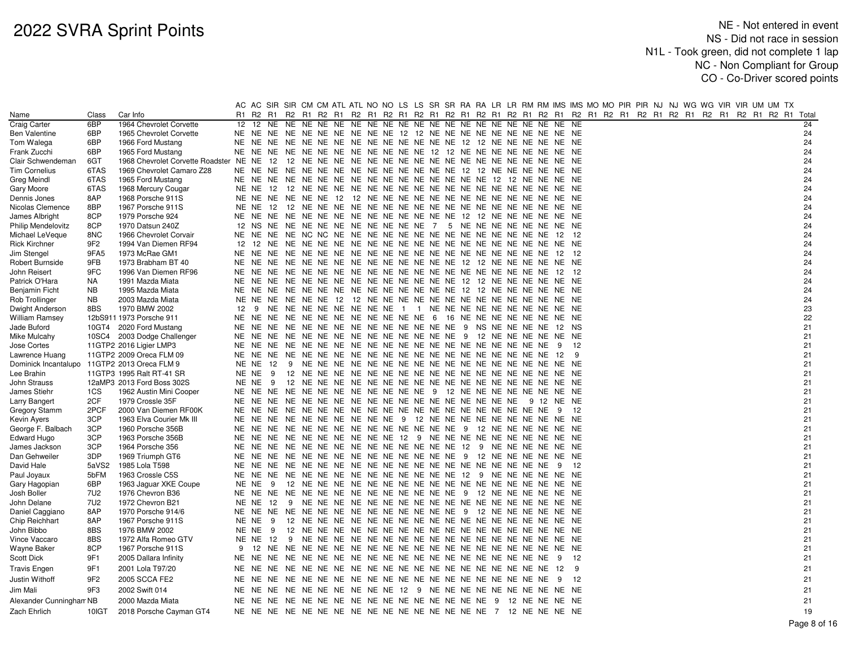|                                              |                  |                                        |      |         |     |  |  |  |  |                                                                         |  |  |         |     |     |  |  | AC AC SIR SIR CM CM ATL ATL NO NO LS LS SR SR RA RA LR LR RM RM IMS IMS MO MO PIR PIR NJ NJ WG WG VIR VIR UM UM TX   |  |              |  |
|----------------------------------------------|------------------|----------------------------------------|------|---------|-----|--|--|--|--|-------------------------------------------------------------------------|--|--|---------|-----|-----|--|--|----------------------------------------------------------------------------------------------------------------------|--|--------------|--|
| Name                                         | Class            | Car Info                               |      |         |     |  |  |  |  |                                                                         |  |  |         |     |     |  |  | R1 R2 R1 R2 R1 R2 R1 R2 R1 R2 R1 R2 R1 R2 R1 R2 R1 R2 R1 R2 R1 R2 R1 R2 R1 R2 R1 R2 R1 R2 R1 R2 R1 R2 R1 R2 R1 Total |  |              |  |
| <b>Craig Carter</b>                          | 6BP              | 1964 Chevrolet Corvette                | 12   | 12      |     |  |  |  |  |                                                                         |  |  |         |     |     |  |  |                                                                                                                      |  | 24           |  |
| <b>Ben Valentine</b>                         | 6BP              | 1965 Chevrolet Corvette                |      |         |     |  |  |  |  | NE NE NE NE NE NE NE NE NE NE 12 12 NE NE NE NE NE NE NE NE NE NE       |  |  |         |     |     |  |  |                                                                                                                      |  | 24           |  |
| Tom Walega                                   | 6BP              | 1966 Ford Mustang                      |      |         |     |  |  |  |  |                                                                         |  |  |         |     |     |  |  |                                                                                                                      |  | 24           |  |
| Frank Zucchi                                 | 6BP              | 1965 Ford Mustang                      |      |         |     |  |  |  |  | NE NE NE NE NE NE NE NE NE NE NE NE NE 12 12 NE NE NE NE NE NE NE NE NE |  |  |         |     |     |  |  |                                                                                                                      |  | 24           |  |
| Clair Schwendeman                            | 6GT              | 1968 Chevrolet Corvette Roadster NE NE |      |         |     |  |  |  |  |                                                                         |  |  |         |     |     |  |  |                                                                                                                      |  | 24           |  |
| <b>Tim Cornelius</b>                         | 6TAS             | 1969 Chevrolet Camaro Z28              |      |         |     |  |  |  |  |                                                                         |  |  |         |     |     |  |  |                                                                                                                      |  | 24           |  |
| Greg Meindl                                  | 6TAS             | 1965 Ford Mustang                      |      |         |     |  |  |  |  |                                                                         |  |  |         |     |     |  |  |                                                                                                                      |  | 24           |  |
| Gary Moore                                   | 6TAS             | 1968 Mercury Cougar                    |      | NE NE   |     |  |  |  |  |                                                                         |  |  |         |     |     |  |  |                                                                                                                      |  | 24           |  |
| Dennis Jones                                 | 8AP              | 1968 Porsche 911S                      |      |         |     |  |  |  |  |                                                                         |  |  |         |     |     |  |  |                                                                                                                      |  | 24           |  |
| Nicolas Clemence                             | 8BP              | 1967 Porsche 911S                      |      |         |     |  |  |  |  |                                                                         |  |  |         |     |     |  |  |                                                                                                                      |  | 24           |  |
| James Albright                               | 8CP              | 1979 Porsche 924                       |      |         |     |  |  |  |  |                                                                         |  |  |         |     |     |  |  |                                                                                                                      |  | 24           |  |
| <b>Philip Mendelovitz</b>                    | 8CP              | 1970 Datsun 240Z                       |      |         |     |  |  |  |  | 12 NS NE NE NE NE NE NE NE NE NE NE 7 5 NE NE NE NE NE NE NE NE NE      |  |  |         |     |     |  |  |                                                                                                                      |  | 24           |  |
| Michael LeVeque                              | 8NC              | 1966 Chevrolet Corvair                 |      |         |     |  |  |  |  |                                                                         |  |  |         |     |     |  |  |                                                                                                                      |  | 24           |  |
| <b>Rick Kirchner</b>                         | 9F <sub>2</sub>  | 1994 Van Diemen RF94                   |      |         |     |  |  |  |  |                                                                         |  |  |         |     |     |  |  |                                                                                                                      |  | 24           |  |
| Jim Stengel                                  | 9FA <sub>5</sub> | 1973 McRae GM1                         |      |         |     |  |  |  |  |                                                                         |  |  |         |     | 12  |  |  |                                                                                                                      |  | 24           |  |
| Robert Burnside                              | 9FB              | 1973 Brabham BT 40                     |      |         |     |  |  |  |  |                                                                         |  |  |         |     |     |  |  |                                                                                                                      |  | 24           |  |
| John Reisert                                 | 9FC              | 1996 Van Diemen RF96                   |      |         |     |  |  |  |  |                                                                         |  |  |         |     |     |  |  |                                                                                                                      |  | 24           |  |
| Patrick O'Hara                               | <b>NA</b>        | 1991 Mazda Miata                       |      |         |     |  |  |  |  |                                                                         |  |  |         |     |     |  |  |                                                                                                                      |  | 24           |  |
| Benjamin Ficht                               | <b>NB</b>        | 1995 Mazda Miata                       | NE   |         |     |  |  |  |  |                                                                         |  |  |         |     |     |  |  |                                                                                                                      |  | 24           |  |
| Rob Trollinger                               | <b>NB</b>        | 2003 Mazda Miata                       |      |         |     |  |  |  |  |                                                                         |  |  |         |     |     |  |  |                                                                                                                      |  | 24           |  |
| Dwight Anderson                              | 8BS              | 1970 BMW 2002                          | 12 9 |         |     |  |  |  |  | NE NE NE NE NE NE NE NE 1 1 NE NE NE NE NE NE NE NE NE NE NE            |  |  |         |     |     |  |  |                                                                                                                      |  | 23           |  |
| <b>William Ramsey</b>                        |                  | 12bS911 1973 Porsche 911               |      |         |     |  |  |  |  | NE NE NE NE NE NE NE NE NE NE NE NE 6 16 NE NE NE NE NE NE NE NE NE     |  |  |         |     |     |  |  |                                                                                                                      |  | 22           |  |
| Jade Buford                                  |                  | 10GT4 2020 Ford Mustang                |      |         |     |  |  |  |  |                                                                         |  |  |         |     |     |  |  |                                                                                                                      |  | 21           |  |
| Mike Mulcahy                                 |                  | 10SC4 2003 Dodge Challenger            |      |         |     |  |  |  |  |                                                                         |  |  |         |     |     |  |  |                                                                                                                      |  | 21           |  |
| Jose Cortes                                  |                  | 11GTP2 2016 Ligier LMP3                |      |         |     |  |  |  |  |                                                                         |  |  |         | - 9 | 12  |  |  |                                                                                                                      |  | 21           |  |
| Lawrence Huang                               |                  | 11GTP2 2009 Oreca FLM 09               |      |         |     |  |  |  |  |                                                                         |  |  |         |     | - 9 |  |  |                                                                                                                      |  | 21           |  |
| Dominick Incantalupo 11GTP2 2013 Oreca FLM 9 |                  |                                        |      | NE NE   | 12  |  |  |  |  |                                                                         |  |  |         |     |     |  |  |                                                                                                                      |  | 21           |  |
| Lee Brahin                                   |                  | 11GTP3 1995 Ralt RT-41 SR              |      | NE NE   | 9   |  |  |  |  |                                                                         |  |  |         |     |     |  |  |                                                                                                                      |  | 21           |  |
| John Strauss                                 |                  | 12aMP3 2013 Ford Boss 302S             |      | NE NE 9 |     |  |  |  |  |                                                                         |  |  |         |     |     |  |  |                                                                                                                      |  | 21           |  |
| James Stiehr                                 | 1CS              | 1962 Austin Mini Cooper                |      |         |     |  |  |  |  | NE NE NE NE NE NE NE NE NE NE NE NE 9 12 NE NE NE NE NE NE NE NE NE     |  |  |         |     |     |  |  |                                                                                                                      |  | 21           |  |
| Larry Bangert                                | 2CF              | 1979 Crossle 35F                       |      | NE NE   |     |  |  |  |  |                                                                         |  |  | 9 12 NE |     | NE  |  |  |                                                                                                                      |  | 21           |  |
| <b>Gregory Stamm</b>                         | 2PCF             | 2000 Van Diemen RF00K                  |      |         |     |  |  |  |  |                                                                         |  |  |         |     | 12  |  |  |                                                                                                                      |  | 21           |  |
| Kevin Ayers                                  | 3CP              | 1963 Elva Courier Mk III               |      |         |     |  |  |  |  | NE NE NE NE NE NE NE NE NE NE 9 12 NE NE NE NE NE NE NE NE NE NE        |  |  |         |     |     |  |  |                                                                                                                      |  | 21           |  |
| George F. Balbach                            | 3CP              | 1960 Porsche 356B                      |      |         |     |  |  |  |  |                                                                         |  |  |         |     |     |  |  |                                                                                                                      |  | 21           |  |
| Edward Hugo                                  | 3CP              | 1963 Porsche 356B                      | NE   |         |     |  |  |  |  | NE NE NE NE NE NE NE NE NE 12 9 NE NE NE NE NE NE NE NE NE NE NE        |  |  |         |     |     |  |  |                                                                                                                      |  | 21           |  |
| James Jackson                                | 3CP              | 1964 Porsche 356                       |      |         |     |  |  |  |  |                                                                         |  |  |         |     |     |  |  |                                                                                                                      |  | 21           |  |
| Dan Gehweiler                                | 3DP              | 1969 Triumph GT6                       |      |         |     |  |  |  |  |                                                                         |  |  |         |     |     |  |  |                                                                                                                      |  | 21           |  |
| David Hale                                   | 5aVS2            | 1985 Lola T598                         | NE   | NE.     |     |  |  |  |  |                                                                         |  |  |         | - 9 | 12  |  |  |                                                                                                                      |  | 21           |  |
| Paul Joyaux                                  | 5bFM             | 1963 Crossle C5S                       |      |         |     |  |  |  |  |                                                                         |  |  |         |     |     |  |  |                                                                                                                      |  | 21           |  |
| Gary Hagopian                                | 6BP              | 1963 Jaguar XKE Coupe                  |      | NE NE   |     |  |  |  |  |                                                                         |  |  |         |     |     |  |  |                                                                                                                      |  | 21           |  |
| Josh Boller                                  | 7U2              | 1976 Chevron B36                       |      |         |     |  |  |  |  |                                                                         |  |  |         |     |     |  |  |                                                                                                                      |  | 21           |  |
| John Delane                                  | 7U2              | 1972 Chevron B21                       |      | NE NE   | -12 |  |  |  |  |                                                                         |  |  |         |     |     |  |  |                                                                                                                      |  | 21           |  |
| Daniel Caggiano                              | 8AP              | 1970 Porsche 914/6                     |      |         |     |  |  |  |  |                                                                         |  |  |         |     |     |  |  |                                                                                                                      |  | 21           |  |
| Chip Reichhart                               | 8AP              | 1967 Porsche 911S                      |      | NE NE   | 9   |  |  |  |  |                                                                         |  |  |         |     |     |  |  |                                                                                                                      |  | 21           |  |
| John Bibbo                                   | 8BS              | 1976 BMW 2002                          |      | NE NE   | - 9 |  |  |  |  |                                                                         |  |  |         |     |     |  |  |                                                                                                                      |  | 21           |  |
| Vince Vaccaro                                | 8BS              | 1972 Alfa Romeo GTV                    |      | NE NE   |     |  |  |  |  |                                                                         |  |  |         |     |     |  |  |                                                                                                                      |  | 21           |  |
| Wayne Baker                                  | 8CP              | 1967 Porsche 911S                      | 9    |         |     |  |  |  |  |                                                                         |  |  |         |     |     |  |  |                                                                                                                      |  | 21           |  |
| Scott Dick                                   | 9F1              | 2005 Dallara Infinity                  |      |         |     |  |  |  |  |                                                                         |  |  |         |     |     |  |  |                                                                                                                      |  | 21           |  |
| <b>Travis Engen</b>                          | 9F1              | 2001 Lola T97/20                       |      |         |     |  |  |  |  |                                                                         |  |  |         |     |     |  |  |                                                                                                                      |  | 21           |  |
| Justin Withoff                               | 9F2              | 2005 SCCA FE2                          |      |         |     |  |  |  |  |                                                                         |  |  |         |     |     |  |  |                                                                                                                      |  | 21           |  |
| Jim Mali                                     | 9F3              | 2002 Swift 014                         |      |         |     |  |  |  |  | NE NE NE NE NE NE NE NE NE NE 12 9 NE NE NE NE NE NE NE NE NE NE        |  |  |         |     |     |  |  |                                                                                                                      |  | 21           |  |
| Alexander Cunninghan NB                      |                  | 2000 Mazda Miata                       |      |         |     |  |  |  |  |                                                                         |  |  |         |     |     |  |  |                                                                                                                      |  | 21           |  |
|                                              |                  |                                        |      |         |     |  |  |  |  |                                                                         |  |  |         |     |     |  |  |                                                                                                                      |  |              |  |
| Zach Ehrlich                                 | 10IGT            | 2018 Porsche Cayman GT4                |      |         |     |  |  |  |  |                                                                         |  |  |         |     |     |  |  |                                                                                                                      |  | 19           |  |
|                                              |                  |                                        |      |         |     |  |  |  |  |                                                                         |  |  |         |     |     |  |  |                                                                                                                      |  | Page 8 of 16 |  |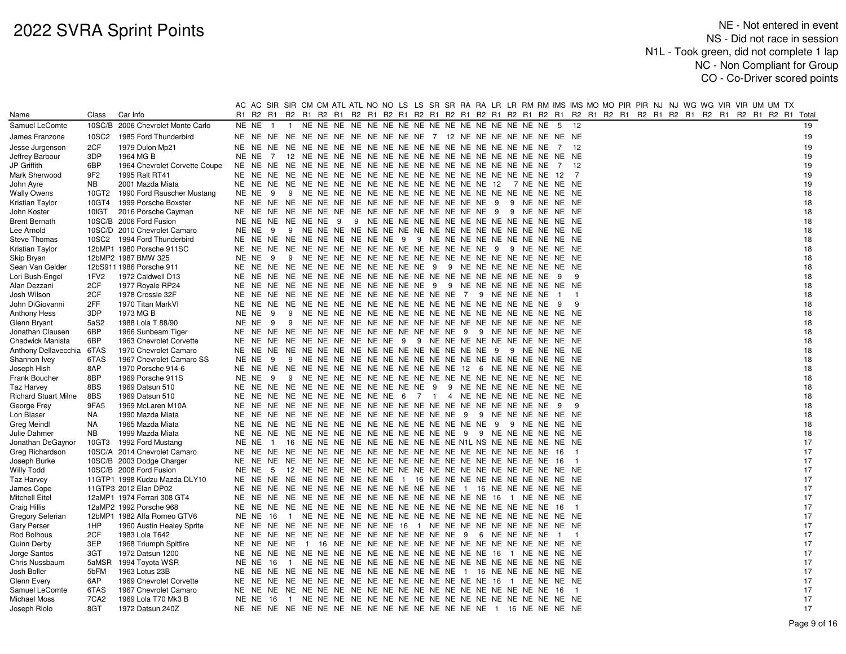|                                   |           |                                                      |       |                   | AC AC SIR SIR CM CM ATL ATL NO NO LS LS SR SR RA RA LR LR RM RM IMS IMS MO MO PIR PIR NJ NJ WG WG VIR VIR UM UM TX   |  |  |  |  |  |               |                |                                  |  |  |  |  |  |          |
|-----------------------------------|-----------|------------------------------------------------------|-------|-------------------|----------------------------------------------------------------------------------------------------------------------|--|--|--|--|--|---------------|----------------|----------------------------------|--|--|--|--|--|----------|
| Name                              | Class     | Car Info                                             |       |                   | R1 R2 R1 R2 R1 R2 R1 R2 R1 R2 R1 R2 R1 R2 R1 R2 R1 R2 R1 R2 R1 R2 R1 R2 R1 R2 R1 R2 R1 R2 R1 R2 R1 R2 R1 R2 R1 Total |  |  |  |  |  |               |                |                                  |  |  |  |  |  |          |
| Samuel LeComte                    | 10SC/B    | 2006 Chevrolet Monte Carlo                           |       |                   |                                                                                                                      |  |  |  |  |  |               |                |                                  |  |  |  |  |  | 19       |
| James Franzone                    | 10SC2     | 1985 Ford Thunderbird                                |       |                   | NE NE NE NE NE NE NE NE NE NE NE NE NE 7 12 NE NE NE NE NE NE NE NE NE                                               |  |  |  |  |  |               |                |                                  |  |  |  |  |  | 19       |
| Jesse Jurgenson                   | 2CF       | 1979 Dulon Mp21                                      |       |                   |                                                                                                                      |  |  |  |  |  |               |                |                                  |  |  |  |  |  | 19       |
| Jeffrey Barbour                   | 3DP       | 1964 MG B                                            | NE NE | 7                 |                                                                                                                      |  |  |  |  |  |               |                |                                  |  |  |  |  |  | 19       |
| JP Griffith                       | 6BP       | 1964 Chevrolet Corvette Coupe                        |       |                   |                                                                                                                      |  |  |  |  |  |               | 7 12           |                                  |  |  |  |  |  | 19       |
| Mark Sherwood                     | 9F2       | 1995 Ralt RT41                                       |       |                   |                                                                                                                      |  |  |  |  |  |               |                | $\overline{7}$                   |  |  |  |  |  | 19       |
| John Ayre                         | NB.       | 2001 Mazda Miata                                     |       |                   |                                                                                                                      |  |  |  |  |  | 7 NE NE NE NE |                |                                  |  |  |  |  |  | 19       |
| <b>Wally Owens</b>                | 10GT2     | 1990 Ford Rauscher Mustang                           | NE NE | - 9               |                                                                                                                      |  |  |  |  |  |               |                |                                  |  |  |  |  |  | 18       |
| Kristian Taylor                   | 10GT4     | 1999 Porsche Boxster                                 |       |                   |                                                                                                                      |  |  |  |  |  |               |                |                                  |  |  |  |  |  | 18       |
| John Koster                       | 10IGT     | 2016 Porsche Cayman                                  |       |                   |                                                                                                                      |  |  |  |  |  | 9 NE NE NE NE |                |                                  |  |  |  |  |  | 18       |
| <b>Brent Bernath</b>              |           | 10SC/B 2006 Ford Fusion                              |       |                   |                                                                                                                      |  |  |  |  |  |               |                |                                  |  |  |  |  |  | 18       |
| Lee Arnold                        |           | 10SC/D 2010 Chevrolet Camaro                         |       | NENE <sub>9</sub> |                                                                                                                      |  |  |  |  |  |               |                |                                  |  |  |  |  |  | 18       |
| <b>Steve Thomas</b>               |           | 10SC2 1994 Ford Thunderbird                          |       |                   | NE NE NE NE NE NE NE NE NE NE 9 9 NE NE NE NE NE NE NE NE NE NE NE                                                   |  |  |  |  |  |               |                |                                  |  |  |  |  |  | 18       |
| Kristian Taylor                   |           | 12bMP1 1980 Porsche 911SC                            |       |                   |                                                                                                                      |  |  |  |  |  |               |                |                                  |  |  |  |  |  | 18       |
| Skip Bryan                        |           | 12bMP2 1987 BMW 325                                  |       | NENE <sub>9</sub> |                                                                                                                      |  |  |  |  |  |               |                |                                  |  |  |  |  |  | 18       |
| Sean Van Gelder                   |           | 12bS911 1986 Porsche 911                             |       |                   | NE NE NE NE NE NE NE NE NE NE NE NE 9 9 NE NE NE NE NE NE NE NE NE                                                   |  |  |  |  |  |               |                |                                  |  |  |  |  |  | 18       |
| Lori Bush-Engel                   | 1FV2      | 1972 Caldwell D13                                    |       |                   |                                                                                                                      |  |  |  |  |  |               | - 9            | 9                                |  |  |  |  |  | 18       |
| Alan Dezzani                      | 2CF       | 1977 Royale RP24                                     |       |                   | NE NE NE NE NE NE NE NE NE NE NE NE 9 9 NE NE NE NE NE NE NE NE NE                                                   |  |  |  |  |  |               |                |                                  |  |  |  |  |  | 18       |
| Josh Wilson                       | 2CF       | 1978 Crossle 32F                                     |       |                   |                                                                                                                      |  |  |  |  |  |               | $\overline{1}$ | $\overline{1}$                   |  |  |  |  |  | 18       |
| John DiGiovanni                   | 2FF       | 1970 Titan MarkVI                                    |       |                   |                                                                                                                      |  |  |  |  |  |               | - 9            | 9                                |  |  |  |  |  | 18       |
| Anthony Hess                      | 3DP       | 1973 MG B                                            | NE NE | - 9               |                                                                                                                      |  |  |  |  |  |               | NE NE          |                                  |  |  |  |  |  | 18       |
| Glenn Bryant                      | 5aS2      | 1988 Lola T 88/90                                    | NE NE | - 9               |                                                                                                                      |  |  |  |  |  |               |                |                                  |  |  |  |  |  | 18       |
| Jonathan Clausen                  | 6BP       | 1966 Sunbeam Tiger                                   |       |                   |                                                                                                                      |  |  |  |  |  |               |                |                                  |  |  |  |  |  | 18       |
| Chadwick Manista                  | 6BP       | 1963 Chevrolet Corvette                              |       |                   | NE NE NE NE NE NE NE NE NE NE 9 9 NE NE NE NE NE NE NE NE NE NE NE                                                   |  |  |  |  |  |               |                |                                  |  |  |  |  |  | 18       |
| Anthony Dellavecchia 6TAS         |           | 1970 Chevrolet Camaro                                |       |                   |                                                                                                                      |  |  |  |  |  |               |                |                                  |  |  |  |  |  | 18       |
| Shannon Ivey                      | 6TAS      | 1967 Chevrolet Camaro SS                             |       | NENE <sub>9</sub> |                                                                                                                      |  |  |  |  |  |               |                |                                  |  |  |  |  |  | 18       |
| Joseph Hish                       | 8AP       | 1970 Porsche 914-6                                   |       |                   |                                                                                                                      |  |  |  |  |  |               |                |                                  |  |  |  |  |  | 18       |
| Frank Boucher                     | 8BP       | 1969 Porsche 911S                                    |       | NE NE 9           |                                                                                                                      |  |  |  |  |  |               |                |                                  |  |  |  |  |  | 18       |
| Taz Harvey                        | 8BS       | 1969 Datsun 510                                      |       |                   | NE NE NE NE NE NE NE NE NE NE NE NE 9 9 NE NE NE NE NE NE NE NE NE                                                   |  |  |  |  |  |               |                |                                  |  |  |  |  |  | 18       |
| <b>Richard Stuart Milne</b>       | 8BS       | 1969 Datsun 510                                      |       |                   | NE NE NE NE NE NE NE NE NE NE 6 7 1 4 NE NE NE NE NE NE NE NE                                                        |  |  |  |  |  |               |                |                                  |  |  |  |  |  | 18       |
| George Frey                       | 9FA5      | 1969 McLaren M10A                                    |       |                   |                                                                                                                      |  |  |  |  |  |               | - 9            | - 9                              |  |  |  |  |  | 18       |
| Lon Blaser                        | <b>NA</b> | 1990 Mazda Miata                                     |       |                   |                                                                                                                      |  |  |  |  |  |               |                |                                  |  |  |  |  |  | 18       |
| <b>Greg Meindl</b>                | NA        | 1965 Mazda Miata                                     |       |                   |                                                                                                                      |  |  |  |  |  |               |                |                                  |  |  |  |  |  | 18       |
| Julie Dahmer                      | <b>NB</b> | 1999 Mazda Miata                                     |       |                   |                                                                                                                      |  |  |  |  |  |               |                |                                  |  |  |  |  |  | 18       |
| Jonathan DeGaynor                 | 10GT3     | 1992 Ford Mustang                                    | NE NE | $\overline{1}$    | 16 NE NE NE NE NE NE NE NE NE NE NE N1L NS NE NE NE NE NE NE                                                         |  |  |  |  |  |               |                |                                  |  |  |  |  |  | 17       |
| Greg Richardson                   |           | 10SC/A 2014 Chevrolet Camaro                         |       |                   |                                                                                                                      |  |  |  |  |  |               |                | $\overline{1}$<br>$\overline{1}$ |  |  |  |  |  | 17<br>17 |
| Joseph Burke<br><b>Willy Todd</b> |           | 10SC/B 2003 Dodge Charger<br>10SC/B 2008 Ford Fusion |       | NENE 5            |                                                                                                                      |  |  |  |  |  |               | - 16           |                                  |  |  |  |  |  | 17       |
| <b>Taz Harvey</b>                 |           | 11GTP1 1998 Kudzu Mazda DLY10                        |       |                   | NE NE NE NE NE NE NE NE NE NE NE 1 16 NE NE NE NE NE NE NE NE NE NE                                                  |  |  |  |  |  |               |                |                                  |  |  |  |  |  | 17       |
| James Cope                        |           | 11GTP3 2012 Elan DP02                                |       |                   |                                                                                                                      |  |  |  |  |  |               |                |                                  |  |  |  |  |  | 17       |
| Mitchell Eitel                    |           | 12aMP1 1974 Ferrari 308 GT4                          |       |                   |                                                                                                                      |  |  |  |  |  |               |                |                                  |  |  |  |  |  | 17       |
| Craig Hillis                      |           | 12aMP2 1992 Porsche 968                              |       |                   |                                                                                                                      |  |  |  |  |  |               |                | $\overline{1}$                   |  |  |  |  |  | 17       |
| Gregory Seferian                  |           | 12bMP1 1982 Alfa Romeo GTV6                          |       | <b>NE NE 16</b>   |                                                                                                                      |  |  |  |  |  |               |                |                                  |  |  |  |  |  | 17       |
| <b>Gary Perser</b>                | 1HP       | 1960 Austin Healey Sprite                            |       |                   | NE NE NE NE NE NE NE NE NE NE 16 1 NE NE NE NE NE NE NE NE NE NE                                                     |  |  |  |  |  |               |                |                                  |  |  |  |  |  | 17       |
| Rod Bolhous                       | 2CF       | 1983 Lola T642                                       |       |                   |                                                                                                                      |  |  |  |  |  |               | $\blacksquare$ | $\overline{1}$                   |  |  |  |  |  | 17       |
| Quinn Derby                       | 3EP       | 1968 Triumph Spitfire                                |       | NE NE NE NE       |                                                                                                                      |  |  |  |  |  |               |                |                                  |  |  |  |  |  | 17       |
| Jorge Santos                      | 3GT       | 1972 Datsun 1200                                     |       |                   |                                                                                                                      |  |  |  |  |  |               |                |                                  |  |  |  |  |  | 17       |
| Chris Nussbaum                    | 5aMSR     | 1994 Toyota WSR                                      | NE NE | -16               |                                                                                                                      |  |  |  |  |  |               |                |                                  |  |  |  |  |  | 17       |
| Josh Boller                       | 5bFM      | 1963 Lotus 23B                                       |       |                   |                                                                                                                      |  |  |  |  |  |               |                |                                  |  |  |  |  |  | 17       |
| Glenn Every                       | 6AP       | 1969 Chevrolet Corvette                              |       |                   |                                                                                                                      |  |  |  |  |  |               |                |                                  |  |  |  |  |  | 17       |
| Samuel LeComte                    | 6TAS      | 1967 Chevrolet Camaro                                |       |                   |                                                                                                                      |  |  |  |  |  |               | - 16           | $\overline{1}$                   |  |  |  |  |  | 17       |
| Michael Moss                      | 7CA2      | 1969 Lola T70 Mk3 B                                  |       | <b>NE NE 16</b>   |                                                                                                                      |  |  |  |  |  |               |                |                                  |  |  |  |  |  | 17       |
| Joseph Riolo                      | 8GT       | 1972 Datsun 240Z                                     |       |                   |                                                                                                                      |  |  |  |  |  |               |                |                                  |  |  |  |  |  | 17       |
|                                   |           |                                                      |       |                   |                                                                                                                      |  |  |  |  |  |               |                |                                  |  |  |  |  |  |          |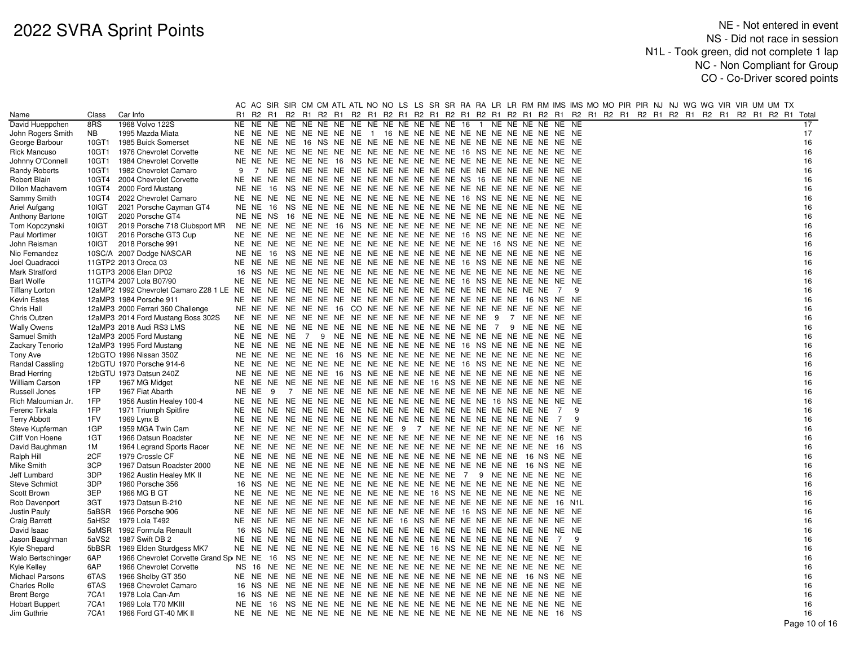|                         |             |                                        |                |              |  |  |  |                                                                         |  |  |                |    | AC AC SIR SIR CM CM ATL ATL NO NO LS LS SR SR RA RA LR LR RM RM IMS IMS MO MO PIR PIR NJ NJ WG WG VIR VIR UM UM TX |  |  |  |               |  |
|-------------------------|-------------|----------------------------------------|----------------|--------------|--|--|--|-------------------------------------------------------------------------|--|--|----------------|----|--------------------------------------------------------------------------------------------------------------------|--|--|--|---------------|--|
| Name                    | Class       | Car Info                               | R <sub>1</sub> |              |  |  |  |                                                                         |  |  |                |    | R2 R1 R2 R1 R2 R1 R2 R1 R2 R1 R2 R1 R2 R1 R2 R1 R2 R1 R2 R1 R2 R1 R2 R1 R2 R1 R2 R1 R2 R1 R2 R1 R2 R1 R2 R1 Total  |  |  |  |               |  |
| David Hueppchen         | 8RS         | 1968 Volvo 122S                        | NE             | NE NE        |  |  |  | NE NE NE NE NE NE NE NE NE NE NE 16 1 NE NE NE NE NE NE                 |  |  |                |    |                                                                                                                    |  |  |  | 17            |  |
| John Rogers Smith       | <b>NB</b>   | 1995 Mazda Miata                       |                |              |  |  |  | NE NE NE NE NE NE NE NE 1 16 NE NE NE NE NE NE NE NE NE NE NE NE        |  |  |                |    |                                                                                                                    |  |  |  | 17            |  |
| George Barbour          | 10GT1       | 1985 Buick Somerset                    |                |              |  |  |  |                                                                         |  |  |                |    |                                                                                                                    |  |  |  | 16            |  |
| <b>Rick Mancuso</b>     | 10GT1       | 1976 Chevrolet Corvette                |                |              |  |  |  |                                                                         |  |  |                |    |                                                                                                                    |  |  |  | 16            |  |
| Johnny O'Connell        | 10GT1       | 1984 Chevrolet Corvette                |                |              |  |  |  |                                                                         |  |  |                |    |                                                                                                                    |  |  |  | 16            |  |
| <b>Randy Roberts</b>    | 10GT1       | 1982 Chevrolet Camaro                  | 9              | 7            |  |  |  |                                                                         |  |  |                |    |                                                                                                                    |  |  |  | 16            |  |
| Robert Blain            | 10GT4       | 2004 Chevrolet Corvette                |                |              |  |  |  |                                                                         |  |  |                |    |                                                                                                                    |  |  |  | 16            |  |
| <b>Dillon Machavern</b> | 10GT4       | 2000 Ford Mustang                      |                |              |  |  |  |                                                                         |  |  |                |    |                                                                                                                    |  |  |  | 16            |  |
| Sammy Smith             | 10GT4       | 2022 Chevrolet Camaro                  |                |              |  |  |  |                                                                         |  |  |                |    |                                                                                                                    |  |  |  | 16            |  |
| Ariel Aufgang           | 10IGT       | 2021 Porsche Cayman GT4                |                | NE NE<br>16  |  |  |  |                                                                         |  |  |                |    |                                                                                                                    |  |  |  | 16            |  |
| <b>Anthony Bartone</b>  | 10IGT       | 2020 Porsche GT4                       |                | NE NE NS     |  |  |  |                                                                         |  |  |                |    |                                                                                                                    |  |  |  | 16            |  |
| Tom Kopczynski          | 10IGT       | 2019 Porsche 718 Clubsport MR          |                |              |  |  |  |                                                                         |  |  |                |    |                                                                                                                    |  |  |  | 16            |  |
| Paul Mortimer           | 10IGT       | 2016 Porsche GT3 Cup                   |                |              |  |  |  |                                                                         |  |  |                |    |                                                                                                                    |  |  |  | 16            |  |
| John Reisman            | 10IGT       | 2018 Porsche 991                       |                |              |  |  |  |                                                                         |  |  |                |    |                                                                                                                    |  |  |  | 16            |  |
| Nio Fernandez           |             | 10SC/A 2007 Dodge NASCAR               |                |              |  |  |  |                                                                         |  |  |                |    |                                                                                                                    |  |  |  | 16            |  |
| Joel Quadracci          |             | 11GTP2 2013 Oreca 03                   |                |              |  |  |  |                                                                         |  |  |                |    |                                                                                                                    |  |  |  | 16            |  |
| Mark Stratford          |             | 11GTP3 2006 Elan DP02                  |                |              |  |  |  |                                                                         |  |  |                |    |                                                                                                                    |  |  |  | 16            |  |
| <b>Bart Wolfe</b>       |             | 11GTP4 2007 Lola B07/90                |                |              |  |  |  |                                                                         |  |  |                |    |                                                                                                                    |  |  |  | 16            |  |
| <b>Tiffany Lorton</b>   |             |                                        |                |              |  |  |  |                                                                         |  |  | 7              | -9 |                                                                                                                    |  |  |  | 16            |  |
| Kevin Estes             |             | 12aMP3 1984 Porsche 911                |                |              |  |  |  |                                                                         |  |  |                |    |                                                                                                                    |  |  |  | 16            |  |
| Chris Hall              |             | 12aMP3 2000 Ferrari 360 Challenge      |                |              |  |  |  |                                                                         |  |  |                |    |                                                                                                                    |  |  |  | 16            |  |
| Chris Outzen            |             | 12aMP3 2014 Ford Mustang Boss 302S     |                | NE NE<br>NE. |  |  |  | NE NE NE NE NE NE NE NE NE NE NE NE NE 9 7 NE NE NE NE                  |  |  |                |    |                                                                                                                    |  |  |  | 16            |  |
| <b>Wally Owens</b>      |             | 12aMP3 2018 Audi RS3 LMS               |                |              |  |  |  |                                                                         |  |  |                |    |                                                                                                                    |  |  |  | 16            |  |
| Samuel Smith            |             | 12aMP3 2005 Ford Mustang               |                | NE NE NE NE  |  |  |  |                                                                         |  |  |                |    |                                                                                                                    |  |  |  | 16            |  |
| Zackary Tenorio         |             | 12aMP3 1995 Ford Mustang               |                |              |  |  |  |                                                                         |  |  |                |    |                                                                                                                    |  |  |  | 16            |  |
| Tony Ave                |             | 12bGTO 1996 Nissan 350Z                |                | NE NE NE     |  |  |  |                                                                         |  |  |                |    |                                                                                                                    |  |  |  | 16            |  |
| Randal Cassling         |             | 12bGTU 1970 Porsche 914-6              |                |              |  |  |  |                                                                         |  |  |                |    |                                                                                                                    |  |  |  | 16            |  |
| <b>Brad Herring</b>     |             | 12bGTU 1973 Datsun 240Z                |                |              |  |  |  |                                                                         |  |  |                |    |                                                                                                                    |  |  |  | 16            |  |
| <b>William Carson</b>   | 1FP         | 1967 MG Midget                         |                |              |  |  |  | NE NE NE NE NE NE NE NE NE NE NE NE 16 NS NE NE NE NE NE NE NE NE NE    |  |  |                |    |                                                                                                                    |  |  |  | 16            |  |
| Russell Jones           | 1FP         | 1967 Fiat Abarth                       |                | NE NE<br>- 9 |  |  |  |                                                                         |  |  |                |    |                                                                                                                    |  |  |  | 16            |  |
| Rich Maloumian Jr.      | 1FP         | 1956 Austin Healey 100-4               |                |              |  |  |  |                                                                         |  |  |                |    |                                                                                                                    |  |  |  | 16            |  |
| Ferenc Tirkala          | 1FP         | 1971 Triumph Spitfire                  |                |              |  |  |  |                                                                         |  |  | 7              | 9  |                                                                                                                    |  |  |  | 16            |  |
| <b>Terry Abbott</b>     | 1FV         | 1969 Lynx B                            |                |              |  |  |  |                                                                         |  |  | $\overline{7}$ | 9  |                                                                                                                    |  |  |  | 16            |  |
| Steve Kupferman         | 1GP         | 1959 MGA Twin Cam                      |                |              |  |  |  | NE NE NE NE NE NE NE NE NE NE 9 7 NE NE NE NE NE NE NE NE NE NE         |  |  |                |    |                                                                                                                    |  |  |  | 16            |  |
| Cliff Von Hoene         | 1GT         | 1966 Datsun Roadster                   |                |              |  |  |  |                                                                         |  |  |                |    |                                                                                                                    |  |  |  | 16            |  |
| David Baughman          | 1M          | 1964 Legrand Sports Racer              |                |              |  |  |  |                                                                         |  |  |                |    |                                                                                                                    |  |  |  | 16            |  |
| Ralph Hill              | 2CF         | 1979 Crossle CF                        |                |              |  |  |  |                                                                         |  |  |                |    |                                                                                                                    |  |  |  | 16            |  |
| Mike Smith              | 3CP         | 1967 Datsun Roadster 2000              |                |              |  |  |  |                                                                         |  |  |                |    |                                                                                                                    |  |  |  | 16            |  |
| Jeff Lumbard            | 3DP         | 1962 Austin Healey MK II               |                |              |  |  |  |                                                                         |  |  |                |    |                                                                                                                    |  |  |  | 16            |  |
| <b>Steve Schmidt</b>    | 3DP         | 1960 Porsche 356                       |                |              |  |  |  |                                                                         |  |  |                |    |                                                                                                                    |  |  |  | 16            |  |
| Scott Brown             | 3EP         | 1966 MG B GT                           |                |              |  |  |  | NE NE NE NE NE NE NE NE NE NE NE NE NE 16 NS NE NE NE NE NE NE NE NE NE |  |  |                |    |                                                                                                                    |  |  |  | 16            |  |
| Rob Davenport           | 3GT         | 1973 Datsun B-210                      |                |              |  |  |  |                                                                         |  |  |                |    |                                                                                                                    |  |  |  | 16            |  |
| Justin Pauly            | 5aBSR       | 1966 Porsche 906                       |                |              |  |  |  |                                                                         |  |  |                |    |                                                                                                                    |  |  |  | 16            |  |
| <b>Craig Barrett</b>    | 5aHS2       | 1979 Lola T492                         |                |              |  |  |  | NE NE NE NE NE NE NE NE NE NE NE 16 NS NE NE NE NE NE NE NE NE NE NE    |  |  |                |    |                                                                                                                    |  |  |  | 16            |  |
| David Isaac             | 5aMSR       | 1992 Formula Renault                   | 16             |              |  |  |  |                                                                         |  |  |                |    |                                                                                                                    |  |  |  | 16            |  |
| Jason Baughman          | 5aVS2       | 1987 Swift DB 2                        |                | NE NE NE     |  |  |  |                                                                         |  |  | $\overline{7}$ | -9 |                                                                                                                    |  |  |  | 16            |  |
| Kyle Shepard            | 5bBSR       | 1969 Elden Sturdgess MK7               |                |              |  |  |  | NE NE NE NE NE NE NE NE NE NE NE NE NE 16 NS NE NE NE NE NE NE NE NE NE |  |  |                |    |                                                                                                                    |  |  |  | 16            |  |
| Walo Bertschinger       | 6AP         | 1966 Chevrolet Corvette Grand Sp NE NE |                | 16           |  |  |  |                                                                         |  |  |                |    |                                                                                                                    |  |  |  | 16            |  |
| Kyle Kelley             | 6AP         | 1966 Chevrolet Corvette                | NS 16          |              |  |  |  |                                                                         |  |  |                |    |                                                                                                                    |  |  |  | 16            |  |
| <b>Michael Parsons</b>  | 6TAS        | 1966 Shelby GT 350                     |                |              |  |  |  |                                                                         |  |  |                |    |                                                                                                                    |  |  |  | 16            |  |
| <b>Charles Rolle</b>    | 6TAS        | 1968 Chevrolet Camaro                  |                |              |  |  |  |                                                                         |  |  |                |    |                                                                                                                    |  |  |  | 16            |  |
| <b>Brent Berge</b>      | 7CA1        | 1978 Lola Can-Am                       |                |              |  |  |  |                                                                         |  |  |                |    |                                                                                                                    |  |  |  | 16            |  |
| <b>Hobart Buppert</b>   | <b>7CA1</b> | 1969 Lola T70 MKIII                    |                | NE NE        |  |  |  |                                                                         |  |  |                |    |                                                                                                                    |  |  |  | 16            |  |
| Jim Guthrie             | <b>7CA1</b> | 1966 Ford GT-40 MK II                  |                |              |  |  |  |                                                                         |  |  |                |    |                                                                                                                    |  |  |  | 16            |  |
|                         |             |                                        |                |              |  |  |  |                                                                         |  |  |                |    |                                                                                                                    |  |  |  | Page 10 of 16 |  |
|                         |             |                                        |                |              |  |  |  |                                                                         |  |  |                |    |                                                                                                                    |  |  |  |               |  |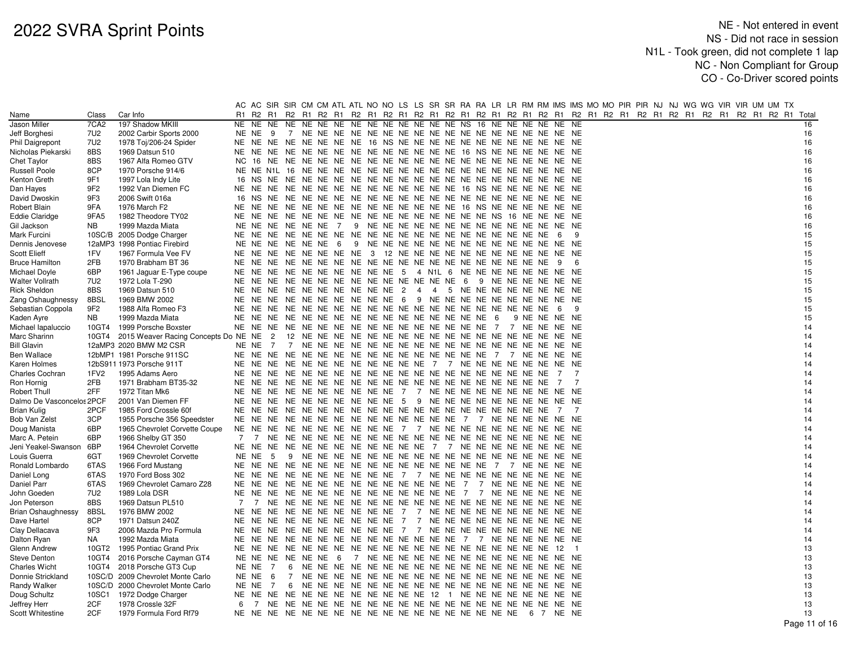|                                 |           |                                      |                 | AC AC SIR SIR CM CM ATL ATL NO NO LS LS SR SR RA RA LR LR RM RM IMS IMS MO MO PIR PIR NJ NJ WG WG VIR VIR UM UM TX   |   |  |  |  |  |  |  |               |                |   |  |  |  |  |  |               |
|---------------------------------|-----------|--------------------------------------|-----------------|----------------------------------------------------------------------------------------------------------------------|---|--|--|--|--|--|--|---------------|----------------|---|--|--|--|--|--|---------------|
| Name                            | Class     | Car Info                             |                 | R1 R2 R1 R2 R1 R2 R1 R2 R1 R2 R1 R2 R1 R2 R1 R2 R1 R2 R1 R2 R1 R2 R1 R2 R1 R2 R1 R2 R1 R2 R1 R2 R1 R2 R1 R2 R1 Total |   |  |  |  |  |  |  |               |                |   |  |  |  |  |  |               |
| Jason Miller                    | 7CA2      | 197 Shadow MKIII                     |                 |                                                                                                                      |   |  |  |  |  |  |  |               |                |   |  |  |  |  |  | 16            |
| Jeff Borghesi                   | 7U2       | 2002 Carbir Sports 2000              |                 | NE NE<br>- 9                                                                                                         |   |  |  |  |  |  |  |               |                |   |  |  |  |  |  | 16            |
| Phil Daigrepont                 | 7U2       | 1978 Toj/206-24 Spider               |                 | NE NE NE NE NE NE NE NE 16 NS NE NE NE NE NE NE NE NE NE NE NE NE                                                    |   |  |  |  |  |  |  |               |                |   |  |  |  |  |  | 16            |
| Nicholas Piekarski              | 8BS       | 1969 Datsun 510                      |                 |                                                                                                                      |   |  |  |  |  |  |  |               |                |   |  |  |  |  |  | 16            |
| Chet Taylor                     | 8BS       | 1967 Alfa Romeo GTV                  |                 |                                                                                                                      |   |  |  |  |  |  |  |               |                |   |  |  |  |  |  | 16            |
| <b>Russell Poole</b>            | 8CP       | 1970 Porsche 914/6                   |                 |                                                                                                                      |   |  |  |  |  |  |  |               |                |   |  |  |  |  |  | 16            |
| Kenton Greth                    | 9F1       | 1997 Lola Indy Lite                  |                 |                                                                                                                      |   |  |  |  |  |  |  |               |                |   |  |  |  |  |  | 16            |
| Dan Hayes                       | 9F2       | 1992 Van Diemen FC                   |                 |                                                                                                                      |   |  |  |  |  |  |  |               |                |   |  |  |  |  |  | 16            |
| David Dwoskin                   | 9F3       | 2006 Swift 016a                      |                 | 16 NS                                                                                                                |   |  |  |  |  |  |  |               |                |   |  |  |  |  |  | 16            |
| Robert Blain                    | 9FA       | 1976 March F2                        | NE.             |                                                                                                                      |   |  |  |  |  |  |  |               |                |   |  |  |  |  |  | 16            |
| Eddie Claridge                  | 9FA5      | 1982 Theodore TY02                   |                 |                                                                                                                      |   |  |  |  |  |  |  |               |                |   |  |  |  |  |  | 16            |
| Gil Jackson                     | <b>NB</b> | 1999 Mazda Miata                     |                 | NE NE NE NE NE NE 7                                                                                                  |   |  |  |  |  |  |  |               |                |   |  |  |  |  |  | 16            |
| Mark Furcini                    |           | 10SC/B 2005 Dodge Charger            | NE.             |                                                                                                                      |   |  |  |  |  |  |  |               | - 6            | 9 |  |  |  |  |  | 15            |
|                                 |           |                                      |                 | NE NE NE NE NE NE 6                                                                                                  |   |  |  |  |  |  |  |               |                |   |  |  |  |  |  | 15            |
| Dennis Jenovese<br>Scott Elieff | 1FV       | 12aMP3 1998 Pontiac Firebird         |                 |                                                                                                                      |   |  |  |  |  |  |  |               |                |   |  |  |  |  |  | 15            |
|                                 |           | 1967 Formula Vee FV                  |                 | NE NE NE NE NE NE NE NE NE 3 12 NE NE NE NE NE NE NE NE NE NE NE NE                                                  |   |  |  |  |  |  |  |               |                |   |  |  |  |  |  |               |
| <b>Bruce Hamilton</b>           | 2FB       | 1970 Brabham BT 36                   | NE.             |                                                                                                                      |   |  |  |  |  |  |  |               | - 9            | 6 |  |  |  |  |  | 15            |
| Michael Doyle                   | 6BP       | 1961 Jaquar E-Type coupe             | NE              | NE NE NE NE NE NE NE NE NE 5 4 N1L 6 NE NE NE NE NE NE NE NE NE                                                      |   |  |  |  |  |  |  |               |                |   |  |  |  |  |  | 15            |
| <b>Walter Vollrath</b>          | 7U2       | 1972 Lola T-290                      |                 |                                                                                                                      |   |  |  |  |  |  |  |               |                |   |  |  |  |  |  | 15            |
| <b>Rick Sheldon</b>             | 8BS       | 1969 Datsun 510                      |                 | NE NE NE NE NE NE NE NE NE NE 2 4 4 5 NE NE NE NE NE NE NE NE NE                                                     |   |  |  |  |  |  |  |               |                |   |  |  |  |  |  | 15            |
| Zang Oshaughnessy               | 8BSL      | 1969 BMW 2002                        | NE.             | NE NE NE NE NE NE NE NE NE NE 6 9 NE NE NE NE NE NE NE NE NE NE NE                                                   |   |  |  |  |  |  |  |               |                |   |  |  |  |  |  | 15            |
| Sebastian Coppola               | 9F2       | 1988 Alfa Romeo F3                   |                 | NE NE                                                                                                                |   |  |  |  |  |  |  |               | - 6            | 9 |  |  |  |  |  | 15            |
| Kaden Ayre                      | NB        | 1999 Mazda Miata                     |                 |                                                                                                                      |   |  |  |  |  |  |  | 9 NE NE NE NE |                |   |  |  |  |  |  | 15            |
| Michael Iapaluccio              | 10GT4     | 1999 Porsche Boxster                 |                 |                                                                                                                      |   |  |  |  |  |  |  |               |                |   |  |  |  |  |  | 14            |
| Marc Sharinn                    | 10GT4     | 2015 Weaver Racing Concepts Do NE NE |                 | $\overline{2}$                                                                                                       |   |  |  |  |  |  |  |               |                |   |  |  |  |  |  | 14            |
| <b>Bill Glavin</b>              |           | 12aMP3 2020 BMW M2 CSR               |                 | NE NE<br>7                                                                                                           |   |  |  |  |  |  |  |               |                |   |  |  |  |  |  | 14            |
| Ben Wallace                     |           | 12bMP1 1981 Porsche 911SC            |                 |                                                                                                                      |   |  |  |  |  |  |  |               |                |   |  |  |  |  |  | 14            |
| Karen Holmes                    |           | 12bS911 1973 Porsche 911T            |                 | NE NE NE NE NE NE NE NE NE NE NE NE 7 7 NE NE NE NE NE NE NE NE NE                                                   |   |  |  |  |  |  |  |               |                |   |  |  |  |  |  | 14            |
| Charles Cochran                 | 1FV2      | 1995 Adams Aero                      |                 | NE NE                                                                                                                |   |  |  |  |  |  |  |               | $\overline{7}$ | 7 |  |  |  |  |  | 14            |
| Ron Hornig                      | 2FB       | 1971 Brabham BT35-32                 | NE.             |                                                                                                                      |   |  |  |  |  |  |  |               | $\overline{7}$ | 7 |  |  |  |  |  | 14            |
| Robert Thull                    | 2FF       | 1972 Titan Mk6                       |                 | NE NE NE NE NE NE NE NE NE NE NE 7 7 NE NE NE NE NE NE NE NE NE NE                                                   |   |  |  |  |  |  |  |               |                |   |  |  |  |  |  | 14            |
| Dalmo De Vasconcelos 2PCF       |           | 2001 Van Diemen FF                   |                 | NE NE NE NE NE NE NE NE NE NE 5 9 NE NE NE NE NE NE NE NE NE NE NE                                                   |   |  |  |  |  |  |  |               |                |   |  |  |  |  |  | 14            |
| Brian Kulig                     | 2PCF      | 1985 Ford Crossle 60f                | NE.             | NE                                                                                                                   |   |  |  |  |  |  |  |               | <sup>7</sup>   | 7 |  |  |  |  |  | 14            |
| Bob Van Zelst                   | 3CP       | 1955 Porsche 356 Speedster           |                 |                                                                                                                      |   |  |  |  |  |  |  |               |                |   |  |  |  |  |  | 14            |
| Doug Manista                    | 6BP       | 1965 Chevrolet Corvette Coupe        |                 | NE NE NE NE NE NE NE NE NE NE 7 7 NE NE NE NE NE NE NE NE NE NE NE                                                   |   |  |  |  |  |  |  |               |                |   |  |  |  |  |  | 14            |
| Marc A. Petein                  | 6BP       | 1966 Shelby GT 350                   | $7\overline{ }$ | $\overline{7}$                                                                                                       |   |  |  |  |  |  |  |               |                |   |  |  |  |  |  | 14            |
| Jeni Yeakel-Swanson             | 6BP       | 1964 Chevrolet Corvette              |                 | NE NE NE NE NE NE NE NE NE NE NE NE 7 7 NE NE NE NE NE NE NE NE NE                                                   |   |  |  |  |  |  |  |               |                |   |  |  |  |  |  | 14            |
| Louis Guerra                    | 6GT       | 1969 Chevrolet Corvette              |                 | NE NE<br>5                                                                                                           |   |  |  |  |  |  |  |               |                |   |  |  |  |  |  | 14            |
| Ronald Lombardo                 | 6TAS      | 1966 Ford Mustang                    |                 |                                                                                                                      |   |  |  |  |  |  |  |               |                |   |  |  |  |  |  | 14            |
| Daniel Long                     | 6TAS      | 1970 Ford Boss 302                   |                 | NE NE NE NE NE NE NE NE NE NE 7 7 NE NE NE NE NE NE NE NE NE NE NE                                                   |   |  |  |  |  |  |  |               |                |   |  |  |  |  |  | 14            |
| Daniel Parr                     | 6TAS      | 1969 Chevrolet Camaro Z28            |                 |                                                                                                                      |   |  |  |  |  |  |  |               |                |   |  |  |  |  |  | 14            |
| John Goeden                     | 7U2       | 1989 Lola DSR                        |                 |                                                                                                                      |   |  |  |  |  |  |  |               |                |   |  |  |  |  |  | 14            |
| Jon Peterson                    | 8BS       | 1969 Datsun PL510                    | 7               | $\overline{7}$                                                                                                       |   |  |  |  |  |  |  |               |                |   |  |  |  |  |  | 14            |
| <b>Brian Oshaughnessy</b>       | 8BSL      | 1976 BMW 2002                        |                 | NE NE NE NE NE NE NE NE NE NE 7 7 NE NE NE NE NE NE NE NE NE NE NE                                                   |   |  |  |  |  |  |  |               |                |   |  |  |  |  |  | 14            |
| Dave Hartel                     | 8CP       | 1971 Datsun 240Z                     |                 | NE NE NE NE NE NE NE NE NE NE NE 7 7 NE NE NE NE NE NE NE NE NE NE                                                   |   |  |  |  |  |  |  |               |                |   |  |  |  |  |  | 14            |
| Clay Dellacava                  | 9F3       | 2006 Mazda Pro Formula               |                 | NE NE NE NE NE NE NE NE NE NE 7 7 NE NE NE NE NE NE NE NE NE NE                                                      |   |  |  |  |  |  |  |               |                |   |  |  |  |  |  | 14            |
| Dalton Ryan                     | NA        | 1992 Mazda Miata                     |                 |                                                                                                                      |   |  |  |  |  |  |  |               |                |   |  |  |  |  |  | 14            |
| Glenn Andrew                    | 10GT2     | 1995 Pontiac Grand Prix              |                 | NE NE                                                                                                                |   |  |  |  |  |  |  |               | 12             |   |  |  |  |  |  | 13            |
| <b>Steve Denton</b>             | 10GT4     | 2016 Porsche Cayman GT4              |                 |                                                                                                                      |   |  |  |  |  |  |  |               |                |   |  |  |  |  |  | 13            |
| <b>Charles Wicht</b>            | 10GT4     | 2018 Porsche GT3 Cup                 |                 | NE NE<br>$\overline{7}$                                                                                              | 6 |  |  |  |  |  |  |               |                |   |  |  |  |  |  | 13            |
| Donnie Strickland               |           | 10SC/D 2009 Chevrolet Monte Carlo    |                 | NE NE<br>6                                                                                                           | 7 |  |  |  |  |  |  |               |                |   |  |  |  |  |  | 13            |
| Randy Walker                    |           | 10SC/D 2000 Chevrolet Monte Carlo    |                 | NE NE<br>7                                                                                                           | 6 |  |  |  |  |  |  |               |                |   |  |  |  |  |  | 13            |
| Doug Schultz                    | 10SC1     | 1972 Dodge Charger                   |                 | NE NE NE NE NE NE NE NE NE NE NE NE NE 12 1 NE NE NE NE NE NE NE NE NE                                               |   |  |  |  |  |  |  |               |                |   |  |  |  |  |  | 13            |
| Jeffrey Herr                    | 2CF       | 1978 Crossle 32F                     | 6               | <sup>7</sup>                                                                                                         |   |  |  |  |  |  |  |               |                |   |  |  |  |  |  | 13            |
| <b>Scott Whitestine</b>         | 2CF       | 1979 Formula Ford Rf79               |                 |                                                                                                                      |   |  |  |  |  |  |  |               |                |   |  |  |  |  |  | 13            |
|                                 |           |                                      |                 |                                                                                                                      |   |  |  |  |  |  |  |               |                |   |  |  |  |  |  |               |
|                                 |           |                                      |                 |                                                                                                                      |   |  |  |  |  |  |  |               |                |   |  |  |  |  |  | Page 11 of 16 |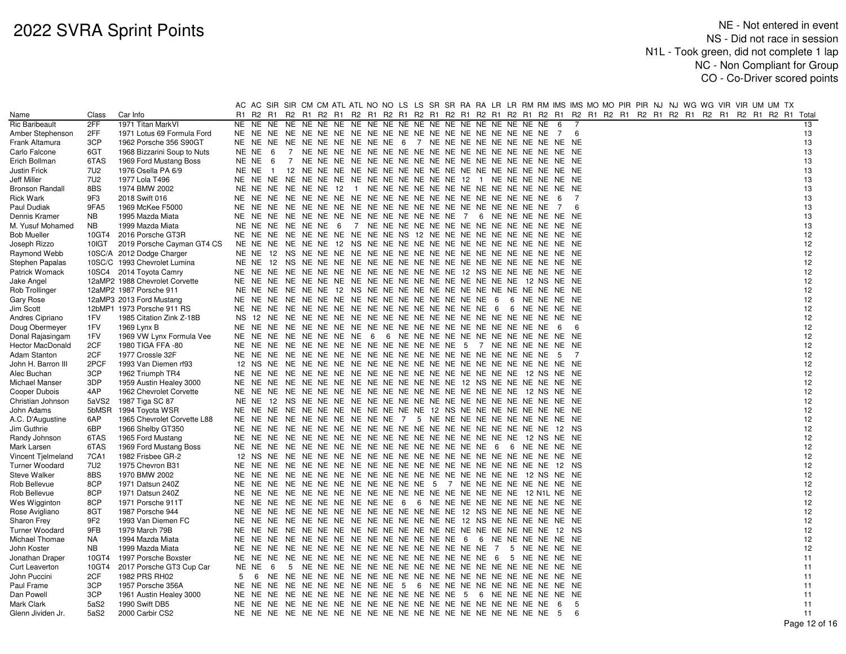| R1<br>R2 R1<br>R2 R1 R2 R1 R2 R1 R2 R1 R2 R1 R2 R1 R2 R1 R2 R1 R2 R1 R2 R1 R2 R1 R2 R1 R2 R1 R2 R1 R2 R1 R2 R1 R2 R1 Total<br>Name<br>Class<br>Car Info<br>2FF<br>1971 Titan MarkVI<br>13<br>NE<br>NE NE<br>-6<br>2FF<br>13<br>Amber Stephenson<br>1971 Lotus 69 Formula Ford<br>- 6<br><sup>7</sup><br>3CP<br>13<br>Frank Altamura<br>1962 Porsche 356 S90GT<br>NE NE NE NE NE NE NE NE 6 7 NE NE NE NE NE NE NE NE NE NE<br>NE<br>NE.<br>13<br>Carlo Falcone<br>6GT<br>1968 Bizzarini Soup to Nuts<br>NE NE<br>- 6<br>7<br>6TAS<br>13<br>Erich Bollman<br>1969 Ford Mustang Boss<br>NE NE<br>6<br>7U2<br>13<br>Justin Frick<br>1976 Osella PA 6/9<br>NE NE<br>$\overline{1}$<br>7U2<br>1977 Lola T496<br>13<br>Jeff Miller<br>NE NE NE NE NE NE NE NE NE NE NE NE 12 1 NE NE NE NE NE NE<br>NE<br>NE<br>8BS<br>13<br><b>Bronson Randall</b><br>1974 BMW 2002<br>9F3<br>13<br><b>Rick Wark</b><br>2018 Swift 016<br>7<br>- 6<br>9FA5<br>13<br>Paul Dudiak<br>1969 McKee F5000<br>6<br>NE.<br>NE<br><sup>7</sup><br>13<br><b>NB</b><br>Dennis Kramer<br>1995 Mazda Miata<br>M. Yusuf Mohamed<br><b>NB</b><br>1999 Mazda Miata<br>13<br>NE NE<br>10GT4<br>2016 Porsche GT3R<br>NE NE NE NE NE NE NE NE NS 12 NE NE NE NE NE NE NE NE NE NE NE<br>12<br><b>Bob Mueller</b><br>NE NE<br>12<br>10IGT<br>2019 Porsche Cayman GT4 CS<br>Joseph Rizzo<br>NE NE<br>12<br>Raymond Webb<br>10SC/A 2012 Dodge Charger<br>NE NE<br>Stephen Papalas<br>10SC/C 1993 Chevrolet Lumina<br>12<br>12<br>Patrick Womack<br>10SC4 2014 Toyota Camry<br>12<br>12aMP2 1988 Chevrolet Corvette<br>Jake Angel<br>NE NE<br>12<br>Rob Trollinger<br>12aMP2 1987 Porsche 911<br>NE NE<br>12<br>12aMP3 2013 Ford Mustang<br>6 NE NE NE NE<br>12<br>Jim Scott<br>12bMP1 1973 Porsche 911 RS<br>NE NE<br>12<br>Andres Cipriano<br>1FV<br>1985 Citation Zink Z-18B<br>NS.<br>12<br>12<br>1FV<br>1969 Lynx B<br>NE<br>- 6<br>- 6<br>12<br>Donal Rajasingam<br>1FV<br>1969 VW Lynx Formula Vee<br>NE NE NE NE NE NE NE NE 6 6 NE NE NE NE NE NE NE NE NE NE NE NE<br>2CF<br>12<br><b>Hector MacDonald</b><br>1980 TIGA FFA -80<br>NE NE<br>NE NE NE NE NE NE NE NE NE NE NE NE 5 7 NE NE NE NE NE NE<br>2CF<br>12<br>Adam Stanton<br>1977 Crossle 32F<br>NE.<br>NE<br>7<br>- 5<br>2PCF<br>12<br>1993 Van Diemen rf93<br>John H. Barron III<br>12 NS<br>Alec Buchan<br>3CP<br>1962 Triumph TR4<br>12<br>12<br>Michael Manser<br>3DP<br>1959 Austin Healey 3000<br>NE NE NE NE NE NE NE NE NE NE NE NE 12 NS NE NE NE NE NE NE<br>NE<br>NE<br>4AP<br>12<br>Cooper Dubois<br>1962 Chevrolet Corvette<br>12<br>Christian Johnson<br>5aVS2<br>1987 Tiga SC 87<br>NE NE<br>12<br>John Adams<br>5bMSR<br>1994 Toyota WSR<br>NE NE NE NE NE NE NE NE NE NE 12 NS NE NE NE NE NE NE NE NE<br>NE.<br>NE<br>12<br>A.C. D'Augustine<br>6AP<br>1965 Chevrolet Corvette L88<br>NE NE NE NE NE NE NE NE NE NE NE 7 5 NE NE NE NE NE NE NE NE NE NE<br>6BP<br>12<br>Jim Guthrie<br>1966 Shelby GT350<br>NE NE<br>12 NS<br>12<br>Randy Johnson<br>6TAS<br>1965 Ford Mustang<br>NE.<br>NE<br>12<br>Mark Larsen<br>6TAS<br>1969 Ford Mustang Boss<br>7CA1<br>1982 Frisbee GR-2<br>12<br>Vincent Tielmeland<br>$12 \overline{ }$<br>NS<br>7U2<br>12<br><b>Turner Woodard</b><br>1975 Chevron B31<br>12 NS<br>NE<br>NE.<br>12<br><b>Steve Walker</b><br>1970 BMW 2002<br>8BS<br>NE.<br>Rob Bellevue<br>8CP<br>12<br>1971 Datsun 240Z<br>NE NE NE NE NE NE NE NE NE NE NE NE NE 5 7 NE NE NE NE NE NE NE NE NE<br>8CP<br>12<br>Rob Bellevue<br>1971 Datsun 240Z<br>NE<br>NE<br>12<br>8CP<br>Wes Wigginton<br>1971 Porsche 911T<br>NE<br>NE NE NE NE NE NE NE NE 6 6 NE NE NE NE NE NE NE NE NE NE<br>NE.<br>12<br>Rose Avigliano<br>8GT<br>1987 Porsche 944<br>NE<br>NE<br>NE NE NE NE NE NE NE NE NE NE NE NE 12 NS NE NE NE NE NE NE<br>9F2<br>1993 Van Diemen FC<br>12<br>Sharon Frey<br>12<br><b>Turner Woodard</b><br>9FB<br>1979 March 79B<br>NE.<br>NE<br><b>NS</b><br>12<br>12<br>Michael Thomae<br><b>NA</b><br>NE NE NE NE NE NE NE NE NE NE NE NE 6 6 NE NE NE NE NE NE NE<br>1994 Mazda Miata<br>NE.<br>NE<br>12<br>John Koster<br>NB.<br>1999 Mazda Miata<br>11<br>Jonathan Draper<br>10GT4<br>1997 Porsche Boxster<br>NE NE<br>5 NE NE NE NE<br>11<br>10GT4<br>2017 Porsche GT3 Cup Car<br>Curt Leaverton<br>NE NE<br>6<br>2CF<br>11<br>John Puccini<br>1982 PRS RH02<br>5<br>6<br>NE.<br>11<br>3CP<br>Paul Frame<br>1957 Porsche 356A<br>NE NE<br>NE NE NE NE NE NE NE NE 5 6 NE NE NE NE NE NE NE NE NE NE NE<br>11<br>Dan Powell<br>3CP<br>1961 Austin Healey 3000<br>NE NE NE NE NE NE NE NE NE NE NE NE NE 5 6 NE NE NE NE NE NE<br>NE<br>11<br>Mark Clark<br>5aS2<br>1990 Swift DB5<br>5<br>NE NE<br>6<br>5aS2<br>2000 Carbir CS2<br>6<br>11<br>Glenn Jividen Jr.<br>5<br>Page 12 of 16 |                       |  |  |  |  |  |  |  |  |  |  |  |  | AC AC SIR SIR CM CM ATL ATL NO NO LS LS SR SR RA RA LR LR RM RM IMS IMS MO MO PIR PIR NJ NJ WG WG VIR VIR UM UM TX |  |  |  |
|------------------------------------------------------------------------------------------------------------------------------------------------------------------------------------------------------------------------------------------------------------------------------------------------------------------------------------------------------------------------------------------------------------------------------------------------------------------------------------------------------------------------------------------------------------------------------------------------------------------------------------------------------------------------------------------------------------------------------------------------------------------------------------------------------------------------------------------------------------------------------------------------------------------------------------------------------------------------------------------------------------------------------------------------------------------------------------------------------------------------------------------------------------------------------------------------------------------------------------------------------------------------------------------------------------------------------------------------------------------------------------------------------------------------------------------------------------------------------------------------------------------------------------------------------------------------------------------------------------------------------------------------------------------------------------------------------------------------------------------------------------------------------------------------------------------------------------------------------------------------------------------------------------------------------------------------------------------------------------------------------------------------------------------------------------------------------------------------------------------------------------------------------------------------------------------------------------------------------------------------------------------------------------------------------------------------------------------------------------------------------------------------------------------------------------------------------------------------------------------------------------------------------------------------------------------------------------------------------------------------------------------------------------------------------------------------------------------------------------------------------------------------------------------------------------------------------------------------------------------------------------------------------------------------------------------------------------------------------------------------------------------------------------------------------------------------------------------------------------------------------------------------------------------------------------------------------------------------------------------------------------------------------------------------------------------------------------------------------------------------------------------------------------------------------------------------------------------------------------------------------------------------------------------------------------------------------------------------------------------------------------------------------------------------------------------------------------------------------------------------------------------------------------------------------------------------------------------------------------------------------------------------------------------------------------------------------------------------------------------------------------------------------------------------------------------------------------------------------------------------------------------------------------------------------------------------------------------------------------------------------------------------------------------------------------------------------------------------------------------------------------------------------------------------------------------------------------------------------------------------------------------------------------------------------------------------------------------------------------------------------------------------------------------------------------------------------------------------------------------------------|-----------------------|--|--|--|--|--|--|--|--|--|--|--|--|--------------------------------------------------------------------------------------------------------------------|--|--|--|
|                                                                                                                                                                                                                                                                                                                                                                                                                                                                                                                                                                                                                                                                                                                                                                                                                                                                                                                                                                                                                                                                                                                                                                                                                                                                                                                                                                                                                                                                                                                                                                                                                                                                                                                                                                                                                                                                                                                                                                                                                                                                                                                                                                                                                                                                                                                                                                                                                                                                                                                                                                                                                                                                                                                                                                                                                                                                                                                                                                                                                                                                                                                                                                                                                                                                                                                                                                                                                                                                                                                                                                                                                                                                                                                                                                                                                                                                                                                                                                                                                                                                                                                                                                                                                                                                                                                                                                                                                                                                                                                                                                                                                                                                                                                                                      |                       |  |  |  |  |  |  |  |  |  |  |  |  |                                                                                                                    |  |  |  |
|                                                                                                                                                                                                                                                                                                                                                                                                                                                                                                                                                                                                                                                                                                                                                                                                                                                                                                                                                                                                                                                                                                                                                                                                                                                                                                                                                                                                                                                                                                                                                                                                                                                                                                                                                                                                                                                                                                                                                                                                                                                                                                                                                                                                                                                                                                                                                                                                                                                                                                                                                                                                                                                                                                                                                                                                                                                                                                                                                                                                                                                                                                                                                                                                                                                                                                                                                                                                                                                                                                                                                                                                                                                                                                                                                                                                                                                                                                                                                                                                                                                                                                                                                                                                                                                                                                                                                                                                                                                                                                                                                                                                                                                                                                                                                      | <b>Ric Baribeault</b> |  |  |  |  |  |  |  |  |  |  |  |  |                                                                                                                    |  |  |  |
|                                                                                                                                                                                                                                                                                                                                                                                                                                                                                                                                                                                                                                                                                                                                                                                                                                                                                                                                                                                                                                                                                                                                                                                                                                                                                                                                                                                                                                                                                                                                                                                                                                                                                                                                                                                                                                                                                                                                                                                                                                                                                                                                                                                                                                                                                                                                                                                                                                                                                                                                                                                                                                                                                                                                                                                                                                                                                                                                                                                                                                                                                                                                                                                                                                                                                                                                                                                                                                                                                                                                                                                                                                                                                                                                                                                                                                                                                                                                                                                                                                                                                                                                                                                                                                                                                                                                                                                                                                                                                                                                                                                                                                                                                                                                                      |                       |  |  |  |  |  |  |  |  |  |  |  |  |                                                                                                                    |  |  |  |
|                                                                                                                                                                                                                                                                                                                                                                                                                                                                                                                                                                                                                                                                                                                                                                                                                                                                                                                                                                                                                                                                                                                                                                                                                                                                                                                                                                                                                                                                                                                                                                                                                                                                                                                                                                                                                                                                                                                                                                                                                                                                                                                                                                                                                                                                                                                                                                                                                                                                                                                                                                                                                                                                                                                                                                                                                                                                                                                                                                                                                                                                                                                                                                                                                                                                                                                                                                                                                                                                                                                                                                                                                                                                                                                                                                                                                                                                                                                                                                                                                                                                                                                                                                                                                                                                                                                                                                                                                                                                                                                                                                                                                                                                                                                                                      |                       |  |  |  |  |  |  |  |  |  |  |  |  |                                                                                                                    |  |  |  |
|                                                                                                                                                                                                                                                                                                                                                                                                                                                                                                                                                                                                                                                                                                                                                                                                                                                                                                                                                                                                                                                                                                                                                                                                                                                                                                                                                                                                                                                                                                                                                                                                                                                                                                                                                                                                                                                                                                                                                                                                                                                                                                                                                                                                                                                                                                                                                                                                                                                                                                                                                                                                                                                                                                                                                                                                                                                                                                                                                                                                                                                                                                                                                                                                                                                                                                                                                                                                                                                                                                                                                                                                                                                                                                                                                                                                                                                                                                                                                                                                                                                                                                                                                                                                                                                                                                                                                                                                                                                                                                                                                                                                                                                                                                                                                      |                       |  |  |  |  |  |  |  |  |  |  |  |  |                                                                                                                    |  |  |  |
|                                                                                                                                                                                                                                                                                                                                                                                                                                                                                                                                                                                                                                                                                                                                                                                                                                                                                                                                                                                                                                                                                                                                                                                                                                                                                                                                                                                                                                                                                                                                                                                                                                                                                                                                                                                                                                                                                                                                                                                                                                                                                                                                                                                                                                                                                                                                                                                                                                                                                                                                                                                                                                                                                                                                                                                                                                                                                                                                                                                                                                                                                                                                                                                                                                                                                                                                                                                                                                                                                                                                                                                                                                                                                                                                                                                                                                                                                                                                                                                                                                                                                                                                                                                                                                                                                                                                                                                                                                                                                                                                                                                                                                                                                                                                                      |                       |  |  |  |  |  |  |  |  |  |  |  |  |                                                                                                                    |  |  |  |
|                                                                                                                                                                                                                                                                                                                                                                                                                                                                                                                                                                                                                                                                                                                                                                                                                                                                                                                                                                                                                                                                                                                                                                                                                                                                                                                                                                                                                                                                                                                                                                                                                                                                                                                                                                                                                                                                                                                                                                                                                                                                                                                                                                                                                                                                                                                                                                                                                                                                                                                                                                                                                                                                                                                                                                                                                                                                                                                                                                                                                                                                                                                                                                                                                                                                                                                                                                                                                                                                                                                                                                                                                                                                                                                                                                                                                                                                                                                                                                                                                                                                                                                                                                                                                                                                                                                                                                                                                                                                                                                                                                                                                                                                                                                                                      |                       |  |  |  |  |  |  |  |  |  |  |  |  |                                                                                                                    |  |  |  |
|                                                                                                                                                                                                                                                                                                                                                                                                                                                                                                                                                                                                                                                                                                                                                                                                                                                                                                                                                                                                                                                                                                                                                                                                                                                                                                                                                                                                                                                                                                                                                                                                                                                                                                                                                                                                                                                                                                                                                                                                                                                                                                                                                                                                                                                                                                                                                                                                                                                                                                                                                                                                                                                                                                                                                                                                                                                                                                                                                                                                                                                                                                                                                                                                                                                                                                                                                                                                                                                                                                                                                                                                                                                                                                                                                                                                                                                                                                                                                                                                                                                                                                                                                                                                                                                                                                                                                                                                                                                                                                                                                                                                                                                                                                                                                      |                       |  |  |  |  |  |  |  |  |  |  |  |  |                                                                                                                    |  |  |  |
|                                                                                                                                                                                                                                                                                                                                                                                                                                                                                                                                                                                                                                                                                                                                                                                                                                                                                                                                                                                                                                                                                                                                                                                                                                                                                                                                                                                                                                                                                                                                                                                                                                                                                                                                                                                                                                                                                                                                                                                                                                                                                                                                                                                                                                                                                                                                                                                                                                                                                                                                                                                                                                                                                                                                                                                                                                                                                                                                                                                                                                                                                                                                                                                                                                                                                                                                                                                                                                                                                                                                                                                                                                                                                                                                                                                                                                                                                                                                                                                                                                                                                                                                                                                                                                                                                                                                                                                                                                                                                                                                                                                                                                                                                                                                                      |                       |  |  |  |  |  |  |  |  |  |  |  |  |                                                                                                                    |  |  |  |
|                                                                                                                                                                                                                                                                                                                                                                                                                                                                                                                                                                                                                                                                                                                                                                                                                                                                                                                                                                                                                                                                                                                                                                                                                                                                                                                                                                                                                                                                                                                                                                                                                                                                                                                                                                                                                                                                                                                                                                                                                                                                                                                                                                                                                                                                                                                                                                                                                                                                                                                                                                                                                                                                                                                                                                                                                                                                                                                                                                                                                                                                                                                                                                                                                                                                                                                                                                                                                                                                                                                                                                                                                                                                                                                                                                                                                                                                                                                                                                                                                                                                                                                                                                                                                                                                                                                                                                                                                                                                                                                                                                                                                                                                                                                                                      |                       |  |  |  |  |  |  |  |  |  |  |  |  |                                                                                                                    |  |  |  |
|                                                                                                                                                                                                                                                                                                                                                                                                                                                                                                                                                                                                                                                                                                                                                                                                                                                                                                                                                                                                                                                                                                                                                                                                                                                                                                                                                                                                                                                                                                                                                                                                                                                                                                                                                                                                                                                                                                                                                                                                                                                                                                                                                                                                                                                                                                                                                                                                                                                                                                                                                                                                                                                                                                                                                                                                                                                                                                                                                                                                                                                                                                                                                                                                                                                                                                                                                                                                                                                                                                                                                                                                                                                                                                                                                                                                                                                                                                                                                                                                                                                                                                                                                                                                                                                                                                                                                                                                                                                                                                                                                                                                                                                                                                                                                      |                       |  |  |  |  |  |  |  |  |  |  |  |  |                                                                                                                    |  |  |  |
|                                                                                                                                                                                                                                                                                                                                                                                                                                                                                                                                                                                                                                                                                                                                                                                                                                                                                                                                                                                                                                                                                                                                                                                                                                                                                                                                                                                                                                                                                                                                                                                                                                                                                                                                                                                                                                                                                                                                                                                                                                                                                                                                                                                                                                                                                                                                                                                                                                                                                                                                                                                                                                                                                                                                                                                                                                                                                                                                                                                                                                                                                                                                                                                                                                                                                                                                                                                                                                                                                                                                                                                                                                                                                                                                                                                                                                                                                                                                                                                                                                                                                                                                                                                                                                                                                                                                                                                                                                                                                                                                                                                                                                                                                                                                                      |                       |  |  |  |  |  |  |  |  |  |  |  |  |                                                                                                                    |  |  |  |
|                                                                                                                                                                                                                                                                                                                                                                                                                                                                                                                                                                                                                                                                                                                                                                                                                                                                                                                                                                                                                                                                                                                                                                                                                                                                                                                                                                                                                                                                                                                                                                                                                                                                                                                                                                                                                                                                                                                                                                                                                                                                                                                                                                                                                                                                                                                                                                                                                                                                                                                                                                                                                                                                                                                                                                                                                                                                                                                                                                                                                                                                                                                                                                                                                                                                                                                                                                                                                                                                                                                                                                                                                                                                                                                                                                                                                                                                                                                                                                                                                                                                                                                                                                                                                                                                                                                                                                                                                                                                                                                                                                                                                                                                                                                                                      |                       |  |  |  |  |  |  |  |  |  |  |  |  |                                                                                                                    |  |  |  |
|                                                                                                                                                                                                                                                                                                                                                                                                                                                                                                                                                                                                                                                                                                                                                                                                                                                                                                                                                                                                                                                                                                                                                                                                                                                                                                                                                                                                                                                                                                                                                                                                                                                                                                                                                                                                                                                                                                                                                                                                                                                                                                                                                                                                                                                                                                                                                                                                                                                                                                                                                                                                                                                                                                                                                                                                                                                                                                                                                                                                                                                                                                                                                                                                                                                                                                                                                                                                                                                                                                                                                                                                                                                                                                                                                                                                                                                                                                                                                                                                                                                                                                                                                                                                                                                                                                                                                                                                                                                                                                                                                                                                                                                                                                                                                      |                       |  |  |  |  |  |  |  |  |  |  |  |  |                                                                                                                    |  |  |  |
|                                                                                                                                                                                                                                                                                                                                                                                                                                                                                                                                                                                                                                                                                                                                                                                                                                                                                                                                                                                                                                                                                                                                                                                                                                                                                                                                                                                                                                                                                                                                                                                                                                                                                                                                                                                                                                                                                                                                                                                                                                                                                                                                                                                                                                                                                                                                                                                                                                                                                                                                                                                                                                                                                                                                                                                                                                                                                                                                                                                                                                                                                                                                                                                                                                                                                                                                                                                                                                                                                                                                                                                                                                                                                                                                                                                                                                                                                                                                                                                                                                                                                                                                                                                                                                                                                                                                                                                                                                                                                                                                                                                                                                                                                                                                                      |                       |  |  |  |  |  |  |  |  |  |  |  |  |                                                                                                                    |  |  |  |
|                                                                                                                                                                                                                                                                                                                                                                                                                                                                                                                                                                                                                                                                                                                                                                                                                                                                                                                                                                                                                                                                                                                                                                                                                                                                                                                                                                                                                                                                                                                                                                                                                                                                                                                                                                                                                                                                                                                                                                                                                                                                                                                                                                                                                                                                                                                                                                                                                                                                                                                                                                                                                                                                                                                                                                                                                                                                                                                                                                                                                                                                                                                                                                                                                                                                                                                                                                                                                                                                                                                                                                                                                                                                                                                                                                                                                                                                                                                                                                                                                                                                                                                                                                                                                                                                                                                                                                                                                                                                                                                                                                                                                                                                                                                                                      |                       |  |  |  |  |  |  |  |  |  |  |  |  |                                                                                                                    |  |  |  |
|                                                                                                                                                                                                                                                                                                                                                                                                                                                                                                                                                                                                                                                                                                                                                                                                                                                                                                                                                                                                                                                                                                                                                                                                                                                                                                                                                                                                                                                                                                                                                                                                                                                                                                                                                                                                                                                                                                                                                                                                                                                                                                                                                                                                                                                                                                                                                                                                                                                                                                                                                                                                                                                                                                                                                                                                                                                                                                                                                                                                                                                                                                                                                                                                                                                                                                                                                                                                                                                                                                                                                                                                                                                                                                                                                                                                                                                                                                                                                                                                                                                                                                                                                                                                                                                                                                                                                                                                                                                                                                                                                                                                                                                                                                                                                      |                       |  |  |  |  |  |  |  |  |  |  |  |  |                                                                                                                    |  |  |  |
|                                                                                                                                                                                                                                                                                                                                                                                                                                                                                                                                                                                                                                                                                                                                                                                                                                                                                                                                                                                                                                                                                                                                                                                                                                                                                                                                                                                                                                                                                                                                                                                                                                                                                                                                                                                                                                                                                                                                                                                                                                                                                                                                                                                                                                                                                                                                                                                                                                                                                                                                                                                                                                                                                                                                                                                                                                                                                                                                                                                                                                                                                                                                                                                                                                                                                                                                                                                                                                                                                                                                                                                                                                                                                                                                                                                                                                                                                                                                                                                                                                                                                                                                                                                                                                                                                                                                                                                                                                                                                                                                                                                                                                                                                                                                                      |                       |  |  |  |  |  |  |  |  |  |  |  |  |                                                                                                                    |  |  |  |
|                                                                                                                                                                                                                                                                                                                                                                                                                                                                                                                                                                                                                                                                                                                                                                                                                                                                                                                                                                                                                                                                                                                                                                                                                                                                                                                                                                                                                                                                                                                                                                                                                                                                                                                                                                                                                                                                                                                                                                                                                                                                                                                                                                                                                                                                                                                                                                                                                                                                                                                                                                                                                                                                                                                                                                                                                                                                                                                                                                                                                                                                                                                                                                                                                                                                                                                                                                                                                                                                                                                                                                                                                                                                                                                                                                                                                                                                                                                                                                                                                                                                                                                                                                                                                                                                                                                                                                                                                                                                                                                                                                                                                                                                                                                                                      |                       |  |  |  |  |  |  |  |  |  |  |  |  |                                                                                                                    |  |  |  |
|                                                                                                                                                                                                                                                                                                                                                                                                                                                                                                                                                                                                                                                                                                                                                                                                                                                                                                                                                                                                                                                                                                                                                                                                                                                                                                                                                                                                                                                                                                                                                                                                                                                                                                                                                                                                                                                                                                                                                                                                                                                                                                                                                                                                                                                                                                                                                                                                                                                                                                                                                                                                                                                                                                                                                                                                                                                                                                                                                                                                                                                                                                                                                                                                                                                                                                                                                                                                                                                                                                                                                                                                                                                                                                                                                                                                                                                                                                                                                                                                                                                                                                                                                                                                                                                                                                                                                                                                                                                                                                                                                                                                                                                                                                                                                      |                       |  |  |  |  |  |  |  |  |  |  |  |  |                                                                                                                    |  |  |  |
|                                                                                                                                                                                                                                                                                                                                                                                                                                                                                                                                                                                                                                                                                                                                                                                                                                                                                                                                                                                                                                                                                                                                                                                                                                                                                                                                                                                                                                                                                                                                                                                                                                                                                                                                                                                                                                                                                                                                                                                                                                                                                                                                                                                                                                                                                                                                                                                                                                                                                                                                                                                                                                                                                                                                                                                                                                                                                                                                                                                                                                                                                                                                                                                                                                                                                                                                                                                                                                                                                                                                                                                                                                                                                                                                                                                                                                                                                                                                                                                                                                                                                                                                                                                                                                                                                                                                                                                                                                                                                                                                                                                                                                                                                                                                                      | Gary Rose             |  |  |  |  |  |  |  |  |  |  |  |  |                                                                                                                    |  |  |  |
|                                                                                                                                                                                                                                                                                                                                                                                                                                                                                                                                                                                                                                                                                                                                                                                                                                                                                                                                                                                                                                                                                                                                                                                                                                                                                                                                                                                                                                                                                                                                                                                                                                                                                                                                                                                                                                                                                                                                                                                                                                                                                                                                                                                                                                                                                                                                                                                                                                                                                                                                                                                                                                                                                                                                                                                                                                                                                                                                                                                                                                                                                                                                                                                                                                                                                                                                                                                                                                                                                                                                                                                                                                                                                                                                                                                                                                                                                                                                                                                                                                                                                                                                                                                                                                                                                                                                                                                                                                                                                                                                                                                                                                                                                                                                                      |                       |  |  |  |  |  |  |  |  |  |  |  |  |                                                                                                                    |  |  |  |
|                                                                                                                                                                                                                                                                                                                                                                                                                                                                                                                                                                                                                                                                                                                                                                                                                                                                                                                                                                                                                                                                                                                                                                                                                                                                                                                                                                                                                                                                                                                                                                                                                                                                                                                                                                                                                                                                                                                                                                                                                                                                                                                                                                                                                                                                                                                                                                                                                                                                                                                                                                                                                                                                                                                                                                                                                                                                                                                                                                                                                                                                                                                                                                                                                                                                                                                                                                                                                                                                                                                                                                                                                                                                                                                                                                                                                                                                                                                                                                                                                                                                                                                                                                                                                                                                                                                                                                                                                                                                                                                                                                                                                                                                                                                                                      |                       |  |  |  |  |  |  |  |  |  |  |  |  |                                                                                                                    |  |  |  |
|                                                                                                                                                                                                                                                                                                                                                                                                                                                                                                                                                                                                                                                                                                                                                                                                                                                                                                                                                                                                                                                                                                                                                                                                                                                                                                                                                                                                                                                                                                                                                                                                                                                                                                                                                                                                                                                                                                                                                                                                                                                                                                                                                                                                                                                                                                                                                                                                                                                                                                                                                                                                                                                                                                                                                                                                                                                                                                                                                                                                                                                                                                                                                                                                                                                                                                                                                                                                                                                                                                                                                                                                                                                                                                                                                                                                                                                                                                                                                                                                                                                                                                                                                                                                                                                                                                                                                                                                                                                                                                                                                                                                                                                                                                                                                      | Doug Obermeyer        |  |  |  |  |  |  |  |  |  |  |  |  |                                                                                                                    |  |  |  |
|                                                                                                                                                                                                                                                                                                                                                                                                                                                                                                                                                                                                                                                                                                                                                                                                                                                                                                                                                                                                                                                                                                                                                                                                                                                                                                                                                                                                                                                                                                                                                                                                                                                                                                                                                                                                                                                                                                                                                                                                                                                                                                                                                                                                                                                                                                                                                                                                                                                                                                                                                                                                                                                                                                                                                                                                                                                                                                                                                                                                                                                                                                                                                                                                                                                                                                                                                                                                                                                                                                                                                                                                                                                                                                                                                                                                                                                                                                                                                                                                                                                                                                                                                                                                                                                                                                                                                                                                                                                                                                                                                                                                                                                                                                                                                      |                       |  |  |  |  |  |  |  |  |  |  |  |  |                                                                                                                    |  |  |  |
|                                                                                                                                                                                                                                                                                                                                                                                                                                                                                                                                                                                                                                                                                                                                                                                                                                                                                                                                                                                                                                                                                                                                                                                                                                                                                                                                                                                                                                                                                                                                                                                                                                                                                                                                                                                                                                                                                                                                                                                                                                                                                                                                                                                                                                                                                                                                                                                                                                                                                                                                                                                                                                                                                                                                                                                                                                                                                                                                                                                                                                                                                                                                                                                                                                                                                                                                                                                                                                                                                                                                                                                                                                                                                                                                                                                                                                                                                                                                                                                                                                                                                                                                                                                                                                                                                                                                                                                                                                                                                                                                                                                                                                                                                                                                                      |                       |  |  |  |  |  |  |  |  |  |  |  |  |                                                                                                                    |  |  |  |
|                                                                                                                                                                                                                                                                                                                                                                                                                                                                                                                                                                                                                                                                                                                                                                                                                                                                                                                                                                                                                                                                                                                                                                                                                                                                                                                                                                                                                                                                                                                                                                                                                                                                                                                                                                                                                                                                                                                                                                                                                                                                                                                                                                                                                                                                                                                                                                                                                                                                                                                                                                                                                                                                                                                                                                                                                                                                                                                                                                                                                                                                                                                                                                                                                                                                                                                                                                                                                                                                                                                                                                                                                                                                                                                                                                                                                                                                                                                                                                                                                                                                                                                                                                                                                                                                                                                                                                                                                                                                                                                                                                                                                                                                                                                                                      |                       |  |  |  |  |  |  |  |  |  |  |  |  |                                                                                                                    |  |  |  |
|                                                                                                                                                                                                                                                                                                                                                                                                                                                                                                                                                                                                                                                                                                                                                                                                                                                                                                                                                                                                                                                                                                                                                                                                                                                                                                                                                                                                                                                                                                                                                                                                                                                                                                                                                                                                                                                                                                                                                                                                                                                                                                                                                                                                                                                                                                                                                                                                                                                                                                                                                                                                                                                                                                                                                                                                                                                                                                                                                                                                                                                                                                                                                                                                                                                                                                                                                                                                                                                                                                                                                                                                                                                                                                                                                                                                                                                                                                                                                                                                                                                                                                                                                                                                                                                                                                                                                                                                                                                                                                                                                                                                                                                                                                                                                      |                       |  |  |  |  |  |  |  |  |  |  |  |  |                                                                                                                    |  |  |  |
|                                                                                                                                                                                                                                                                                                                                                                                                                                                                                                                                                                                                                                                                                                                                                                                                                                                                                                                                                                                                                                                                                                                                                                                                                                                                                                                                                                                                                                                                                                                                                                                                                                                                                                                                                                                                                                                                                                                                                                                                                                                                                                                                                                                                                                                                                                                                                                                                                                                                                                                                                                                                                                                                                                                                                                                                                                                                                                                                                                                                                                                                                                                                                                                                                                                                                                                                                                                                                                                                                                                                                                                                                                                                                                                                                                                                                                                                                                                                                                                                                                                                                                                                                                                                                                                                                                                                                                                                                                                                                                                                                                                                                                                                                                                                                      |                       |  |  |  |  |  |  |  |  |  |  |  |  |                                                                                                                    |  |  |  |
|                                                                                                                                                                                                                                                                                                                                                                                                                                                                                                                                                                                                                                                                                                                                                                                                                                                                                                                                                                                                                                                                                                                                                                                                                                                                                                                                                                                                                                                                                                                                                                                                                                                                                                                                                                                                                                                                                                                                                                                                                                                                                                                                                                                                                                                                                                                                                                                                                                                                                                                                                                                                                                                                                                                                                                                                                                                                                                                                                                                                                                                                                                                                                                                                                                                                                                                                                                                                                                                                                                                                                                                                                                                                                                                                                                                                                                                                                                                                                                                                                                                                                                                                                                                                                                                                                                                                                                                                                                                                                                                                                                                                                                                                                                                                                      |                       |  |  |  |  |  |  |  |  |  |  |  |  |                                                                                                                    |  |  |  |
|                                                                                                                                                                                                                                                                                                                                                                                                                                                                                                                                                                                                                                                                                                                                                                                                                                                                                                                                                                                                                                                                                                                                                                                                                                                                                                                                                                                                                                                                                                                                                                                                                                                                                                                                                                                                                                                                                                                                                                                                                                                                                                                                                                                                                                                                                                                                                                                                                                                                                                                                                                                                                                                                                                                                                                                                                                                                                                                                                                                                                                                                                                                                                                                                                                                                                                                                                                                                                                                                                                                                                                                                                                                                                                                                                                                                                                                                                                                                                                                                                                                                                                                                                                                                                                                                                                                                                                                                                                                                                                                                                                                                                                                                                                                                                      |                       |  |  |  |  |  |  |  |  |  |  |  |  |                                                                                                                    |  |  |  |
|                                                                                                                                                                                                                                                                                                                                                                                                                                                                                                                                                                                                                                                                                                                                                                                                                                                                                                                                                                                                                                                                                                                                                                                                                                                                                                                                                                                                                                                                                                                                                                                                                                                                                                                                                                                                                                                                                                                                                                                                                                                                                                                                                                                                                                                                                                                                                                                                                                                                                                                                                                                                                                                                                                                                                                                                                                                                                                                                                                                                                                                                                                                                                                                                                                                                                                                                                                                                                                                                                                                                                                                                                                                                                                                                                                                                                                                                                                                                                                                                                                                                                                                                                                                                                                                                                                                                                                                                                                                                                                                                                                                                                                                                                                                                                      |                       |  |  |  |  |  |  |  |  |  |  |  |  |                                                                                                                    |  |  |  |
|                                                                                                                                                                                                                                                                                                                                                                                                                                                                                                                                                                                                                                                                                                                                                                                                                                                                                                                                                                                                                                                                                                                                                                                                                                                                                                                                                                                                                                                                                                                                                                                                                                                                                                                                                                                                                                                                                                                                                                                                                                                                                                                                                                                                                                                                                                                                                                                                                                                                                                                                                                                                                                                                                                                                                                                                                                                                                                                                                                                                                                                                                                                                                                                                                                                                                                                                                                                                                                                                                                                                                                                                                                                                                                                                                                                                                                                                                                                                                                                                                                                                                                                                                                                                                                                                                                                                                                                                                                                                                                                                                                                                                                                                                                                                                      |                       |  |  |  |  |  |  |  |  |  |  |  |  |                                                                                                                    |  |  |  |
|                                                                                                                                                                                                                                                                                                                                                                                                                                                                                                                                                                                                                                                                                                                                                                                                                                                                                                                                                                                                                                                                                                                                                                                                                                                                                                                                                                                                                                                                                                                                                                                                                                                                                                                                                                                                                                                                                                                                                                                                                                                                                                                                                                                                                                                                                                                                                                                                                                                                                                                                                                                                                                                                                                                                                                                                                                                                                                                                                                                                                                                                                                                                                                                                                                                                                                                                                                                                                                                                                                                                                                                                                                                                                                                                                                                                                                                                                                                                                                                                                                                                                                                                                                                                                                                                                                                                                                                                                                                                                                                                                                                                                                                                                                                                                      |                       |  |  |  |  |  |  |  |  |  |  |  |  |                                                                                                                    |  |  |  |
|                                                                                                                                                                                                                                                                                                                                                                                                                                                                                                                                                                                                                                                                                                                                                                                                                                                                                                                                                                                                                                                                                                                                                                                                                                                                                                                                                                                                                                                                                                                                                                                                                                                                                                                                                                                                                                                                                                                                                                                                                                                                                                                                                                                                                                                                                                                                                                                                                                                                                                                                                                                                                                                                                                                                                                                                                                                                                                                                                                                                                                                                                                                                                                                                                                                                                                                                                                                                                                                                                                                                                                                                                                                                                                                                                                                                                                                                                                                                                                                                                                                                                                                                                                                                                                                                                                                                                                                                                                                                                                                                                                                                                                                                                                                                                      |                       |  |  |  |  |  |  |  |  |  |  |  |  |                                                                                                                    |  |  |  |
|                                                                                                                                                                                                                                                                                                                                                                                                                                                                                                                                                                                                                                                                                                                                                                                                                                                                                                                                                                                                                                                                                                                                                                                                                                                                                                                                                                                                                                                                                                                                                                                                                                                                                                                                                                                                                                                                                                                                                                                                                                                                                                                                                                                                                                                                                                                                                                                                                                                                                                                                                                                                                                                                                                                                                                                                                                                                                                                                                                                                                                                                                                                                                                                                                                                                                                                                                                                                                                                                                                                                                                                                                                                                                                                                                                                                                                                                                                                                                                                                                                                                                                                                                                                                                                                                                                                                                                                                                                                                                                                                                                                                                                                                                                                                                      |                       |  |  |  |  |  |  |  |  |  |  |  |  |                                                                                                                    |  |  |  |
|                                                                                                                                                                                                                                                                                                                                                                                                                                                                                                                                                                                                                                                                                                                                                                                                                                                                                                                                                                                                                                                                                                                                                                                                                                                                                                                                                                                                                                                                                                                                                                                                                                                                                                                                                                                                                                                                                                                                                                                                                                                                                                                                                                                                                                                                                                                                                                                                                                                                                                                                                                                                                                                                                                                                                                                                                                                                                                                                                                                                                                                                                                                                                                                                                                                                                                                                                                                                                                                                                                                                                                                                                                                                                                                                                                                                                                                                                                                                                                                                                                                                                                                                                                                                                                                                                                                                                                                                                                                                                                                                                                                                                                                                                                                                                      |                       |  |  |  |  |  |  |  |  |  |  |  |  |                                                                                                                    |  |  |  |
|                                                                                                                                                                                                                                                                                                                                                                                                                                                                                                                                                                                                                                                                                                                                                                                                                                                                                                                                                                                                                                                                                                                                                                                                                                                                                                                                                                                                                                                                                                                                                                                                                                                                                                                                                                                                                                                                                                                                                                                                                                                                                                                                                                                                                                                                                                                                                                                                                                                                                                                                                                                                                                                                                                                                                                                                                                                                                                                                                                                                                                                                                                                                                                                                                                                                                                                                                                                                                                                                                                                                                                                                                                                                                                                                                                                                                                                                                                                                                                                                                                                                                                                                                                                                                                                                                                                                                                                                                                                                                                                                                                                                                                                                                                                                                      |                       |  |  |  |  |  |  |  |  |  |  |  |  |                                                                                                                    |  |  |  |
|                                                                                                                                                                                                                                                                                                                                                                                                                                                                                                                                                                                                                                                                                                                                                                                                                                                                                                                                                                                                                                                                                                                                                                                                                                                                                                                                                                                                                                                                                                                                                                                                                                                                                                                                                                                                                                                                                                                                                                                                                                                                                                                                                                                                                                                                                                                                                                                                                                                                                                                                                                                                                                                                                                                                                                                                                                                                                                                                                                                                                                                                                                                                                                                                                                                                                                                                                                                                                                                                                                                                                                                                                                                                                                                                                                                                                                                                                                                                                                                                                                                                                                                                                                                                                                                                                                                                                                                                                                                                                                                                                                                                                                                                                                                                                      |                       |  |  |  |  |  |  |  |  |  |  |  |  |                                                                                                                    |  |  |  |
|                                                                                                                                                                                                                                                                                                                                                                                                                                                                                                                                                                                                                                                                                                                                                                                                                                                                                                                                                                                                                                                                                                                                                                                                                                                                                                                                                                                                                                                                                                                                                                                                                                                                                                                                                                                                                                                                                                                                                                                                                                                                                                                                                                                                                                                                                                                                                                                                                                                                                                                                                                                                                                                                                                                                                                                                                                                                                                                                                                                                                                                                                                                                                                                                                                                                                                                                                                                                                                                                                                                                                                                                                                                                                                                                                                                                                                                                                                                                                                                                                                                                                                                                                                                                                                                                                                                                                                                                                                                                                                                                                                                                                                                                                                                                                      |                       |  |  |  |  |  |  |  |  |  |  |  |  |                                                                                                                    |  |  |  |
|                                                                                                                                                                                                                                                                                                                                                                                                                                                                                                                                                                                                                                                                                                                                                                                                                                                                                                                                                                                                                                                                                                                                                                                                                                                                                                                                                                                                                                                                                                                                                                                                                                                                                                                                                                                                                                                                                                                                                                                                                                                                                                                                                                                                                                                                                                                                                                                                                                                                                                                                                                                                                                                                                                                                                                                                                                                                                                                                                                                                                                                                                                                                                                                                                                                                                                                                                                                                                                                                                                                                                                                                                                                                                                                                                                                                                                                                                                                                                                                                                                                                                                                                                                                                                                                                                                                                                                                                                                                                                                                                                                                                                                                                                                                                                      |                       |  |  |  |  |  |  |  |  |  |  |  |  |                                                                                                                    |  |  |  |
|                                                                                                                                                                                                                                                                                                                                                                                                                                                                                                                                                                                                                                                                                                                                                                                                                                                                                                                                                                                                                                                                                                                                                                                                                                                                                                                                                                                                                                                                                                                                                                                                                                                                                                                                                                                                                                                                                                                                                                                                                                                                                                                                                                                                                                                                                                                                                                                                                                                                                                                                                                                                                                                                                                                                                                                                                                                                                                                                                                                                                                                                                                                                                                                                                                                                                                                                                                                                                                                                                                                                                                                                                                                                                                                                                                                                                                                                                                                                                                                                                                                                                                                                                                                                                                                                                                                                                                                                                                                                                                                                                                                                                                                                                                                                                      |                       |  |  |  |  |  |  |  |  |  |  |  |  |                                                                                                                    |  |  |  |
|                                                                                                                                                                                                                                                                                                                                                                                                                                                                                                                                                                                                                                                                                                                                                                                                                                                                                                                                                                                                                                                                                                                                                                                                                                                                                                                                                                                                                                                                                                                                                                                                                                                                                                                                                                                                                                                                                                                                                                                                                                                                                                                                                                                                                                                                                                                                                                                                                                                                                                                                                                                                                                                                                                                                                                                                                                                                                                                                                                                                                                                                                                                                                                                                                                                                                                                                                                                                                                                                                                                                                                                                                                                                                                                                                                                                                                                                                                                                                                                                                                                                                                                                                                                                                                                                                                                                                                                                                                                                                                                                                                                                                                                                                                                                                      |                       |  |  |  |  |  |  |  |  |  |  |  |  |                                                                                                                    |  |  |  |
|                                                                                                                                                                                                                                                                                                                                                                                                                                                                                                                                                                                                                                                                                                                                                                                                                                                                                                                                                                                                                                                                                                                                                                                                                                                                                                                                                                                                                                                                                                                                                                                                                                                                                                                                                                                                                                                                                                                                                                                                                                                                                                                                                                                                                                                                                                                                                                                                                                                                                                                                                                                                                                                                                                                                                                                                                                                                                                                                                                                                                                                                                                                                                                                                                                                                                                                                                                                                                                                                                                                                                                                                                                                                                                                                                                                                                                                                                                                                                                                                                                                                                                                                                                                                                                                                                                                                                                                                                                                                                                                                                                                                                                                                                                                                                      |                       |  |  |  |  |  |  |  |  |  |  |  |  |                                                                                                                    |  |  |  |
|                                                                                                                                                                                                                                                                                                                                                                                                                                                                                                                                                                                                                                                                                                                                                                                                                                                                                                                                                                                                                                                                                                                                                                                                                                                                                                                                                                                                                                                                                                                                                                                                                                                                                                                                                                                                                                                                                                                                                                                                                                                                                                                                                                                                                                                                                                                                                                                                                                                                                                                                                                                                                                                                                                                                                                                                                                                                                                                                                                                                                                                                                                                                                                                                                                                                                                                                                                                                                                                                                                                                                                                                                                                                                                                                                                                                                                                                                                                                                                                                                                                                                                                                                                                                                                                                                                                                                                                                                                                                                                                                                                                                                                                                                                                                                      |                       |  |  |  |  |  |  |  |  |  |  |  |  |                                                                                                                    |  |  |  |
|                                                                                                                                                                                                                                                                                                                                                                                                                                                                                                                                                                                                                                                                                                                                                                                                                                                                                                                                                                                                                                                                                                                                                                                                                                                                                                                                                                                                                                                                                                                                                                                                                                                                                                                                                                                                                                                                                                                                                                                                                                                                                                                                                                                                                                                                                                                                                                                                                                                                                                                                                                                                                                                                                                                                                                                                                                                                                                                                                                                                                                                                                                                                                                                                                                                                                                                                                                                                                                                                                                                                                                                                                                                                                                                                                                                                                                                                                                                                                                                                                                                                                                                                                                                                                                                                                                                                                                                                                                                                                                                                                                                                                                                                                                                                                      |                       |  |  |  |  |  |  |  |  |  |  |  |  |                                                                                                                    |  |  |  |
|                                                                                                                                                                                                                                                                                                                                                                                                                                                                                                                                                                                                                                                                                                                                                                                                                                                                                                                                                                                                                                                                                                                                                                                                                                                                                                                                                                                                                                                                                                                                                                                                                                                                                                                                                                                                                                                                                                                                                                                                                                                                                                                                                                                                                                                                                                                                                                                                                                                                                                                                                                                                                                                                                                                                                                                                                                                                                                                                                                                                                                                                                                                                                                                                                                                                                                                                                                                                                                                                                                                                                                                                                                                                                                                                                                                                                                                                                                                                                                                                                                                                                                                                                                                                                                                                                                                                                                                                                                                                                                                                                                                                                                                                                                                                                      |                       |  |  |  |  |  |  |  |  |  |  |  |  |                                                                                                                    |  |  |  |
|                                                                                                                                                                                                                                                                                                                                                                                                                                                                                                                                                                                                                                                                                                                                                                                                                                                                                                                                                                                                                                                                                                                                                                                                                                                                                                                                                                                                                                                                                                                                                                                                                                                                                                                                                                                                                                                                                                                                                                                                                                                                                                                                                                                                                                                                                                                                                                                                                                                                                                                                                                                                                                                                                                                                                                                                                                                                                                                                                                                                                                                                                                                                                                                                                                                                                                                                                                                                                                                                                                                                                                                                                                                                                                                                                                                                                                                                                                                                                                                                                                                                                                                                                                                                                                                                                                                                                                                                                                                                                                                                                                                                                                                                                                                                                      |                       |  |  |  |  |  |  |  |  |  |  |  |  |                                                                                                                    |  |  |  |
|                                                                                                                                                                                                                                                                                                                                                                                                                                                                                                                                                                                                                                                                                                                                                                                                                                                                                                                                                                                                                                                                                                                                                                                                                                                                                                                                                                                                                                                                                                                                                                                                                                                                                                                                                                                                                                                                                                                                                                                                                                                                                                                                                                                                                                                                                                                                                                                                                                                                                                                                                                                                                                                                                                                                                                                                                                                                                                                                                                                                                                                                                                                                                                                                                                                                                                                                                                                                                                                                                                                                                                                                                                                                                                                                                                                                                                                                                                                                                                                                                                                                                                                                                                                                                                                                                                                                                                                                                                                                                                                                                                                                                                                                                                                                                      |                       |  |  |  |  |  |  |  |  |  |  |  |  |                                                                                                                    |  |  |  |
|                                                                                                                                                                                                                                                                                                                                                                                                                                                                                                                                                                                                                                                                                                                                                                                                                                                                                                                                                                                                                                                                                                                                                                                                                                                                                                                                                                                                                                                                                                                                                                                                                                                                                                                                                                                                                                                                                                                                                                                                                                                                                                                                                                                                                                                                                                                                                                                                                                                                                                                                                                                                                                                                                                                                                                                                                                                                                                                                                                                                                                                                                                                                                                                                                                                                                                                                                                                                                                                                                                                                                                                                                                                                                                                                                                                                                                                                                                                                                                                                                                                                                                                                                                                                                                                                                                                                                                                                                                                                                                                                                                                                                                                                                                                                                      |                       |  |  |  |  |  |  |  |  |  |  |  |  |                                                                                                                    |  |  |  |
|                                                                                                                                                                                                                                                                                                                                                                                                                                                                                                                                                                                                                                                                                                                                                                                                                                                                                                                                                                                                                                                                                                                                                                                                                                                                                                                                                                                                                                                                                                                                                                                                                                                                                                                                                                                                                                                                                                                                                                                                                                                                                                                                                                                                                                                                                                                                                                                                                                                                                                                                                                                                                                                                                                                                                                                                                                                                                                                                                                                                                                                                                                                                                                                                                                                                                                                                                                                                                                                                                                                                                                                                                                                                                                                                                                                                                                                                                                                                                                                                                                                                                                                                                                                                                                                                                                                                                                                                                                                                                                                                                                                                                                                                                                                                                      |                       |  |  |  |  |  |  |  |  |  |  |  |  |                                                                                                                    |  |  |  |
|                                                                                                                                                                                                                                                                                                                                                                                                                                                                                                                                                                                                                                                                                                                                                                                                                                                                                                                                                                                                                                                                                                                                                                                                                                                                                                                                                                                                                                                                                                                                                                                                                                                                                                                                                                                                                                                                                                                                                                                                                                                                                                                                                                                                                                                                                                                                                                                                                                                                                                                                                                                                                                                                                                                                                                                                                                                                                                                                                                                                                                                                                                                                                                                                                                                                                                                                                                                                                                                                                                                                                                                                                                                                                                                                                                                                                                                                                                                                                                                                                                                                                                                                                                                                                                                                                                                                                                                                                                                                                                                                                                                                                                                                                                                                                      |                       |  |  |  |  |  |  |  |  |  |  |  |  |                                                                                                                    |  |  |  |
|                                                                                                                                                                                                                                                                                                                                                                                                                                                                                                                                                                                                                                                                                                                                                                                                                                                                                                                                                                                                                                                                                                                                                                                                                                                                                                                                                                                                                                                                                                                                                                                                                                                                                                                                                                                                                                                                                                                                                                                                                                                                                                                                                                                                                                                                                                                                                                                                                                                                                                                                                                                                                                                                                                                                                                                                                                                                                                                                                                                                                                                                                                                                                                                                                                                                                                                                                                                                                                                                                                                                                                                                                                                                                                                                                                                                                                                                                                                                                                                                                                                                                                                                                                                                                                                                                                                                                                                                                                                                                                                                                                                                                                                                                                                                                      |                       |  |  |  |  |  |  |  |  |  |  |  |  |                                                                                                                    |  |  |  |
|                                                                                                                                                                                                                                                                                                                                                                                                                                                                                                                                                                                                                                                                                                                                                                                                                                                                                                                                                                                                                                                                                                                                                                                                                                                                                                                                                                                                                                                                                                                                                                                                                                                                                                                                                                                                                                                                                                                                                                                                                                                                                                                                                                                                                                                                                                                                                                                                                                                                                                                                                                                                                                                                                                                                                                                                                                                                                                                                                                                                                                                                                                                                                                                                                                                                                                                                                                                                                                                                                                                                                                                                                                                                                                                                                                                                                                                                                                                                                                                                                                                                                                                                                                                                                                                                                                                                                                                                                                                                                                                                                                                                                                                                                                                                                      |                       |  |  |  |  |  |  |  |  |  |  |  |  |                                                                                                                    |  |  |  |
|                                                                                                                                                                                                                                                                                                                                                                                                                                                                                                                                                                                                                                                                                                                                                                                                                                                                                                                                                                                                                                                                                                                                                                                                                                                                                                                                                                                                                                                                                                                                                                                                                                                                                                                                                                                                                                                                                                                                                                                                                                                                                                                                                                                                                                                                                                                                                                                                                                                                                                                                                                                                                                                                                                                                                                                                                                                                                                                                                                                                                                                                                                                                                                                                                                                                                                                                                                                                                                                                                                                                                                                                                                                                                                                                                                                                                                                                                                                                                                                                                                                                                                                                                                                                                                                                                                                                                                                                                                                                                                                                                                                                                                                                                                                                                      |                       |  |  |  |  |  |  |  |  |  |  |  |  |                                                                                                                    |  |  |  |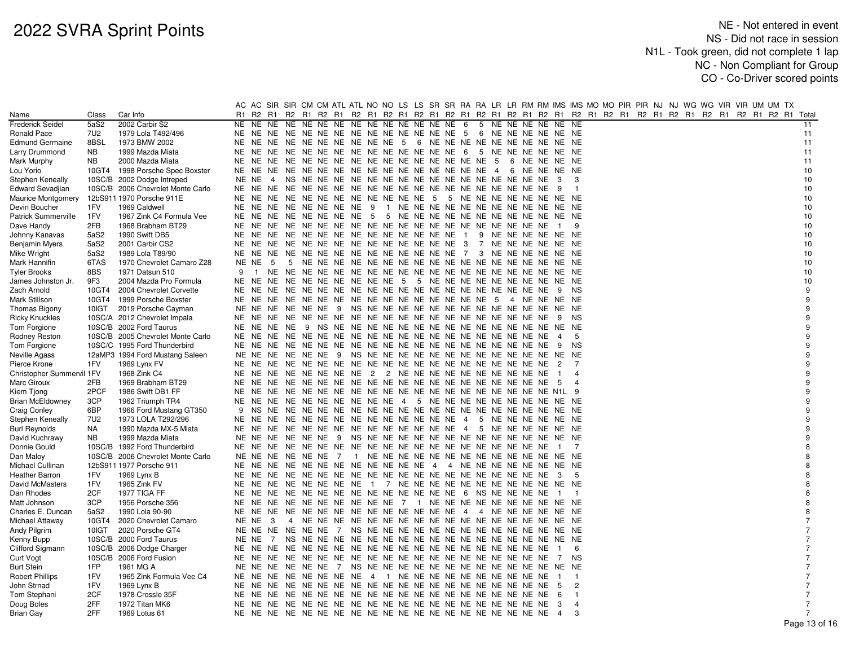|                            |           |                                   |                |                |  |                                                                    |  |  |  |                     |  |                |                |  |  | AC AC SIR SIR CM CM ATL ATL NO NO LS LS SR SR RA RA LR LR RM RM IMS IMS MO MO PIR PIR NJ NJ WG WG VIR VIR UM UM TX |  |  |                |
|----------------------------|-----------|-----------------------------------|----------------|----------------|--|--------------------------------------------------------------------|--|--|--|---------------------|--|----------------|----------------|--|--|--------------------------------------------------------------------------------------------------------------------|--|--|----------------|
| Name                       | Class     | Car Info                          | R <sub>1</sub> | R2 R1          |  |                                                                    |  |  |  |                     |  |                |                |  |  | R2 R1 R2 R1 R2 R1 R2 R1 R2 R1 R2 R1 R2 R1 R2 R1 R2 R1 R2 R1 R2 R1 R2 R1 R2 R1 R2 R1 R2 R1 R2 R1 R2 R1 Total        |  |  |                |
| <b>Frederick Seidel</b>    | 5aS2      | 2002 Carbir S2                    | NE             | NE NE          |  | NE NE NE NE NE NE NE NE NE NE NE 6                                 |  |  |  | 5 NE NE NE NE NE NE |  |                |                |  |  |                                                                                                                    |  |  | 11             |
| Ronald Pace                | 7U2       | 1979 Lola T492/496                |                |                |  |                                                                    |  |  |  |                     |  |                |                |  |  |                                                                                                                    |  |  | 11             |
| <b>Edmund Germaine</b>     | 8BSL      | 1973 BMW 2002                     | NE.            | NE             |  | NE NE NE NE NE NE NE NE 5 6 NE NE NE NE NE NE NE NE NE NE          |  |  |  |                     |  |                |                |  |  |                                                                                                                    |  |  | 11             |
| Larry Drummond             | <b>NB</b> | 1999 Mazda Miata                  | NE             |                |  | NE NE NE NE NE NE NE NE NE NE NE NE NE 6 5 NE NE NE NE NE NE       |  |  |  |                     |  |                |                |  |  |                                                                                                                    |  |  | 11             |
| Mark Murphy                | <b>NB</b> | 2000 Mazda Miata                  |                |                |  |                                                                    |  |  |  |                     |  |                |                |  |  |                                                                                                                    |  |  | 11             |
| Lou Yorio                  | 10GT4     | 1998 Porsche Spec Boxster         | NE NE          |                |  |                                                                    |  |  |  |                     |  |                | NE             |  |  |                                                                                                                    |  |  | 10             |
| Stephen Keneally           |           | 10SC/B 2002 Dodge Intreped        | NE NE          | $\overline{4}$ |  |                                                                    |  |  |  |                     |  | - 3            | 3              |  |  |                                                                                                                    |  |  | 10             |
| <b>Edward Sevadjian</b>    | 10SC/B    | 2006 Chevrolet Monte Carlo        |                |                |  |                                                                    |  |  |  |                     |  | - 9            | $\overline{1}$ |  |  |                                                                                                                    |  |  | 10             |
| <b>Maurice Montgomery</b>  |           | 12bS911 1970 Porsche 911E         | NE NE          |                |  | NE NE NE NE NE NE NE NE NE NE 5 5 NE NE NE NE NE NE NE NE NE       |  |  |  |                     |  |                |                |  |  |                                                                                                                    |  |  | 10             |
| Devin Boucher              | 1FV       | 1969 Caldwell                     | NE.            |                |  | NE NE NE NE NE NE NE 9 1 NE NE NE NE NE NE NE NE NE NE NE NE       |  |  |  |                     |  |                |                |  |  |                                                                                                                    |  |  | 10             |
| <b>Patrick Summerville</b> | 1FV       | 1967 Zink C4 Formula Vee          |                |                |  | NE NE NE NE NE NE NE NE 5 5 NE NE NE NE NE NE NE NE NE NE NE NE    |  |  |  |                     |  |                |                |  |  |                                                                                                                    |  |  | 10             |
|                            | 2FB       |                                   | NE NE          |                |  |                                                                    |  |  |  |                     |  | $\overline{1}$ | 9              |  |  |                                                                                                                    |  |  | 10             |
| Dave Handy                 |           | 1968 Brabham BT29                 |                | NE             |  |                                                                    |  |  |  |                     |  |                |                |  |  |                                                                                                                    |  |  | 10             |
| Johnny Kanavas             | 5aS2      | 1990 Swift DB5                    | NE.            |                |  | NE NE NE NE NE NE NE NE NE NE NE NE 1                              |  |  |  | 9 NE NE NE NE NE NE |  |                |                |  |  |                                                                                                                    |  |  |                |
| <b>Benjamin Myers</b>      | 5aS2      | 2001 Carbir CS2                   | NE             |                |  | NE NE NE NE NE NE NE NE NE NE NE NE NE 3 7 NE NE NE NE NE NE NE    |  |  |  |                     |  |                |                |  |  |                                                                                                                    |  |  | 10             |
| Mike Wright                | 5aS2      | 1989 Lola T89/90                  |                |                |  |                                                                    |  |  |  |                     |  |                |                |  |  |                                                                                                                    |  |  | 10             |
| Mark Hannifin              | 6TAS      | 1970 Chevrolet Camaro Z28         | NE NE          | 5              |  |                                                                    |  |  |  |                     |  |                |                |  |  |                                                                                                                    |  |  | 10             |
| <b>Tyler Brooks</b>        | 8BS       | 1971 Datsun 510                   | 9              | $\overline{1}$ |  |                                                                    |  |  |  |                     |  |                | NE             |  |  |                                                                                                                    |  |  | 10             |
| James Johnston Jr.         | 9F3       | 2004 Mazda Pro Formula            |                |                |  | NE NE NE NE NE NE NE NE NE NE NE 5 5 NE NE NE NE NE NE NE NE NE NE |  |  |  |                     |  |                |                |  |  |                                                                                                                    |  |  | 10             |
| Zach Arnold                | 10GT4     | 2004 Chevrolet Corvette           |                |                |  |                                                                    |  |  |  |                     |  | - 9            | <b>NS</b>      |  |  |                                                                                                                    |  |  | 9              |
| Mark Stillson              | 10GT4     | 1999 Porsche Boxster              |                |                |  |                                                                    |  |  |  |                     |  |                |                |  |  |                                                                                                                    |  |  | 9              |
| <b>Thomas Bigony</b>       | 10IGT     | 2019 Porsche Cayman               | NE NE          |                |  |                                                                    |  |  |  |                     |  |                |                |  |  |                                                                                                                    |  |  |                |
| <b>Ricky Knuckles</b>      |           | 10SC/A 2012 Chevrolet Impala      | NE.            | NE             |  |                                                                    |  |  |  |                     |  | - 9            | NS             |  |  |                                                                                                                    |  |  |                |
| Tom Forgione               |           | 10SC/B 2002 Ford Taurus           |                |                |  |                                                                    |  |  |  |                     |  |                |                |  |  |                                                                                                                    |  |  | 9              |
| Rodney Reston              |           | 10SC/B 2005 Chevrolet Monte Carlo | NE NE          |                |  |                                                                    |  |  |  |                     |  | $\overline{4}$ | 5              |  |  |                                                                                                                    |  |  |                |
| Tom Forgione               |           | 10SC/C 1995 Ford Thunderbird      | NE.            | NE.            |  |                                                                    |  |  |  |                     |  | - 9            | NS             |  |  |                                                                                                                    |  |  |                |
| Neville Agass              |           | 12aMP3 1994 Ford Mustang Saleen   |                |                |  |                                                                    |  |  |  |                     |  |                |                |  |  |                                                                                                                    |  |  | 9              |
| Pierce Krone               | 1FV       | 1969 Lynx FV                      |                |                |  |                                                                    |  |  |  |                     |  | - 2            | 7              |  |  |                                                                                                                    |  |  | 9              |
| Christopher Summervil 1FV  |           | 1968 Zink C4                      | NE.            | NE             |  | NE NE NE NE NE NE 2 2 NE NE NE NE NE NE NE NE NE NE                |  |  |  |                     |  | $\overline{1}$ | $\overline{4}$ |  |  |                                                                                                                    |  |  |                |
| Marc Giroux                | 2FB       | 1969 Brabham BT29                 | NE.            | NE.            |  |                                                                    |  |  |  |                     |  | - 5            | $\overline{4}$ |  |  |                                                                                                                    |  |  | 9              |
| Kiem Tjong                 | 2PCF      | 1986 Swift DB1 FF                 | NE.            |                |  |                                                                    |  |  |  |                     |  |                |                |  |  |                                                                                                                    |  |  |                |
| <b>Brian McEldowney</b>    | 3CP       | 1962 Triumph TR4                  |                |                |  | NE NE NE NE NE NE NE NE NE NE 4 5 NE NE NE NE NE NE NE NE NE NE NE |  |  |  |                     |  |                |                |  |  |                                                                                                                    |  |  |                |
| <b>Craig Conley</b>        | 6BP       | 1966 Ford Mustang GT350           | 9              | NS.            |  |                                                                    |  |  |  |                     |  |                |                |  |  |                                                                                                                    |  |  |                |
| <b>Stephen Keneally</b>    | 7U2       | 1973 LOLA T292/296                |                |                |  |                                                                    |  |  |  |                     |  |                |                |  |  |                                                                                                                    |  |  |                |
| <b>Burl Reynolds</b>       | NA        | 1990 Mazda MX-5 Miata             |                |                |  |                                                                    |  |  |  |                     |  |                |                |  |  |                                                                                                                    |  |  |                |
| David Kuchrawy             | NB        | 1999 Mazda Miata                  |                |                |  |                                                                    |  |  |  |                     |  |                |                |  |  |                                                                                                                    |  |  |                |
| Donnie Gould               |           | 10SC/B 1992 Ford Thunderbird      | NE NE          |                |  |                                                                    |  |  |  |                     |  | $\overline{1}$ | 7              |  |  |                                                                                                                    |  |  | 8              |
| Dan Maloy                  |           | 10SC/B 2006 Chevrolet Monte Carlo | NE NE          |                |  |                                                                    |  |  |  |                     |  |                |                |  |  |                                                                                                                    |  |  | 8              |
| Michael Cullinan           |           | 12bS911 1977 Porsche 911          | NE             | NE             |  | NE NE NE NE NE NE NE NE NE NE 4 4 NE NE NE NE NE NE NE NE NE       |  |  |  |                     |  |                |                |  |  |                                                                                                                    |  |  | 8              |
| Heather Barron             | 1FV       | 1969 Lynx B                       | NE.            | NE             |  |                                                                    |  |  |  |                     |  | 3              | - 5            |  |  |                                                                                                                    |  |  | 8              |
| David McMasters            | 1FV       | 1965 Zink FV                      | NE NE          |                |  | NE NE NE NE NE NE 1 7 NE NE NE NE NE NE NE NE NE NE NE NE          |  |  |  |                     |  |                |                |  |  |                                                                                                                    |  |  | 8              |
| Dan Rhodes                 | 2CF       | 1977 TIGA FF                      | NE.            | NE             |  | NE NE NE NE NE NE NE NE NE NE NE NE 6 NS NE NE NE NE               |  |  |  |                     |  | $\blacksquare$ | $\mathbf{1}$   |  |  |                                                                                                                    |  |  | 8              |
| Matt Johnson               | 3CP       | 1956 Porsche 356                  | NE.            |                |  | NE NE NE NE NE NE NE NE NE 7 1 NE NE NE NE NE NE NE NE NE NE NE    |  |  |  |                     |  |                |                |  |  |                                                                                                                    |  |  | 8              |
| Charles E. Duncan          | 5aS2      | 1990 Lola 90-90                   | NE NE          |                |  | NE NE NE NE NE NE NE NE NE NE NE NE 4 4 NE NE NE NE NE NE NE       |  |  |  |                     |  |                |                |  |  |                                                                                                                    |  |  | 8              |
| Michael Attaway            | 10GT4     | 2020 Chevrolet Camaro             | NE NE          | -3             |  |                                                                    |  |  |  |                     |  |                |                |  |  |                                                                                                                    |  |  | $\overline{7}$ |
| Andy Pilgrim               | 10IGT     | 2020 Porsche GT4                  |                |                |  |                                                                    |  |  |  |                     |  |                |                |  |  |                                                                                                                    |  |  |                |
| Kenny Bupp                 |           | 10SC/B 2000 Ford Taurus           | NE NE          | 7              |  |                                                                    |  |  |  |                     |  |                |                |  |  |                                                                                                                    |  |  |                |
| Clifford Sigmann           |           | 10SC/B 2006 Dodge Charger         | NE             | NE.            |  |                                                                    |  |  |  |                     |  | $\overline{1}$ | 6              |  |  |                                                                                                                    |  |  |                |
| <b>Curt Vogt</b>           |           | 10SC/B 2006 Ford Fusion           |                |                |  |                                                                    |  |  |  |                     |  |                | <b>NS</b>      |  |  |                                                                                                                    |  |  |                |
| <b>Burt Stein</b>          | 1FP       | 1961 MG A                         |                |                |  |                                                                    |  |  |  |                     |  |                |                |  |  |                                                                                                                    |  |  |                |
|                            | 1FV       |                                   | NE NE          |                |  |                                                                    |  |  |  |                     |  |                |                |  |  |                                                                                                                    |  |  |                |
| <b>Robert Phillips</b>     |           | 1965 Zink Formula Vee C4          |                |                |  | NE NE NE NE NE NE 4 1 NE NE NE NE NE NE NE NE NE NE                |  |  |  |                     |  | - 1            | $\overline{1}$ |  |  |                                                                                                                    |  |  |                |
| John Strnad                | 1FV       | 1969 Lynx B                       | NE.            | NE.            |  |                                                                    |  |  |  |                     |  | - 5            | $\overline{c}$ |  |  |                                                                                                                    |  |  |                |
| Tom Stephani               | 2CF       | 1978 Crossle 35F                  | NE.            |                |  |                                                                    |  |  |  |                     |  | - 6            | $\overline{1}$ |  |  |                                                                                                                    |  |  |                |
| Doug Boles                 | 2FF       | 1972 Titan MK6                    | NE.            | NE.            |  |                                                                    |  |  |  |                     |  | -3             | $\overline{4}$ |  |  |                                                                                                                    |  |  |                |
| Brian Gay                  | 2FF       | 1969 Lotus 61                     |                |                |  |                                                                    |  |  |  |                     |  |                | -3             |  |  |                                                                                                                    |  |  | 7              |
|                            |           |                                   |                |                |  |                                                                    |  |  |  |                     |  |                |                |  |  |                                                                                                                    |  |  | Page 13 of 16  |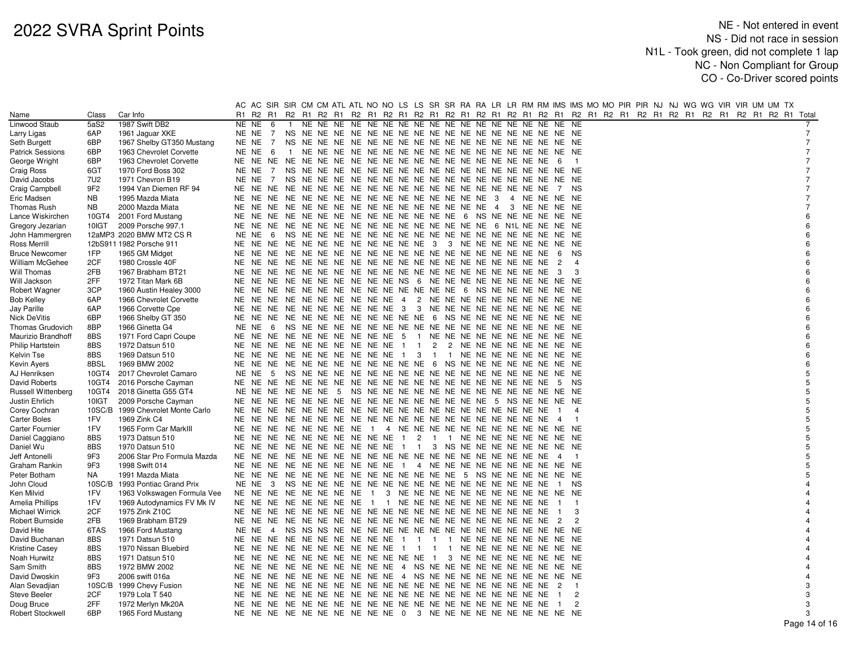|                           |           |                                   | AC AC SIR SIR CM CM ATL ATL NO NO LS LS SR SR RA RA LR LR RM RM IMS IMS MO MO PIR PIR NJ NJ WG WG VIR VIR UM UM TX      |                |
|---------------------------|-----------|-----------------------------------|-------------------------------------------------------------------------------------------------------------------------|----------------|
| Name                      | Class     | Car Info                          | R2 R1 R2 R1 R2 R1 R2 R1 R2 R1 R2 R1 R2 R1 R2 R1 R2 R1 R2 R1 R2 R1 R2 R1 R2 R1 R2 R1 R2 R1 R2 R1 R2 R1 Total<br>R1 R2 R1 |                |
| Linwood Staub             | 5aS2      | 1987 Swift DB2                    | NE NE<br>6<br>$\overline{1}$                                                                                            |                |
| Larry Ligas               | 6AP       | 1961 Jaquar XKE                   | NE NE<br>7                                                                                                              | $\overline{7}$ |
| Seth Burgett              | 6BP       | 1967 Shelby GT350 Mustang         | NE NE<br><sup>7</sup>                                                                                                   | $\overline{7}$ |
| <b>Patrick Sessions</b>   | 6BP       | 1963 Chevrolet Corvette           | NE NE 6<br>$\overline{1}$                                                                                               | $\overline{7}$ |
| George Wright             | 6BP       | 1963 Chevrolet Corvette           | $\overline{1}$<br>- 6                                                                                                   |                |
| Craig Ross                | 6GT       | 1970 Ford Boss 302                | NE NE                                                                                                                   |                |
| David Jacobs              | 7U2       | 1971 Chevron B19                  |                                                                                                                         |                |
| Craig Campbell            | 9F2       | 1994 Van Diemen RF 94             | 7 NS                                                                                                                    |                |
| Eric Madsen               | <b>NB</b> | 1995 Mazda Miata                  | NE NE                                                                                                                   |                |
| <b>Thomas Rush</b>        | <b>NB</b> | 2000 Mazda Miata                  |                                                                                                                         |                |
| Lance Wiskirchen          | 10GT4     | 2001 Ford Mustang                 |                                                                                                                         | 6              |
|                           | 10IGT     |                                   |                                                                                                                         | 6              |
| Gregory Jezarian          |           | 2009 Porsche 997.1                | NE NE<br>6                                                                                                              | 6              |
| John Hammergren           |           | 12aMP3 2020 BMW MT2 CS R          |                                                                                                                         | 6              |
| Ross Merrill              |           | 12bS911 1982 Porsche 911          | NE NE NE NE NE NE NE NE NE NE NE NE 3 3 NE NE NE NE NE NE NE NE NE                                                      |                |
| <b>Bruce Newcomer</b>     | 1FP       | 1965 GM Midget                    | NS.                                                                                                                     |                |
| <b>William McGehee</b>    | 2CF       | 1980 Crossle 40F                  | NE.<br>-2<br>$\overline{4}$                                                                                             | 6              |
| Will Thomas               | 2FB       | 1967 Brabham BT21                 | NE.<br>NE<br>-3                                                                                                         |                |
| Will Jackson              | 2FF       | 1972 Titan Mark 6B                | NE NE NE NE NE NE NE NE NE NE NE NS 6 NE NE NE NE NE NE NE NE NE NE                                                     | 6              |
| Robert Wagner             | 3CP       | 1960 Austin Healey 3000           |                                                                                                                         | 6              |
| <b>Bob Kelley</b>         | 6AP       | 1966 Chevrolet Corvette           | NE NE NE NE NE NE NE NE NE NE NE 4 2 NE NE NE NE NE NE NE NE NE NE                                                      | 6              |
| Jay Parille               | 6AP       | 1966 Corvette Cpe                 | NE NE NE NE NE NE NE NE 3 3 NE NE NE NE NE NE NE NE NE NE<br>NE NE                                                      |                |
| <b>Nick DeVitis</b>       | 6BP       | 1966 Shelby GT 350                | NE NE NE NE NE NE NE NE NE NE 6 NS NE NE NE NE NE NE NE NE<br>NE NE                                                     | 6              |
| Thomas Grudovich          | 8BP       | 1966 Ginetta G4                   | NE NE<br>- 6                                                                                                            | 6              |
| Maurizio Brandhoff        | 8BS       | 1971 Ford Capri Coupe             | NE NE NE NE NE NE NE NE 5 1 NE NE NE NE NE NE NE NE NE NE<br>NE NE                                                      | 6              |
| Philip Hartstein          | 8BS       | 1972 Datsun 510                   | NE NE NE NE NE NE NE NE 1 1 2 2 NE NE NE NE NE NE NE NE NE<br>NE<br>NE.                                                 |                |
| Kelvin Tse                | 8BS       | 1969 Datsun 510                   | NE NE NE NE NE NE NE NE NE NE 1 3 1 1 NE NE NE NE NE NE NE NE NE                                                        | 6              |
| Kevin Ayers               | 8BSL      | 1969 BMW 2002                     | NE NE NE NE NE NE NE NE NE NE NE NE NE 6 NS NE NE NE NE NE NE NE NE NE                                                  | 6              |
| AJ Henriksen              | 10GT4     | 2017 Chevrolet Camaro             | NE NE<br>NE                                                                                                             |                |
| David Roberts             | 10GT4     | 2016 Porsche Cayman               | NS.<br>- 5                                                                                                              |                |
| <b>Russell Wittenberg</b> | 10GT4     | 2018 Ginetta G55 GT4              |                                                                                                                         |                |
| Justin Ehrlich            | 10IGT     | 2009 Porsche Cayman               | NE NE                                                                                                                   |                |
| Corey Cochran             |           | 10SC/B 1999 Chevrolet Monte Carlo | NE<br>NE<br>$\overline{1}$<br>4                                                                                         | 5              |
| Carter Boles              | 1FV       | 1969 Zink C4                      | $\overline{4}$<br>- 1                                                                                                   |                |
| Carter Fournier           | 1FV       | 1965 Form Car MarkIII             | NE NE NE NE NE NE NE NE 1 4 NE NE NE NE NE NE NE NE NE NE NE NE NE                                                      |                |
| Daniel Caggiano           | 8BS       | 1973 Datsun 510                   | NE NE NE NE NE NE NE NE NE 1 2 1 1 NE NE NE NE NE NE NE NE NE<br>NE                                                     | 5              |
| Daniel Wu                 | 8BS       | 1970 Datsun 510                   | NE NE NE NE NE NE NE NE 1 1 3 NS NE NE NE NE NE NE NE NE NE<br>NE<br>NE                                                 |                |
| Jeff Antonelli            | 9F3       | 2006 Star Pro Formula Mazda       | NE NE<br>$\overline{1}$                                                                                                 |                |
| Graham Rankin             | 9F3       | 1998 Swift 014                    | NE NE NE NE NE NE NE NE 1 4 NE NE NE NE NE NE NE NE NE NE NE<br>NE<br>NE                                                |                |
| Peter Botham              | <b>NA</b> | 1991 Mazda Miata                  |                                                                                                                         |                |
| John Cloud                |           | 10SC/B 1993 Pontiac Grand Prix    | NE NE<br>1 NS                                                                                                           |                |
| Ken Milvid                | 1FV       | 1963 Volkswagen Formula Vee       | NE NE<br>NE NE NE NE NE NE 1 3 NE NE NE NE NE NE NE NE NE NE NE NE NE                                                   |                |
| Amelia Phillips           | 1FV       | 1969 Autodynamics FV Mk IV        | NE NE NE NE NE NE NE NE 1 1 NE NE NE NE NE NE NE NE NE NE NE<br>$\overline{1}$                                          |                |
| Michael Wirrick           | 2CF       | 1975 Zink Z10C                    | NE NE<br>3<br>$\overline{1}$                                                                                            |                |
|                           | 2FB       |                                   | $\overline{c}$<br>NE NE                                                                                                 |                |
| Robert Burnside           |           | 1969 Brabham BT29                 | - 2                                                                                                                     |                |
| David Hite                | 6TAS      | 1966 Ford Mustang                 | NE NE<br>$\overline{4}$                                                                                                 |                |
| David Buchanan            | 8BS       | 1971 Datsun 510                   | NE NE NE NE NE NE NE NE NE NE 1 1 1 1 NE NE NE NE NE NE NE NE NE                                                        |                |
| <b>Kristine Casey</b>     | 8BS       | 1970 Nissan Bluebird              | NE NE NE NE NE NE NE NE 1 1 1 NE NE NE NE NE NE NE NE NE<br>NE<br>NE.                                                   |                |
| Noah Hurwitz              | 8BS       | 1971 Datsun 510                   | NE NE NE NE NE NE NE NE NE NE NE NE 1 3 NE NE NE NE NE NE NE NE NE                                                      |                |
| Sam Smith                 | 8BS       | 1972 BMW 2002                     | NE NE NE NE NE NE NE NE NE NE NE 4 NS NE NE NE NE NE NE NE NE NE NE                                                     |                |
| David Dwoskin             | 9F3       | 2006 swift 016a                   | NE<br>NE<br>NE NE NE NE NE NE NE NE 4 NS NE NE NE NE NE NE NE NE NE NE                                                  |                |
| Alan Sevadjian            |           | 10SC/B 1999 Chevy Fusion          | NE.<br>NE.<br>$\overline{2}$                                                                                            | 3              |
| <b>Steve Beeler</b>       | 2CF       | 1979 Lola T 540                   | $\overline{c}$<br>NE NE<br>$\overline{1}$                                                                               |                |
| Doug Bruce                | 2FF       | 1972 Merlyn Mk20A                 | NE<br>NE<br>$\overline{c}$<br>$\overline{1}$                                                                            |                |
| Robert Stockwell          | 6BP       | 1965 Ford Mustang                 | NE NE NE NE NE NE NE NE NE NE 0 3 NE NE NE NE NE NE NE NE NE NE                                                         | 3              |
|                           |           |                                   |                                                                                                                         | Page 14 of 16  |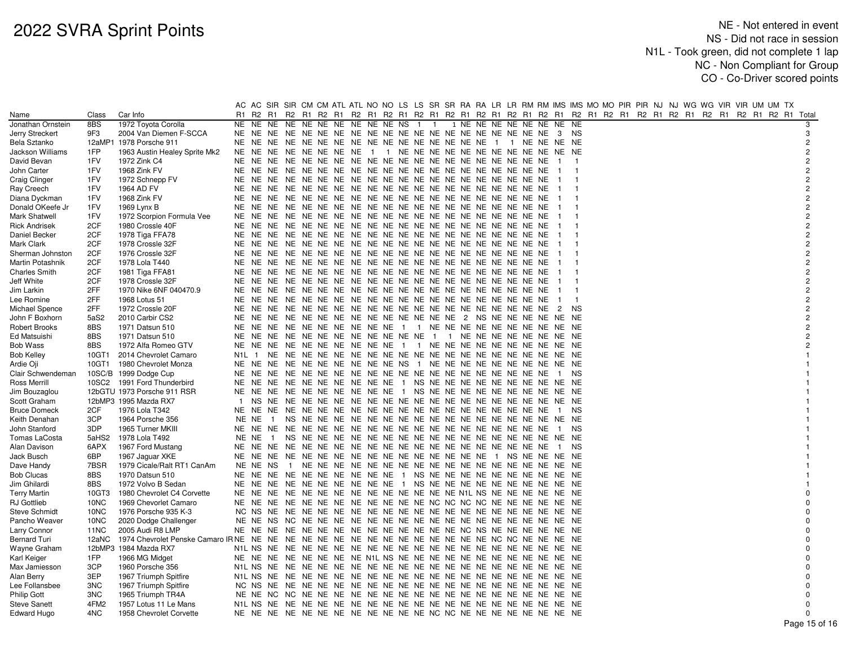|                      |       |                               | AC.          |                   |  | AC SIR SIR CM CM ATL ATL NO NO LS LS SR SR RA RA LR LR RM RM IMS IMS MO MO PIR PIR NJ NJ WG WG VIR VIR UM UM TX      |  |  |    |              |  |  |                           |                |                         |  |  |  |  |  |                |
|----------------------|-------|-------------------------------|--------------|-------------------|--|----------------------------------------------------------------------------------------------------------------------|--|--|----|--------------|--|--|---------------------------|----------------|-------------------------|--|--|--|--|--|----------------|
| Name                 | Class | Car Info                      |              |                   |  | R1 R2 R1 R2 R1 R2 R1 R2 R1 R2 R1 R2 R1 R2 R1 R2 R1 R2 R1 R2 R1 R2 R1 R2 R1 R2 R1 R2 R1 R2 R1 R2 R1 R2 R1 R2 R1 Total |  |  |    |              |  |  |                           |                |                         |  |  |  |  |  |                |
| Jonathan Ornstein    | 8BS   | 1972 Toyota Corolla           |              |                   |  | NE NE NE NE NE NE NE NE NE NE NS                                                                                     |  |  | -1 | $\mathbf{1}$ |  |  | 1 NE NE NE NE NE NE NE NE |                |                         |  |  |  |  |  | 3              |
| Jerry Streckert      | 9F3   | 2004 Van Diemen F-SCCA        |              |                   |  |                                                                                                                      |  |  |    |              |  |  |                           |                | 3 NS                    |  |  |  |  |  | 3              |
| Bela Sztanko         |       | 12aMP1 1978 Porsche 911       |              |                   |  |                                                                                                                      |  |  |    |              |  |  |                           |                |                         |  |  |  |  |  | $\overline{c}$ |
| Jackson Williams     | 1FP   | 1963 Austin Healey Sprite Mk2 |              |                   |  | NE NE NE NE NE NE NE NE 1 1 NE NE NE NE NE NE NE NE NE NE NE NE                                                      |  |  |    |              |  |  |                           |                |                         |  |  |  |  |  | $\overline{2}$ |
| David Bevan          | 1FV   | 1972 Zink C4                  |              |                   |  |                                                                                                                      |  |  |    |              |  |  |                           |                |                         |  |  |  |  |  | $\overline{2}$ |
| John Carter          | 1FV   | 1968 Zink FV                  |              |                   |  |                                                                                                                      |  |  |    |              |  |  |                           |                | $\overline{\mathbf{1}}$ |  |  |  |  |  | $\overline{2}$ |
| Craig Clinger        | 1FV   | 1972 Schnepp FV               |              |                   |  |                                                                                                                      |  |  |    |              |  |  |                           |                |                         |  |  |  |  |  | $\overline{c}$ |
| Ray Creech           | 1FV   | 1964 AD FV                    |              |                   |  |                                                                                                                      |  |  |    |              |  |  |                           |                |                         |  |  |  |  |  | $\overline{2}$ |
| Diana Dyckman        | 1FV   | 1968 Zink FV                  |              |                   |  |                                                                                                                      |  |  |    |              |  |  |                           |                |                         |  |  |  |  |  | $\overline{c}$ |
| Donald OKeefe Jr     | 1FV   | 1969 Lynx B                   |              |                   |  |                                                                                                                      |  |  |    |              |  |  |                           |                |                         |  |  |  |  |  | $\overline{c}$ |
| Mark Shatwell        | 1FV   | 1972 Scorpion Formula Vee     |              |                   |  |                                                                                                                      |  |  |    |              |  |  |                           |                |                         |  |  |  |  |  | $\overline{c}$ |
| <b>Rick Andrisek</b> | 2CF   | 1980 Crossle 40F              |              |                   |  |                                                                                                                      |  |  |    |              |  |  |                           |                |                         |  |  |  |  |  | $\overline{c}$ |
| Daniel Becker        | 2CF   | 1978 Tiga FFA78               |              |                   |  |                                                                                                                      |  |  |    |              |  |  |                           |                |                         |  |  |  |  |  | $\overline{c}$ |
| Mark Clark           | 2CF   | 1978 Crossle 32F              |              |                   |  |                                                                                                                      |  |  |    |              |  |  |                           |                |                         |  |  |  |  |  | $\overline{2}$ |
| Sherman Johnston     | 2CF   | 1976 Crossle 32F              |              |                   |  |                                                                                                                      |  |  |    |              |  |  |                           |                |                         |  |  |  |  |  | $\overline{c}$ |
| Martin Potashnik     | 2CF   | 1978 Lola T440                |              |                   |  |                                                                                                                      |  |  |    |              |  |  |                           |                |                         |  |  |  |  |  | $\overline{c}$ |
| <b>Charles Smith</b> | 2CF   | 1981 Tiga FFA81               |              |                   |  |                                                                                                                      |  |  |    |              |  |  |                           |                |                         |  |  |  |  |  | $\overline{2}$ |
| Jeff White           | 2CF   | 1978 Crossle 32F              |              |                   |  |                                                                                                                      |  |  |    |              |  |  |                           |                |                         |  |  |  |  |  | $\sqrt{2}$     |
| Jim Larkin           | 2FF   | 1970 Nike 6NF 040470.9        |              |                   |  |                                                                                                                      |  |  |    |              |  |  |                           |                | - 1                     |  |  |  |  |  | $\overline{c}$ |
| Lee Romine           | 2FF   | 1968 Lotus 51                 |              |                   |  |                                                                                                                      |  |  |    |              |  |  |                           | - 1            | $\overline{1}$          |  |  |  |  |  | $\overline{c}$ |
| Michael Spence       | 2FF   | 1972 Crossle 20F              |              |                   |  |                                                                                                                      |  |  |    |              |  |  |                           |                | 2 NS                    |  |  |  |  |  | $\overline{c}$ |
| John F Boxhorn       | 5aS2  | 2010 Carbir CS2               |              |                   |  |                                                                                                                      |  |  |    |              |  |  |                           |                |                         |  |  |  |  |  | $\overline{c}$ |
| Robert Brooks        | 8BS   | 1971 Datsun 510               |              |                   |  | NE NE NE NE NE NE NE NE NE NE 1 1 NE NE NE NE NE NE NE NE NE NE NE                                                   |  |  |    |              |  |  |                           |                |                         |  |  |  |  |  | $\overline{2}$ |
| Ed Matsuishi         | 8BS   | 1971 Datsun 510               |              |                   |  | NE NE NE NE NE NE NE NE NE NE NE NE 1 1 NE NE NE NE NE NE NE NE NE                                                   |  |  |    |              |  |  |                           |                |                         |  |  |  |  |  | $\overline{2}$ |
| Bob Wass             | 8BS   | 1972 Alfa Romeo GTV           |              |                   |  | NE NE NE NE NE NE NE NE NE NE 1 1 NE NE NE NE NE NE NE NE NE NE NE                                                   |  |  |    |              |  |  |                           |                |                         |  |  |  |  |  |                |
| Bob Kelley           | 10GT1 | 2014 Chevrolet Camaro         |              |                   |  |                                                                                                                      |  |  |    |              |  |  |                           |                |                         |  |  |  |  |  |                |
| Ardie Oji            | 10GT1 | 1980 Chevrolet Monza          |              |                   |  | NE NE NE NE NE NE NE NE NE NE NS 1 NE NE NE NE NE NE NE NE NE NE NE                                                  |  |  |    |              |  |  |                           |                |                         |  |  |  |  |  |                |
| Clair Schwendeman    |       | 10SC/B 1999 Dodge Cup         |              |                   |  |                                                                                                                      |  |  |    |              |  |  |                           | $\overline{1}$ | <b>NS</b>               |  |  |  |  |  |                |
| <b>Ross Merrill</b>  | 10SC2 | 1991 Ford Thunderbird         |              |                   |  | NE NE NE NE NE NE NE NE NE NE NE 1 NS NE NE NE NE NE NE NE NE NE NE                                                  |  |  |    |              |  |  |                           |                |                         |  |  |  |  |  |                |
| Jim Bouzaglou        |       | 12bGTU 1973 Porsche 911 RSR   |              |                   |  | NE NE NE NE NE NE NE NE NE NE NE 1 NS NE NE NE NE NE NE NE NE NE NE                                                  |  |  |    |              |  |  |                           |                |                         |  |  |  |  |  |                |
| Scott Graham         |       | 12bMP3 1995 Mazda RX7         | $\mathbf{1}$ |                   |  |                                                                                                                      |  |  |    |              |  |  |                           |                |                         |  |  |  |  |  |                |
| Bruce Domeck         | 2CF   | 1976 Lola T342                |              |                   |  |                                                                                                                      |  |  |    |              |  |  |                           |                | 1 NS                    |  |  |  |  |  |                |
| Keith Denahan        | 3CP   | 1964 Porsche 356              |              | NENE <sub>1</sub> |  |                                                                                                                      |  |  |    |              |  |  |                           |                |                         |  |  |  |  |  |                |
| John Stanford        | 3DP   | 1965 Turner MKIII             |              |                   |  |                                                                                                                      |  |  |    |              |  |  |                           |                | 1 NS                    |  |  |  |  |  |                |
| Tomas LaCosta        | 5aHS2 | 1978 Lola T492                | NE NE        |                   |  |                                                                                                                      |  |  |    |              |  |  |                           |                |                         |  |  |  |  |  |                |
| Alan Davison         | 6APX  | 1967 Ford Mustang             |              |                   |  |                                                                                                                      |  |  |    |              |  |  |                           |                | 1 NS                    |  |  |  |  |  |                |
| Jack Busch           | 6BP   | 1967 Jaquar XKE               |              |                   |  |                                                                                                                      |  |  |    |              |  |  |                           |                |                         |  |  |  |  |  |                |
| Dave Handy           | 7BSR  | 1979 Cicale/Ralt RT1 CanAm    |              | NE NE NS          |  |                                                                                                                      |  |  |    |              |  |  |                           |                |                         |  |  |  |  |  |                |
| <b>Bob Clucas</b>    | 8BS   | 1970 Datsun 510               |              |                   |  | NE NE NE NE NE NE NE NE NE NE 1 NS NE NE NE NE NE NE NE NE NE NE                                                     |  |  |    |              |  |  |                           |                |                         |  |  |  |  |  |                |
| Jim Ghilardi         | 8BS   | 1972 Volvo B Sedan            |              |                   |  | NE NE NE NE NE NE NE NE NE NE 1 NS NE NE NE NE NE NE NE NE NE NE                                                     |  |  |    |              |  |  |                           |                |                         |  |  |  |  |  |                |
| <b>Terry Martin</b>  | 10GT3 | 1980 Chevrolet C4 Corvette    |              |                   |  |                                                                                                                      |  |  |    |              |  |  |                           |                |                         |  |  |  |  |  |                |
| RJ Gottlieb          | 10NC  | 1969 Chevorlet Camaro         |              |                   |  | NE NE NE NE NE NE NE NE NE NE NE NE NC NC NC NC NE NE NE NE NE NE                                                    |  |  |    |              |  |  |                           |                |                         |  |  |  |  |  |                |
| <b>Steve Schmidt</b> | 10NC  | 1976 Porsche 935 K-3          |              |                   |  |                                                                                                                      |  |  |    |              |  |  |                           |                |                         |  |  |  |  |  |                |
| Pancho Weaver        | 10NC  | 2020 Dodge Challenger         |              |                   |  |                                                                                                                      |  |  |    |              |  |  |                           |                |                         |  |  |  |  |  | $\Omega$       |
| Larry Connor         | 11NC  | 2005 Audi R8 LMP              |              |                   |  |                                                                                                                      |  |  |    |              |  |  |                           |                |                         |  |  |  |  |  |                |
| <b>Bernard Turi</b>  | 12aNC |                               |              |                   |  |                                                                                                                      |  |  |    |              |  |  |                           |                |                         |  |  |  |  |  |                |
| Wayne Graham         |       | 12bMP3 1984 Mazda RX7         |              |                   |  |                                                                                                                      |  |  |    |              |  |  |                           |                |                         |  |  |  |  |  | $\Omega$       |
| Karl Keiger          | 1FP   | 1966 MG Midget                |              |                   |  | NE NE NE NE NE NE NE NE NE N1L NS NE NE NE NE NE NE NE NE NE NE NE NE                                                |  |  |    |              |  |  |                           |                |                         |  |  |  |  |  | $\Omega$       |
| Max Jamiesson        | 3CP   | 1960 Porsche 356              |              |                   |  |                                                                                                                      |  |  |    |              |  |  |                           |                |                         |  |  |  |  |  |                |
| Alan Berry           | 3EP   | 1967 Triumph Spitfire         |              |                   |  |                                                                                                                      |  |  |    |              |  |  |                           |                |                         |  |  |  |  |  | $\Omega$       |
| Lee Follansbee       | 3NC   | 1967 Triumph Spitfire         |              |                   |  |                                                                                                                      |  |  |    |              |  |  |                           |                |                         |  |  |  |  |  | $\Omega$       |
| Philip Gott          | 3NC   | 1965 Triumph TR4A             |              |                   |  |                                                                                                                      |  |  |    |              |  |  |                           |                |                         |  |  |  |  |  |                |
| <b>Steve Sanett</b>  | 4FM2  | 1957 Lotus 11 Le Mans         |              |                   |  |                                                                                                                      |  |  |    |              |  |  |                           |                |                         |  |  |  |  |  | $\Omega$       |
| Edward Hugo          | 4NC   | 1958 Chevrolet Corvette       |              |                   |  |                                                                                                                      |  |  |    |              |  |  |                           |                |                         |  |  |  |  |  |                |
|                      |       |                               |              |                   |  |                                                                                                                      |  |  |    |              |  |  |                           |                |                         |  |  |  |  |  | $DaoA = af$    |